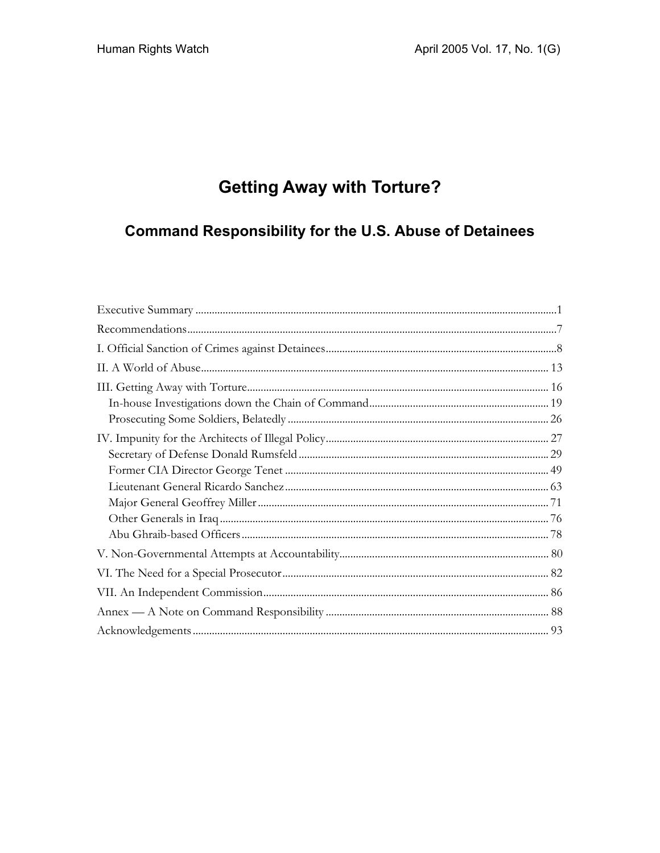# **Getting Away with Torture?**

**Command Responsibility for the U.S. Abuse of Detainees**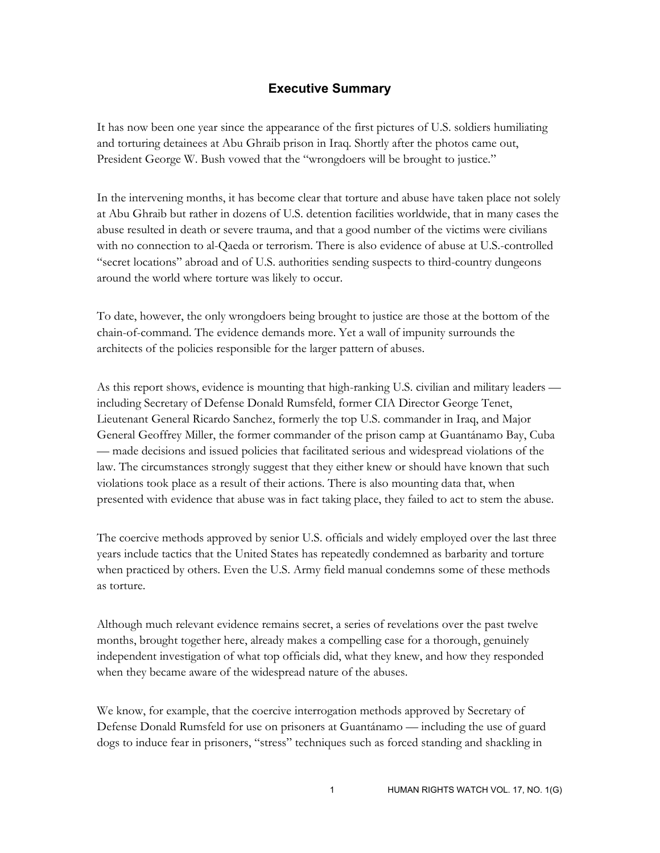## **Executive Summary**

It has now been one year since the appearance of the first pictures of U.S. soldiers humiliating and torturing detainees at Abu Ghraib prison in Iraq. Shortly after the photos came out, President George W. Bush vowed that the "wrongdoers will be brought to justice."

In the intervening months, it has become clear that torture and abuse have taken place not solely at Abu Ghraib but rather in dozens of U.S. detention facilities worldwide, that in many cases the abuse resulted in death or severe trauma, and that a good number of the victims were civilians with no connection to al-Qaeda or terrorism. There is also evidence of abuse at U.S.-controlled "secret locations" abroad and of U.S. authorities sending suspects to third-country dungeons around the world where torture was likely to occur.

To date, however, the only wrongdoers being brought to justice are those at the bottom of the chain-of-command. The evidence demands more. Yet a wall of impunity surrounds the architects of the policies responsible for the larger pattern of abuses.

As this report shows, evidence is mounting that high-ranking U.S. civilian and military leaders including Secretary of Defense Donald Rumsfeld, former CIA Director George Tenet, Lieutenant General Ricardo Sanchez, formerly the top U.S. commander in Iraq, and Major General Geoffrey Miller, the former commander of the prison camp at Guantánamo Bay, Cuba — made decisions and issued policies that facilitated serious and widespread violations of the law. The circumstances strongly suggest that they either knew or should have known that such violations took place as a result of their actions. There is also mounting data that, when presented with evidence that abuse was in fact taking place, they failed to act to stem the abuse.

The coercive methods approved by senior U.S. officials and widely employed over the last three years include tactics that the United States has repeatedly condemned as barbarity and torture when practiced by others. Even the U.S. Army field manual condemns some of these methods as torture.

Although much relevant evidence remains secret, a series of revelations over the past twelve months, brought together here, already makes a compelling case for a thorough, genuinely independent investigation of what top officials did, what they knew, and how they responded when they became aware of the widespread nature of the abuses.

We know, for example, that the coercive interrogation methods approved by Secretary of Defense Donald Rumsfeld for use on prisoners at Guantánamo — including the use of guard dogs to induce fear in prisoners, "stress" techniques such as forced standing and shackling in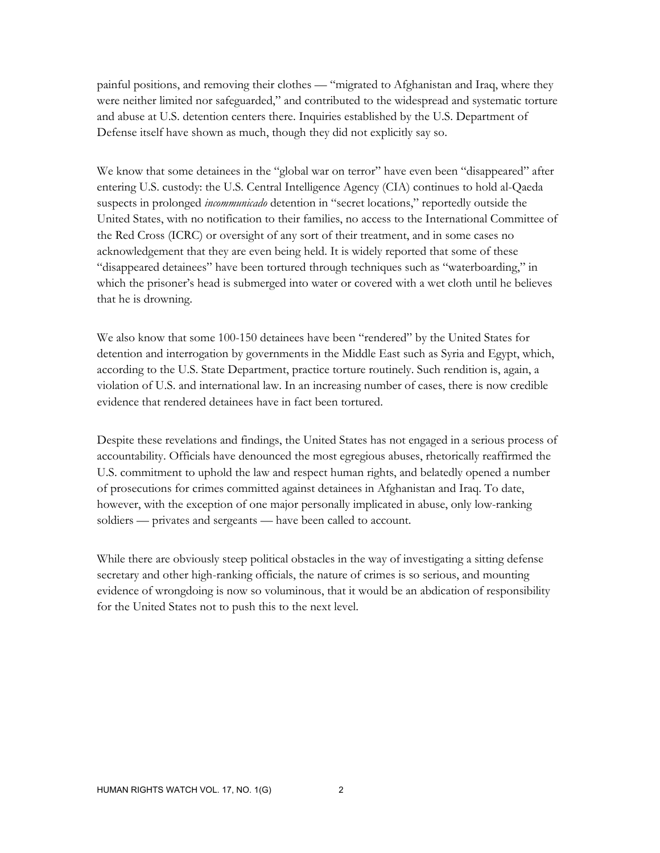painful positions, and removing their clothes — "migrated to Afghanistan and Iraq, where they were neither limited nor safeguarded," and contributed to the widespread and systematic torture and abuse at U.S. detention centers there. Inquiries established by the U.S. Department of Defense itself have shown as much, though they did not explicitly say so.

We know that some detainees in the "global war on terror" have even been "disappeared" after entering U.S. custody: the U.S. Central Intelligence Agency (CIA) continues to hold al-Qaeda suspects in prolonged *incommunicado* detention in "secret locations," reportedly outside the United States, with no notification to their families, no access to the International Committee of the Red Cross (ICRC) or oversight of any sort of their treatment, and in some cases no acknowledgement that they are even being held. It is widely reported that some of these "disappeared detainees" have been tortured through techniques such as "waterboarding," in which the prisoner's head is submerged into water or covered with a wet cloth until he believes that he is drowning.

We also know that some 100-150 detainees have been "rendered" by the United States for detention and interrogation by governments in the Middle East such as Syria and Egypt, which, according to the U.S. State Department, practice torture routinely. Such rendition is, again, a violation of U.S. and international law. In an increasing number of cases, there is now credible evidence that rendered detainees have in fact been tortured.

Despite these revelations and findings, the United States has not engaged in a serious process of accountability. Officials have denounced the most egregious abuses, rhetorically reaffirmed the U.S. commitment to uphold the law and respect human rights, and belatedly opened a number of prosecutions for crimes committed against detainees in Afghanistan and Iraq. To date, however, with the exception of one major personally implicated in abuse, only low-ranking soldiers — privates and sergeants — have been called to account.

While there are obviously steep political obstacles in the way of investigating a sitting defense secretary and other high-ranking officials, the nature of crimes is so serious, and mounting evidence of wrongdoing is now so voluminous, that it would be an abdication of responsibility for the United States not to push this to the next level.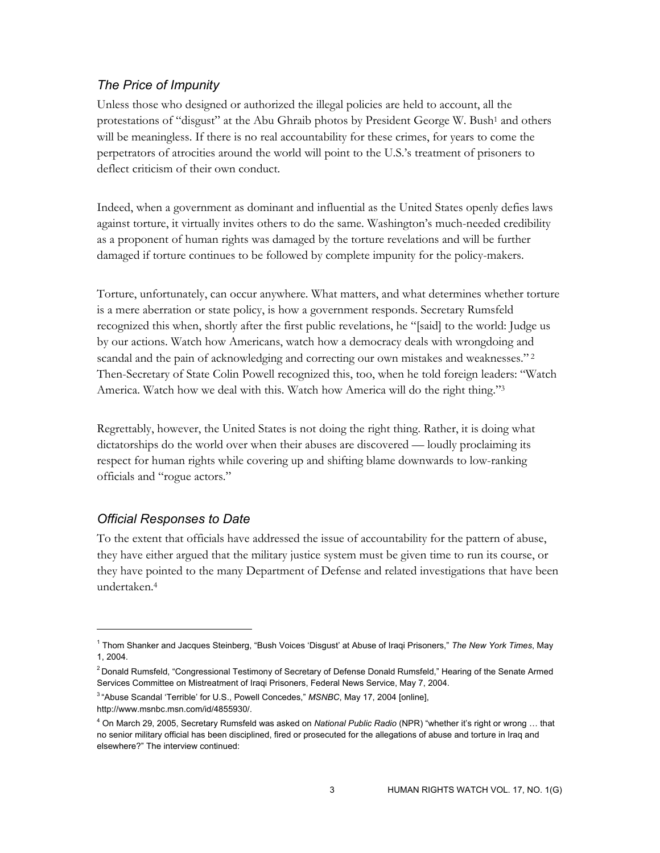#### *The Price of Impunity*

Unless those who designed or authorized the illegal policies are held to account, all the protestations of "disgust" at the Abu Ghraib photos by President George W. Bush<sup>1</sup> and others will be meaningless. If there is no real accountability for these crimes, for years to come the perpetrators of atrocities around the world will point to the U.S.'s treatment of prisoners to deflect criticism of their own conduct.

Indeed, when a government as dominant and influential as the United States openly defies laws against torture, it virtually invites others to do the same. Washington's much-needed credibility as a proponent of human rights was damaged by the torture revelations and will be further damaged if torture continues to be followed by complete impunity for the policy-makers.

Torture, unfortunately, can occur anywhere. What matters, and what determines whether torture is a mere aberration or state policy, is how a government responds. Secretary Rumsfeld recognized this when, shortly after the first public revelations, he "[said] to the world: Judge us by our actions. Watch how Americans, watch how a democracy deals with wrongdoing and scandal and the pain of acknowledging and correcting our own mistakes and weaknesses."<sup>2</sup> Then-Secretary of State Colin Powell recognized this, too, when he told foreign leaders: "Watch America. Watch how we deal with this. Watch how America will do the right thing."3

Regrettably, however, the United States is not doing the right thing. Rather, it is doing what dictatorships do the world over when their abuses are discovered — loudly proclaiming its respect for human rights while covering up and shifting blame downwards to low-ranking officials and "rogue actors."

#### *Official Responses to Date*

-

To the extent that officials have addressed the issue of accountability for the pattern of abuse, they have either argued that the military justice system must be given time to run its course, or they have pointed to the many Department of Defense and related investigations that have been undertaken.4

<sup>1</sup> Thom Shanker and Jacques Steinberg, "Bush Voices 'Disgust' at Abuse of Iraqi Prisoners," *The New York Times*, May 1, 2004.

<sup>&</sup>lt;sup>2</sup> Donald Rumsfeld, "Congressional Testimony of Secretary of Defense Donald Rumsfeld," Hearing of the Senate Armed Services Committee on Mistreatment of Iraqi Prisoners, Federal News Service, May 7, 2004.

<sup>3 &</sup>quot;Abuse Scandal 'Terrible' for U.S., Powell Concedes," *MSNBC*, May 17, 2004 [online], http://www.msnbc.msn.com/id/4855930/.

<sup>4</sup> On March 29, 2005, Secretary Rumsfeld was asked on *National Public Radio* (NPR) "whether it's right or wrong … that no senior military official has been disciplined, fired or prosecuted for the allegations of abuse and torture in Iraq and elsewhere?" The interview continued: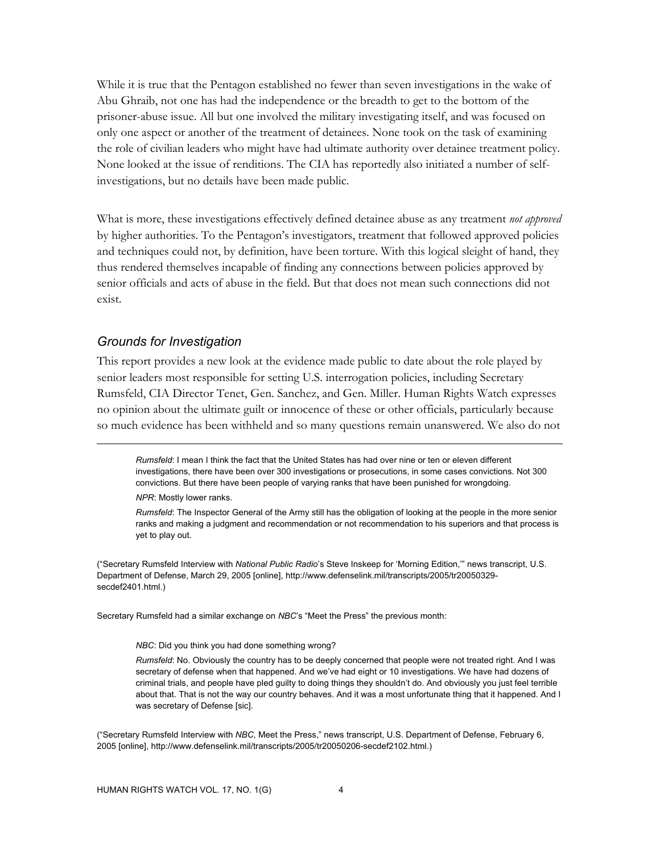While it is true that the Pentagon established no fewer than seven investigations in the wake of Abu Ghraib, not one has had the independence or the breadth to get to the bottom of the prisoner-abuse issue. All but one involved the military investigating itself, and was focused on only one aspect or another of the treatment of detainees. None took on the task of examining the role of civilian leaders who might have had ultimate authority over detainee treatment policy. None looked at the issue of renditions. The CIA has reportedly also initiated a number of selfinvestigations, but no details have been made public.

What is more, these investigations effectively defined detainee abuse as any treatment *not approved* by higher authorities. To the Pentagon's investigators, treatment that followed approved policies and techniques could not, by definition, have been torture. With this logical sleight of hand, they thus rendered themselves incapable of finding any connections between policies approved by senior officials and acts of abuse in the field. But that does not mean such connections did not exist.

#### *Grounds for Investigation*

 $\overline{a}$ 

This report provides a new look at the evidence made public to date about the role played by senior leaders most responsible for setting U.S. interrogation policies, including Secretary Rumsfeld, CIA Director Tenet, Gen. Sanchez, and Gen. Miller. Human Rights Watch expresses no opinion about the ultimate guilt or innocence of these or other officials, particularly because so much evidence has been withheld and so many questions remain unanswered. We also do not

*Rumsfeld*: I mean I think the fact that the United States has had over nine or ten or eleven different investigations, there have been over 300 investigations or prosecutions, in some cases convictions. Not 300 convictions. But there have been people of varying ranks that have been punished for wrongdoing. *NPR*: Mostly lower ranks.

*Rumsfeld*: The Inspector General of the Army still has the obligation of looking at the people in the more senior ranks and making a judgment and recommendation or not recommendation to his superiors and that process is yet to play out.

("Secretary Rumsfeld Interview with *National Public Radio*'s Steve Inskeep for 'Morning Edition,'" news transcript, U.S. Department of Defense, March 29, 2005 [online], http://www.defenselink.mil/transcripts/2005/tr20050329 secdef2401.html.)

Secretary Rumsfeld had a similar exchange on *NBC*'s "Meet the Press" the previous month:

*NBC*: Did you think you had done something wrong?

*Rumsfeld*: No. Obviously the country has to be deeply concerned that people were not treated right. And I was secretary of defense when that happened. And we've had eight or 10 investigations. We have had dozens of criminal trials, and people have pled guilty to doing things they shouldn't do. And obviously you just feel terrible about that. That is not the way our country behaves. And it was a most unfortunate thing that it happened. And I was secretary of Defense [sic].

("Secretary Rumsfeld Interview with *NBC*, Meet the Press," news transcript, U.S. Department of Defense, February 6, 2005 [online], http://www.defenselink.mil/transcripts/2005/tr20050206-secdef2102.html.)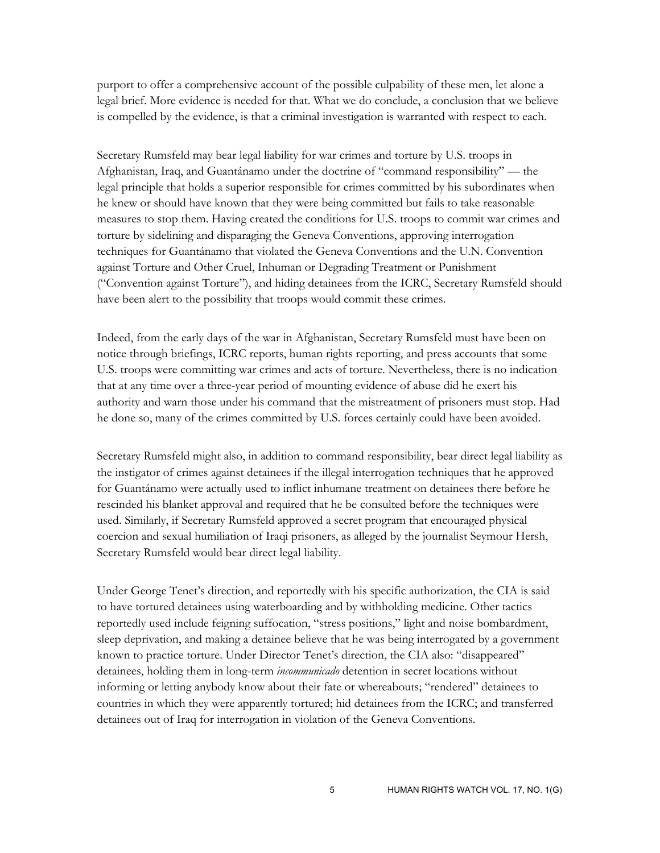purport to offer a comprehensive account of the possible culpability of these men, let alone a legal brief. More evidence is needed for that. What we do conclude, a conclusion that we believe is compelled by the evidence, is that a criminal investigation is warranted with respect to each.

Secretary Rumsfeld may bear legal liability for war crimes and torture by U.S. troops in Afghanistan, Iraq, and Guantánamo under the doctrine of "command responsibility" — the legal principle that holds a superior responsible for crimes committed by his subordinates when he knew or should have known that they were being committed but fails to take reasonable measures to stop them. Having created the conditions for U.S. troops to commit war crimes and torture by sidelining and disparaging the Geneva Conventions, approving interrogation techniques for Guantánamo that violated the Geneva Conventions and the U.N. Convention against Torture and Other Cruel, Inhuman or Degrading Treatment or Punishment ("Convention against Torture"), and hiding detainees from the ICRC, Secretary Rumsfeld should have been alert to the possibility that troops would commit these crimes.

Indeed, from the early days of the war in Afghanistan, Secretary Rumsfeld must have been on notice through briefings, ICRC reports, human rights reporting, and press accounts that some U.S. troops were committing war crimes and acts of torture. Nevertheless, there is no indication that at any time over a three-year period of mounting evidence of abuse did he exert his authority and warn those under his command that the mistreatment of prisoners must stop. Had he done so, many of the crimes committed by U.S. forces certainly could have been avoided.

Secretary Rumsfeld might also, in addition to command responsibility, bear direct legal liability as the instigator of crimes against detainees if the illegal interrogation techniques that he approved for Guantánamo were actually used to inflict inhumane treatment on detainees there before he rescinded his blanket approval and required that he be consulted before the techniques were used. Similarly, if Secretary Rumsfeld approved a secret program that encouraged physical coercion and sexual humiliation of Iraqi prisoners, as alleged by the journalist Seymour Hersh, Secretary Rumsfeld would bear direct legal liability.

Under George Tenet's direction, and reportedly with his specific authorization, the CIA is said to have tortured detainees using waterboarding and by withholding medicine. Other tactics reportedly used include feigning suffocation, "stress positions," light and noise bombardment, sleep deprivation, and making a detainee believe that he was being interrogated by a government known to practice torture. Under Director Tenet's direction, the CIA also: "disappeared" detainees, holding them in long-term *incommunicado* detention in secret locations without informing or letting anybody know about their fate or whereabouts; "rendered" detainees to countries in which they were apparently tortured; hid detainees from the ICRC; and transferred detainees out of Iraq for interrogation in violation of the Geneva Conventions.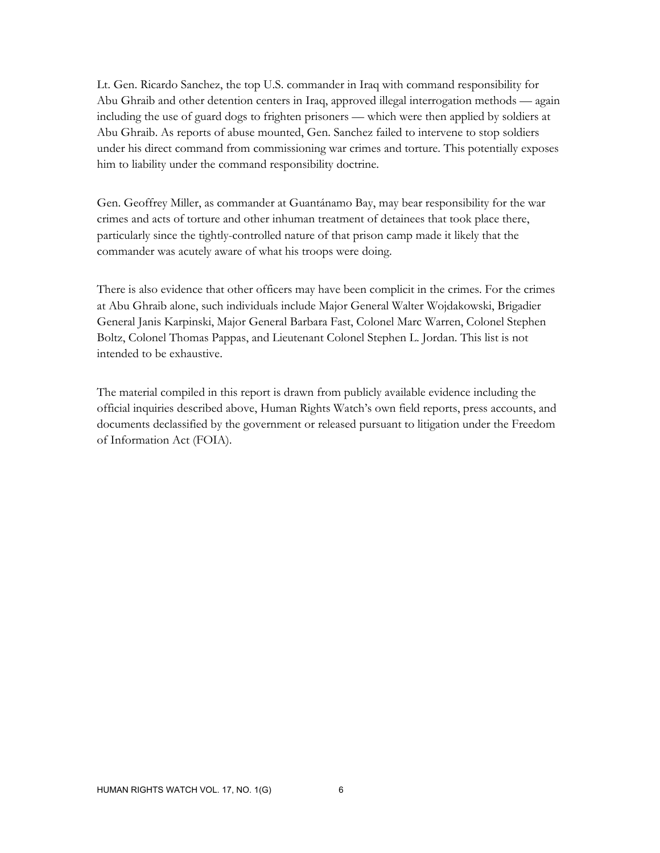Lt. Gen. Ricardo Sanchez, the top U.S. commander in Iraq with command responsibility for Abu Ghraib and other detention centers in Iraq, approved illegal interrogation methods — again including the use of guard dogs to frighten prisoners — which were then applied by soldiers at Abu Ghraib. As reports of abuse mounted, Gen. Sanchez failed to intervene to stop soldiers under his direct command from commissioning war crimes and torture. This potentially exposes him to liability under the command responsibility doctrine.

Gen. Geoffrey Miller, as commander at Guantánamo Bay, may bear responsibility for the war crimes and acts of torture and other inhuman treatment of detainees that took place there, particularly since the tightly-controlled nature of that prison camp made it likely that the commander was acutely aware of what his troops were doing.

There is also evidence that other officers may have been complicit in the crimes. For the crimes at Abu Ghraib alone, such individuals include Major General Walter Wojdakowski, Brigadier General Janis Karpinski, Major General Barbara Fast, Colonel Marc Warren, Colonel Stephen Boltz, Colonel Thomas Pappas, and Lieutenant Colonel Stephen L. Jordan. This list is not intended to be exhaustive.

The material compiled in this report is drawn from publicly available evidence including the official inquiries described above, Human Rights Watch's own field reports, press accounts, and documents declassified by the government or released pursuant to litigation under the Freedom of Information Act (FOIA).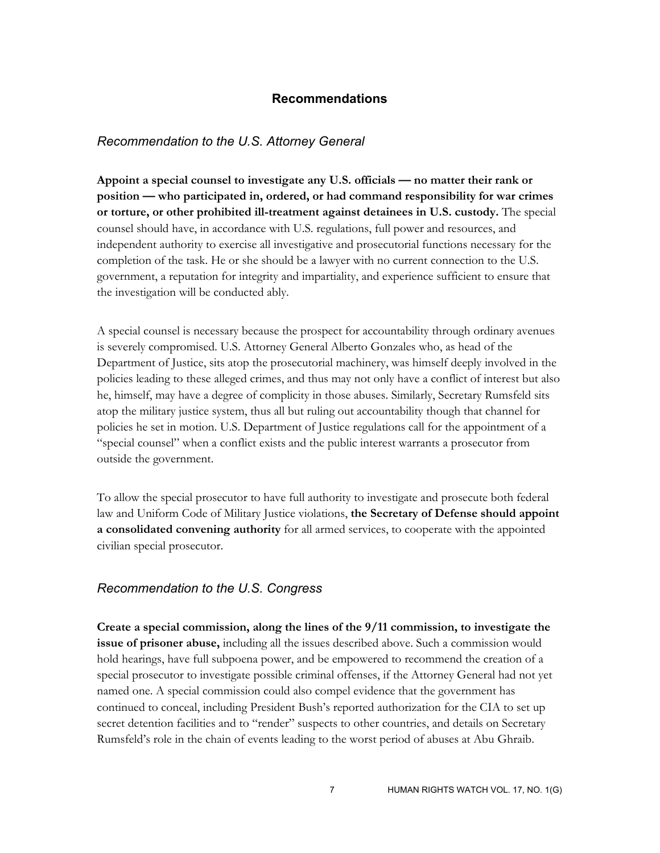#### **Recommendations**

#### *Recommendation to the U.S. Attorney General*

**Appoint a special counsel to investigate any U.S. officials — no matter their rank or position — who participated in, ordered, or had command responsibility for war crimes or torture, or other prohibited ill-treatment against detainees in U.S. custody.** The special counsel should have, in accordance with U.S. regulations, full power and resources, and independent authority to exercise all investigative and prosecutorial functions necessary for the completion of the task. He or she should be a lawyer with no current connection to the U.S. government, a reputation for integrity and impartiality, and experience sufficient to ensure that the investigation will be conducted ably.

A special counsel is necessary because the prospect for accountability through ordinary avenues is severely compromised. U.S. Attorney General Alberto Gonzales who, as head of the Department of Justice, sits atop the prosecutorial machinery, was himself deeply involved in the policies leading to these alleged crimes, and thus may not only have a conflict of interest but also he, himself, may have a degree of complicity in those abuses. Similarly, Secretary Rumsfeld sits atop the military justice system, thus all but ruling out accountability though that channel for policies he set in motion. U.S. Department of Justice regulations call for the appointment of a "special counsel" when a conflict exists and the public interest warrants a prosecutor from outside the government.

To allow the special prosecutor to have full authority to investigate and prosecute both federal law and Uniform Code of Military Justice violations, **the Secretary of Defense should appoint a consolidated convening authority** for all armed services, to cooperate with the appointed civilian special prosecutor.

#### *Recommendation to the U.S. Congress*

**Create a special commission, along the lines of the 9/11 commission, to investigate the issue of prisoner abuse,** including all the issues described above. Such a commission would hold hearings, have full subpoena power, and be empowered to recommend the creation of a special prosecutor to investigate possible criminal offenses, if the Attorney General had not yet named one. A special commission could also compel evidence that the government has continued to conceal, including President Bush's reported authorization for the CIA to set up secret detention facilities and to "render" suspects to other countries, and details on Secretary Rumsfeld's role in the chain of events leading to the worst period of abuses at Abu Ghraib.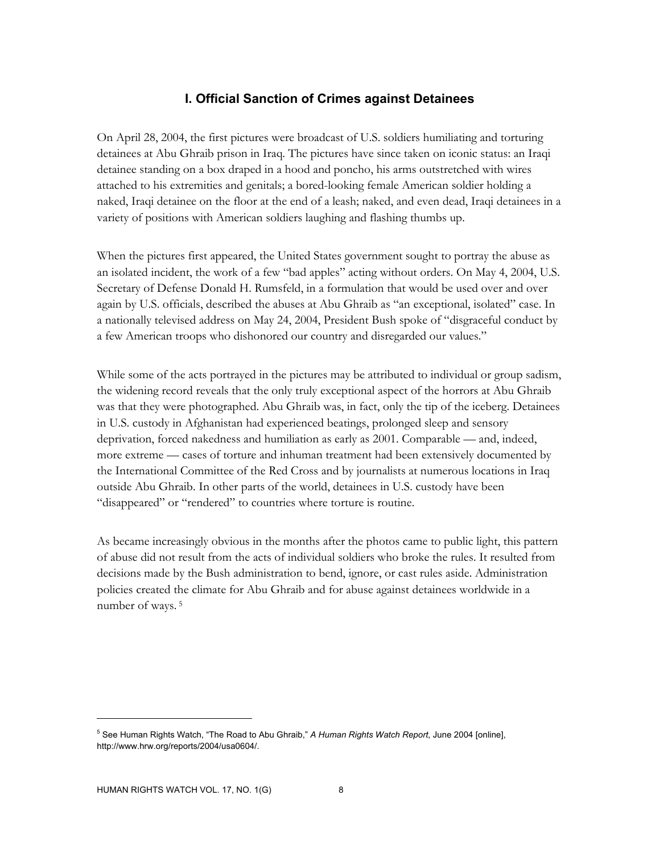## **I. Official Sanction of Crimes against Detainees**

On April 28, 2004, the first pictures were broadcast of U.S. soldiers humiliating and torturing detainees at Abu Ghraib prison in Iraq. The pictures have since taken on iconic status: an Iraqi detainee standing on a box draped in a hood and poncho, his arms outstretched with wires attached to his extremities and genitals; a bored-looking female American soldier holding a naked, Iraqi detainee on the floor at the end of a leash; naked, and even dead, Iraqi detainees in a variety of positions with American soldiers laughing and flashing thumbs up.

When the pictures first appeared, the United States government sought to portray the abuse as an isolated incident, the work of a few "bad apples" acting without orders. On May 4, 2004, U.S. Secretary of Defense Donald H. Rumsfeld, in a formulation that would be used over and over again by U.S. officials, described the abuses at Abu Ghraib as "an exceptional, isolated" case. In a nationally televised address on May 24, 2004, President Bush spoke of "disgraceful conduct by a few American troops who dishonored our country and disregarded our values."

While some of the acts portrayed in the pictures may be attributed to individual or group sadism, the widening record reveals that the only truly exceptional aspect of the horrors at Abu Ghraib was that they were photographed. Abu Ghraib was, in fact, only the tip of the iceberg. Detainees in U.S. custody in Afghanistan had experienced beatings, prolonged sleep and sensory deprivation, forced nakedness and humiliation as early as 2001. Comparable — and, indeed, more extreme — cases of torture and inhuman treatment had been extensively documented by the International Committee of the Red Cross and by journalists at numerous locations in Iraq outside Abu Ghraib. In other parts of the world, detainees in U.S. custody have been "disappeared" or "rendered" to countries where torture is routine.

As became increasingly obvious in the months after the photos came to public light, this pattern of abuse did not result from the acts of individual soldiers who broke the rules. It resulted from decisions made by the Bush administration to bend, ignore, or cast rules aside. Administration policies created the climate for Abu Ghraib and for abuse against detainees worldwide in a number of ways. 5

 $\overline{a}$ 

<sup>5</sup> See Human Rights Watch, "The Road to Abu Ghraib," *A Human Rights Watch Report*, June 2004 [online], http://www.hrw.org/reports/2004/usa0604/.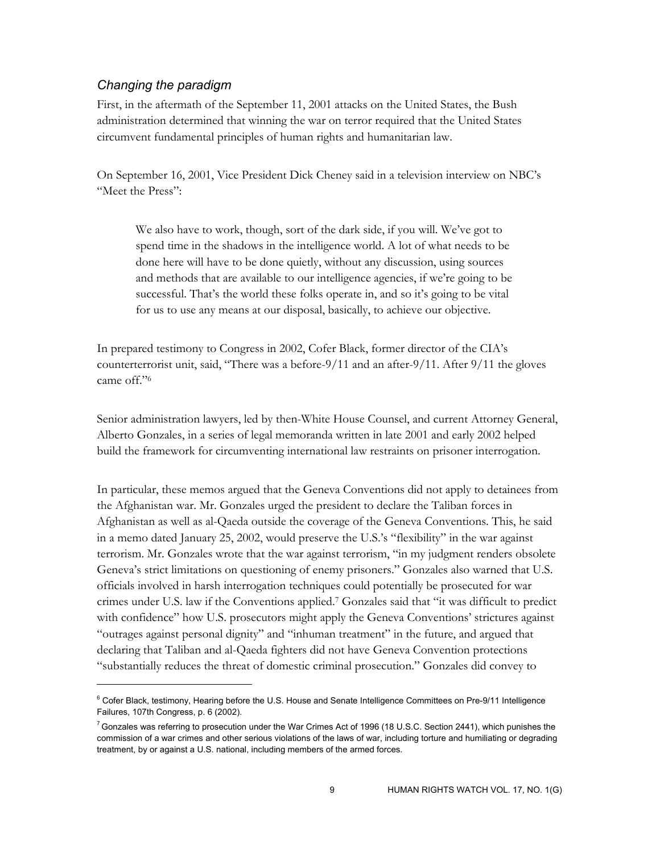#### *Changing the paradigm*

-

First, in the aftermath of the September 11, 2001 attacks on the United States, the Bush administration determined that winning the war on terror required that the United States circumvent fundamental principles of human rights and humanitarian law.

On September 16, 2001, Vice President Dick Cheney said in a television interview on NBC's "Meet the Press":

We also have to work, though, sort of the dark side, if you will. We've got to spend time in the shadows in the intelligence world. A lot of what needs to be done here will have to be done quietly, without any discussion, using sources and methods that are available to our intelligence agencies, if we're going to be successful. That's the world these folks operate in, and so it's going to be vital for us to use any means at our disposal, basically, to achieve our objective.

In prepared testimony to Congress in 2002, Cofer Black, former director of the CIA's counterterrorist unit, said, "There was a before-9/11 and an after-9/11. After 9/11 the gloves came off."6

Senior administration lawyers, led by then-White House Counsel, and current Attorney General, Alberto Gonzales, in a series of legal memoranda written in late 2001 and early 2002 helped build the framework for circumventing international law restraints on prisoner interrogation.

In particular, these memos argued that the Geneva Conventions did not apply to detainees from the Afghanistan war. Mr. Gonzales urged the president to declare the Taliban forces in Afghanistan as well as al-Qaeda outside the coverage of the Geneva Conventions. This, he said in a memo dated January 25, 2002, would preserve the U.S.'s "flexibility" in the war against terrorism. Mr. Gonzales wrote that the war against terrorism, "in my judgment renders obsolete Geneva's strict limitations on questioning of enemy prisoners." Gonzales also warned that U.S. officials involved in harsh interrogation techniques could potentially be prosecuted for war crimes under U.S. law if the Conventions applied.7 Gonzales said that "it was difficult to predict with confidence" how U.S. prosecutors might apply the Geneva Conventions' strictures against "outrages against personal dignity" and "inhuman treatment" in the future, and argued that declaring that Taliban and al-Qaeda fighters did not have Geneva Convention protections "substantially reduces the threat of domestic criminal prosecution." Gonzales did convey to

<sup>&</sup>lt;sup>6</sup> Cofer Black, testimony, Hearing before the U.S. House and Senate Intelligence Committees on Pre-9/11 Intelligence Failures, 107th Congress, p. 6 (2002).

 $^7$  Gonzales was referring to prosecution under the War Crimes Act of 1996 (18 U.S.C. Section 2441), which punishes the commission of a war crimes and other serious violations of the laws of war, including torture and humiliating or degrading treatment, by or against a U.S. national, including members of the armed forces.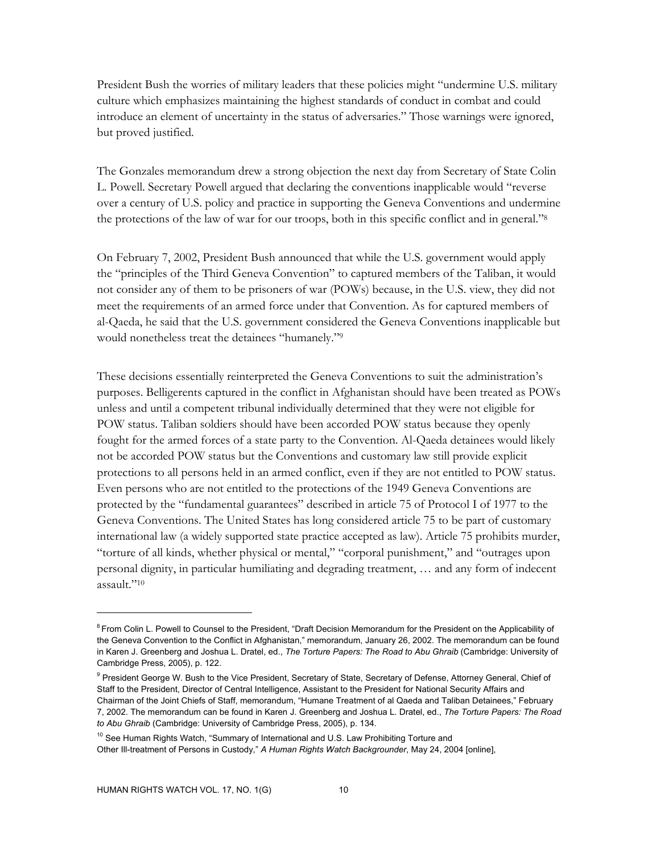President Bush the worries of military leaders that these policies might "undermine U.S. military culture which emphasizes maintaining the highest standards of conduct in combat and could introduce an element of uncertainty in the status of adversaries." Those warnings were ignored, but proved justified.

The Gonzales memorandum drew a strong objection the next day from Secretary of State Colin L. Powell. Secretary Powell argued that declaring the conventions inapplicable would "reverse over a century of U.S. policy and practice in supporting the Geneva Conventions and undermine the protections of the law of war for our troops, both in this specific conflict and in general."8

On February 7, 2002, President Bush announced that while the U.S. government would apply the "principles of the Third Geneva Convention" to captured members of the Taliban, it would not consider any of them to be prisoners of war (POWs) because, in the U.S. view, they did not meet the requirements of an armed force under that Convention. As for captured members of al-Qaeda, he said that the U.S. government considered the Geneva Conventions inapplicable but would nonetheless treat the detainees "humanely."9

These decisions essentially reinterpreted the Geneva Conventions to suit the administration's purposes. Belligerents captured in the conflict in Afghanistan should have been treated as POWs unless and until a competent tribunal individually determined that they were not eligible for POW status. Taliban soldiers should have been accorded POW status because they openly fought for the armed forces of a state party to the Convention. Al-Qaeda detainees would likely not be accorded POW status but the Conventions and customary law still provide explicit protections to all persons held in an armed conflict, even if they are not entitled to POW status. Even persons who are not entitled to the protections of the 1949 Geneva Conventions are protected by the "fundamental guarantees" described in article 75 of Protocol I of 1977 to the Geneva Conventions. The United States has long considered article 75 to be part of customary international law (a widely supported state practice accepted as law). Article 75 prohibits murder, "torture of all kinds, whether physical or mental," "corporal punishment," and "outrages upon personal dignity, in particular humiliating and degrading treatment, … and any form of indecent assault."10

<sup>9</sup> President George W. Bush to the Vice President, Secretary of State, Secretary of Defense, Attorney General, Chief of Staff to the President, Director of Central Intelligence, Assistant to the President for National Security Affairs and Chairman of the Joint Chiefs of Staff, memorandum, "Humane Treatment of al Qaeda and Taliban Detainees," February 7, 2002. The memorandum can be found in Karen J. Greenberg and Joshua L. Dratel, ed., *The Torture Papers: The Road to Abu Ghraib* (Cambridge: University of Cambridge Press, 2005), p. 134.

 $\overline{a}$ 

<sup>&</sup>lt;sup>8</sup> From Colin L. Powell to Counsel to the President, "Draft Decision Memorandum for the President on the Applicability of the Geneva Convention to the Conflict in Afghanistan," memorandum, January 26, 2002. The memorandum can be found in Karen J. Greenberg and Joshua L. Dratel, ed., *The Torture Papers: The Road to Abu Ghraib* (Cambridge: University of Cambridge Press, 2005), p. 122.

<sup>&</sup>lt;sup>10</sup> See Human Rights Watch, "Summary of International and U.S. Law Prohibiting Torture and Other Ill-treatment of Persons in Custody," *A Human Rights Watch Backgrounder*, May 24, 2004 [online],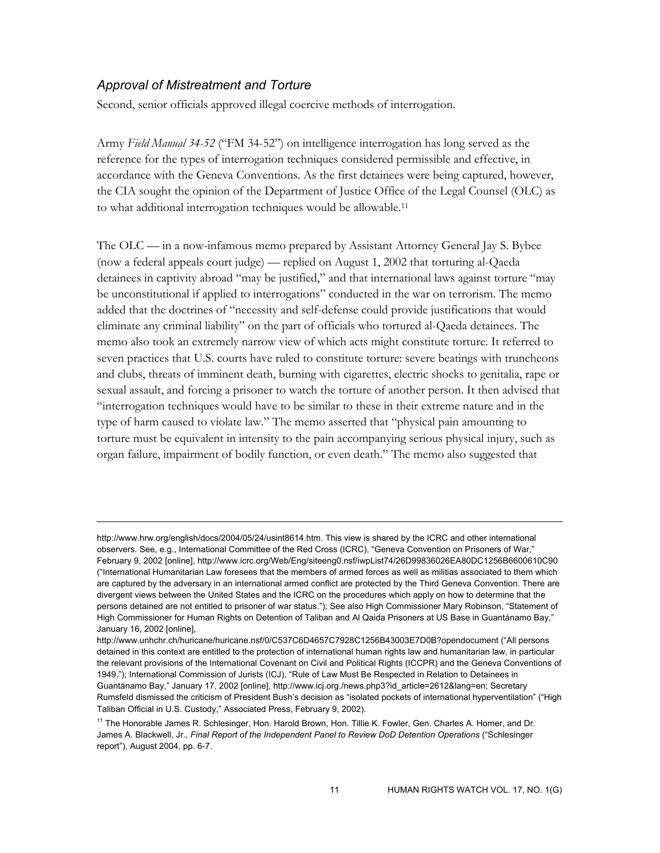#### *Approval of Mistreatment and Torture*

-

Second, senior officials approved illegal coercive methods of interrogation.

Army *Field Manual 34-52* ("FM 34-52") on intelligence interrogation has long served as the reference for the types of interrogation techniques considered permissible and effective, in accordance with the Geneva Conventions. As the first detainees were being captured, however, the CIA sought the opinion of the Department of Justice Office of the Legal Counsel (OLC) as to what additional interrogation techniques would be allowable.11

The OLC — in a now-infamous memo prepared by Assistant Attorney General Jay S. Bybee (now a federal appeals court judge) — replied on August 1, 2002 that torturing al-Qaeda detainees in captivity abroad "may be justified," and that international laws against torture "may be unconstitutional if applied to interrogations" conducted in the war on terrorism. The memo added that the doctrines of "necessity and self-defense could provide justifications that would eliminate any criminal liability" on the part of officials who tortured al-Qaeda detainees. The memo also took an extremely narrow view of which acts might constitute torture. It referred to seven practices that U.S. courts have ruled to constitute torture: severe beatings with truncheons and clubs, threats of imminent death, burning with cigarettes, electric shocks to genitalia, rape or sexual assault, and forcing a prisoner to watch the torture of another person. It then advised that "interrogation techniques would have to be similar to these in their extreme nature and in the type of harm caused to violate law." The memo asserted that "physical pain amounting to torture must be equivalent in intensity to the pain accompanying serious physical injury, such as organ failure, impairment of bodily function, or even death." The memo also suggested that

http://www.hrw.org/english/docs/2004/05/24/usint8614.htm. This view is shared by the ICRC and other international observers. See, e.g., International Committee of the Red Cross (ICRC), "Geneva Convention on Prisoners of War," February 9, 2002 [online], http://www.icrc.org/Web/Eng/siteeng0.nsf/iwpList74/26D99836026EA80DC1256B6600610C90 ("International Humanitarian Law foresees that the members of armed forces as well as militias associated to them which are captured by the adversary in an international armed conflict are protected by the Third Geneva Convention. There are divergent views between the United States and the ICRC on the procedures which apply on how to determine that the persons detained are not entitled to prisoner of war status."); See also High Commissioner Mary Robinson, "Statement of High Commissioner for Human Rights on Detention of Taliban and Al Qaida Prisoners at US Base in Guantánamo Bay," January 16, 2002 [online],

http://www.unhchr.ch/huricane/huricane.nsf/0/C537C6D4657C7928C1256B43003E7D0B?opendocument ("All persons detained in this context are entitled to the protection of international human rights law and humanitarian law, in particular the relevant provisions of the International Covenant on Civil and Political Rights (ICCPR) and the Geneva Conventions of 1949."); International Commission of Jurists (ICJ), "Rule of Law Must Be Respected in Relation to Detainees in Guantánamo Bay," January 17, 2002 [online], http://www.icj.org./news.php3?id\_article=2612&lang=en; Secretary Rumsfeld dismissed the criticism of President Bush's decision as "isolated pockets of international hyperventilation" ("High Taliban Official in U.S. Custody," Associated Press, February 9, 2002).

<sup>&</sup>lt;sup>11</sup> The Honorable James R. Schlesinger, Hon. Harold Brown, Hon. Tillie K. Fowler, Gen. Charles A. Homer, and Dr. James A. Blackwell, Jr., *Final Report of the Independent Panel to Review DoD Detention Operations* ("Schlesinger report"), August 2004, pp. 6-7.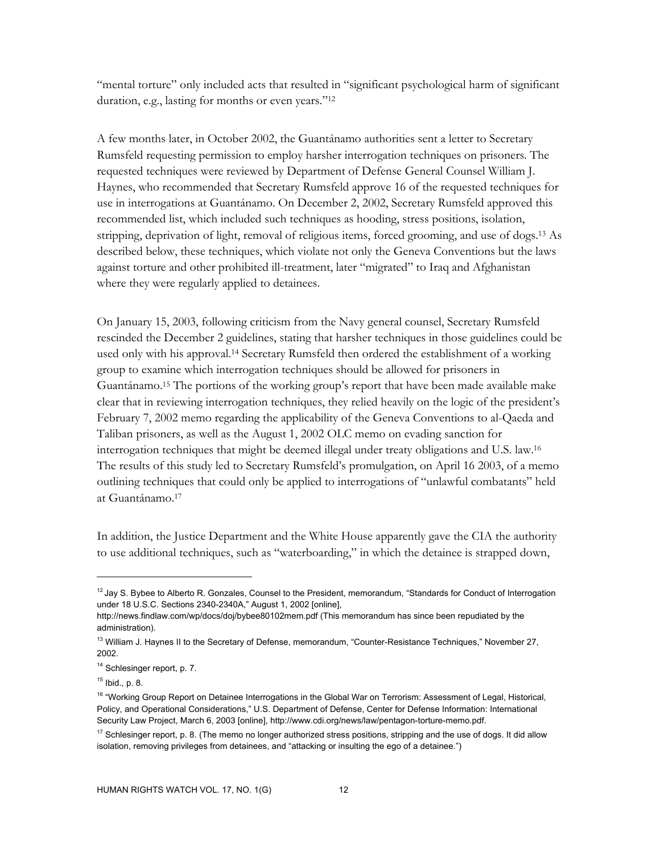"mental torture" only included acts that resulted in "significant psychological harm of significant duration, e.g., lasting for months or even years."12

A few months later, in October 2002, the Guantánamo authorities sent a letter to Secretary Rumsfeld requesting permission to employ harsher interrogation techniques on prisoners. The requested techniques were reviewed by Department of Defense General Counsel William J. Haynes, who recommended that Secretary Rumsfeld approve 16 of the requested techniques for use in interrogations at Guantánamo. On December 2, 2002, Secretary Rumsfeld approved this recommended list, which included such techniques as hooding, stress positions, isolation, stripping, deprivation of light, removal of religious items, forced grooming, and use of dogs.13 As described below, these techniques, which violate not only the Geneva Conventions but the laws against torture and other prohibited ill-treatment, later "migrated" to Iraq and Afghanistan where they were regularly applied to detainees.

On January 15, 2003, following criticism from the Navy general counsel, Secretary Rumsfeld rescinded the December 2 guidelines, stating that harsher techniques in those guidelines could be used only with his approval.14 Secretary Rumsfeld then ordered the establishment of a working group to examine which interrogation techniques should be allowed for prisoners in Guantánamo.15 The portions of the working group's report that have been made available make clear that in reviewing interrogation techniques, they relied heavily on the logic of the president's February 7, 2002 memo regarding the applicability of the Geneva Conventions to al-Qaeda and Taliban prisoners, as well as the August 1, 2002 OLC memo on evading sanction for interrogation techniques that might be deemed illegal under treaty obligations and U.S. law.16 The results of this study led to Secretary Rumsfeld's promulgation, on April 16 2003, of a memo outlining techniques that could only be applied to interrogations of "unlawful combatants" held at Guantánamo.17

In addition, the Justice Department and the White House apparently gave the CIA the authority to use additional techniques, such as "waterboarding," in which the detainee is strapped down,

 $\overline{a}$ 

<sup>&</sup>lt;sup>12</sup> Jay S. Bybee to Alberto R. Gonzales, Counsel to the President, memorandum, "Standards for Conduct of Interrogation under 18 U.S.C. Sections 2340-2340A," August 1, 2002 [online],

http://news.findlaw.com/wp/docs/doj/bybee80102mem.pdf (This memorandum has since been repudiated by the administration).

<sup>&</sup>lt;sup>13</sup> William J. Haynes II to the Secretary of Defense, memorandum, "Counter-Resistance Techniques," November 27, 2002.

<sup>&</sup>lt;sup>14</sup> Schlesinger report, p. 7.

<sup>15</sup> Ibid., p. 8.

<sup>&</sup>lt;sup>16</sup> "Working Group Report on Detainee Interrogations in the Global War on Terrorism: Assessment of Legal, Historical, Policy, and Operational Considerations," U.S. Department of Defense, Center for Defense Information: International Security Law Project, March 6, 2003 [online], http://www.cdi.org/news/law/pentagon-torture-memo.pdf.

<sup>&</sup>lt;sup>17</sup> Schlesinger report, p. 8. (The memo no longer authorized stress positions, stripping and the use of dogs. It did allow isolation, removing privileges from detainees, and "attacking or insulting the ego of a detainee.")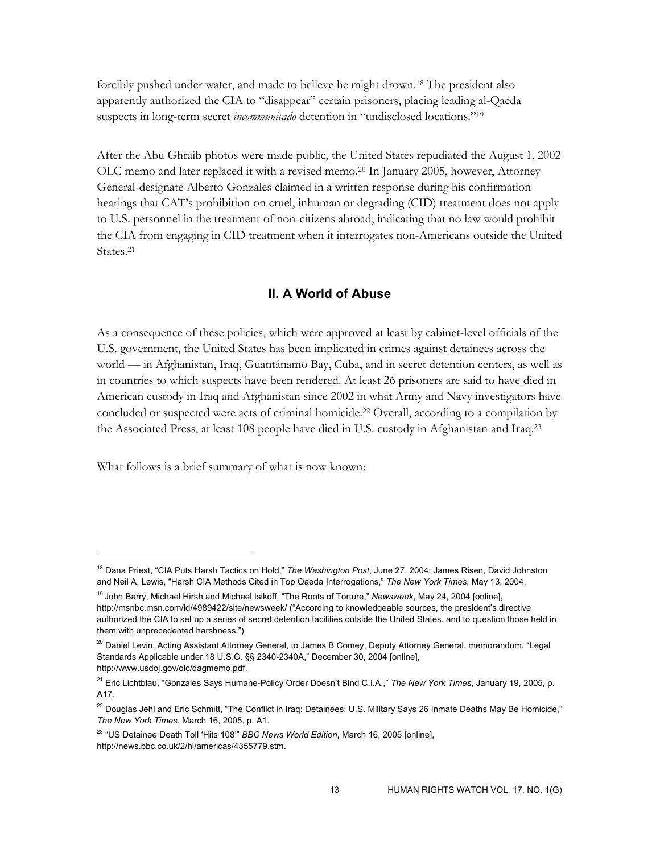forcibly pushed under water, and made to believe he might drown.18 The president also apparently authorized the CIA to "disappear" certain prisoners, placing leading al-Qaeda suspects in long-term secret *incommunicado* detention in "undisclosed locations."19

After the Abu Ghraib photos were made public, the United States repudiated the August 1, 2002 OLC memo and later replaced it with a revised memo.20 In January 2005, however, Attorney General-designate Alberto Gonzales claimed in a written response during his confirmation hearings that CAT's prohibition on cruel, inhuman or degrading (CID) treatment does not apply to U.S. personnel in the treatment of non-citizens abroad, indicating that no law would prohibit the CIA from engaging in CID treatment when it interrogates non-Americans outside the United States.21

#### **II. A World of Abuse**

As a consequence of these policies, which were approved at least by cabinet-level officials of the U.S. government, the United States has been implicated in crimes against detainees across the world — in Afghanistan, Iraq, Guantánamo Bay, Cuba, and in secret detention centers, as well as in countries to which suspects have been rendered. At least 26 prisoners are said to have died in American custody in Iraq and Afghanistan since 2002 in what Army and Navy investigators have concluded or suspected were acts of criminal homicide.22 Overall, according to a compilation by the Associated Press, at least 108 people have died in U.S. custody in Afghanistan and Iraq.23

What follows is a brief summary of what is now known:

<sup>18</sup> Dana Priest, "CIA Puts Harsh Tactics on Hold," *The Washington Post*, June 27, 2004; James Risen, David Johnston and Neil A. Lewis, "Harsh CIA Methods Cited in Top Qaeda Interrogations," *The New York Times*, May 13, 2004.

<sup>19</sup> John Barry, Michael Hirsh and Michael Isikoff, "The Roots of Torture," *Newsweek*, May 24, 2004 [online], http://msnbc.msn.com/id/4989422/site/newsweek/ ("According to knowledgeable sources, the president's directive authorized the CIA to set up a series of secret detention facilities outside the United States, and to question those held in them with unprecedented harshness.")

<sup>&</sup>lt;sup>20</sup> Daniel Levin, Acting Assistant Attorney General, to James B Comey, Deputy Attorney General, memorandum, "Legal Standards Applicable under 18 U.S.C. §§ 2340-2340A," December 30, 2004 [online], http://www.usdoj.gov/olc/dagmemo.pdf.

<sup>21</sup> Eric Lichtblau, "Gonzales Says Humane-Policy Order Doesn't Bind C.I.A.," *The New York Times*, January 19, 2005, p. A17.

 $^{22}$  Douglas Jehl and Eric Schmitt, "The Conflict in Iraq: Detainees; U.S. Military Says 26 Inmate Deaths May Be Homicide," *The New York Times*, March 16, 2005, p. A1.

<sup>23 &</sup>quot;US Detainee Death Toll 'Hits 108'" *BBC News World Edition*, March 16, 2005 [online], http://news.bbc.co.uk/2/hi/americas/4355779.stm.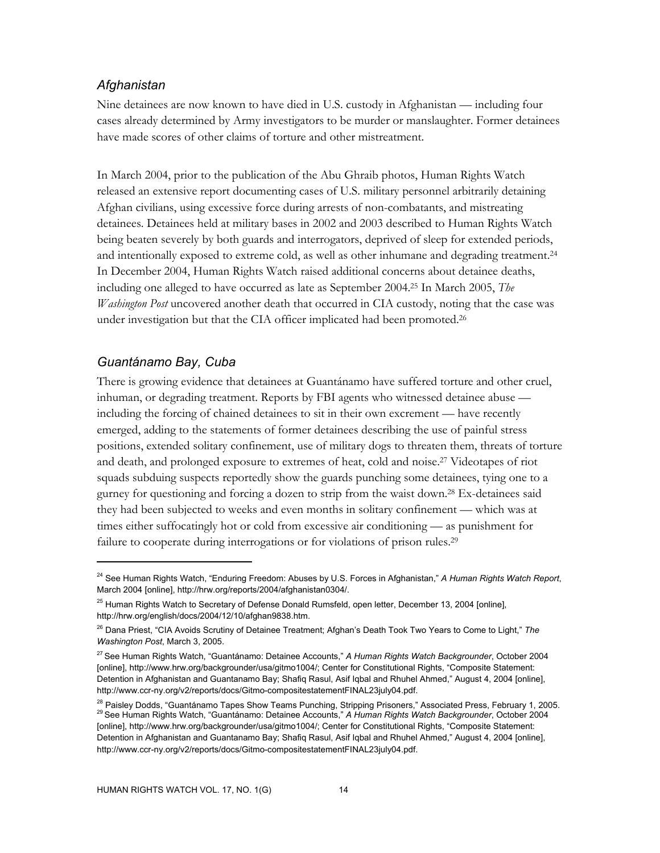#### *Afghanistan*

Nine detainees are now known to have died in U.S. custody in Afghanistan — including four cases already determined by Army investigators to be murder or manslaughter. Former detainees have made scores of other claims of torture and other mistreatment.

In March 2004, prior to the publication of the Abu Ghraib photos, Human Rights Watch released an extensive report documenting cases of U.S. military personnel arbitrarily detaining Afghan civilians, using excessive force during arrests of non-combatants, and mistreating detainees. Detainees held at military bases in 2002 and 2003 described to Human Rights Watch being beaten severely by both guards and interrogators, deprived of sleep for extended periods, and intentionally exposed to extreme cold, as well as other inhumane and degrading treatment.24 In December 2004, Human Rights Watch raised additional concerns about detainee deaths, including one alleged to have occurred as late as September 2004.25 In March 2005, *The Washington Post* uncovered another death that occurred in CIA custody, noting that the case was under investigation but that the CIA officer implicated had been promoted.26

## *Guantánamo Bay, Cuba*

-

There is growing evidence that detainees at Guantánamo have suffered torture and other cruel, inhuman, or degrading treatment. Reports by FBI agents who witnessed detainee abuse including the forcing of chained detainees to sit in their own excrement — have recently emerged, adding to the statements of former detainees describing the use of painful stress positions, extended solitary confinement, use of military dogs to threaten them, threats of torture and death, and prolonged exposure to extremes of heat, cold and noise.27 Videotapes of riot squads subduing suspects reportedly show the guards punching some detainees, tying one to a gurney for questioning and forcing a dozen to strip from the waist down.28 Ex-detainees said they had been subjected to weeks and even months in solitary confinement — which was at times either suffocatingly hot or cold from excessive air conditioning — as punishment for failure to cooperate during interrogations or for violations of prison rules.29

<sup>24</sup> See Human Rights Watch, "Enduring Freedom: Abuses by U.S. Forces in Afghanistan," *A Human Rights Watch Report*, March 2004 [online], http://hrw.org/reports/2004/afghanistan0304/.

<sup>&</sup>lt;sup>25</sup> Human Rights Watch to Secretary of Defense Donald Rumsfeld, open letter, December 13, 2004 [online], http://hrw.org/english/docs/2004/12/10/afghan9838.htm.

<sup>26</sup> Dana Priest, "CIA Avoids Scrutiny of Detainee Treatment; Afghan's Death Took Two Years to Come to Light," *The Washington Post*, March 3, 2005.

<sup>27</sup> See Human Rights Watch, "Guantánamo: Detainee Accounts," *A Human Rights Watch Backgrounder*, October 2004 [online], http://www.hrw.org/backgrounder/usa/gitmo1004/; Center for Constitutional Rights, "Composite Statement: Detention in Afghanistan and Guantanamo Bay; Shafiq Rasul, Asif Iqbal and Rhuhel Ahmed," August 4, 2004 [online], http://www.ccr-ny.org/v2/reports/docs/Gitmo-compositestatementFINAL23july04.pdf.

<sup>&</sup>lt;sup>28</sup> Paisley Dodds, "Guantánamo Tapes Show Teams Punching, Stripping Prisoners," Associated Press, February 1, 2005.<br><sup>29</sup> See Human Rights Watch, "Guantánamo: Detainee Accounts," *A Human Rights Watch Backgrounder*, Octobe [online], http://www.hrw.org/backgrounder/usa/gitmo1004/; Center for Constitutional Rights, "Composite Statement: Detention in Afghanistan and Guantanamo Bay; Shafiq Rasul, Asif Iqbal and Rhuhel Ahmed," August 4, 2004 [online], http://www.ccr-ny.org/v2/reports/docs/Gitmo-compositestatementFINAL23july04.pdf.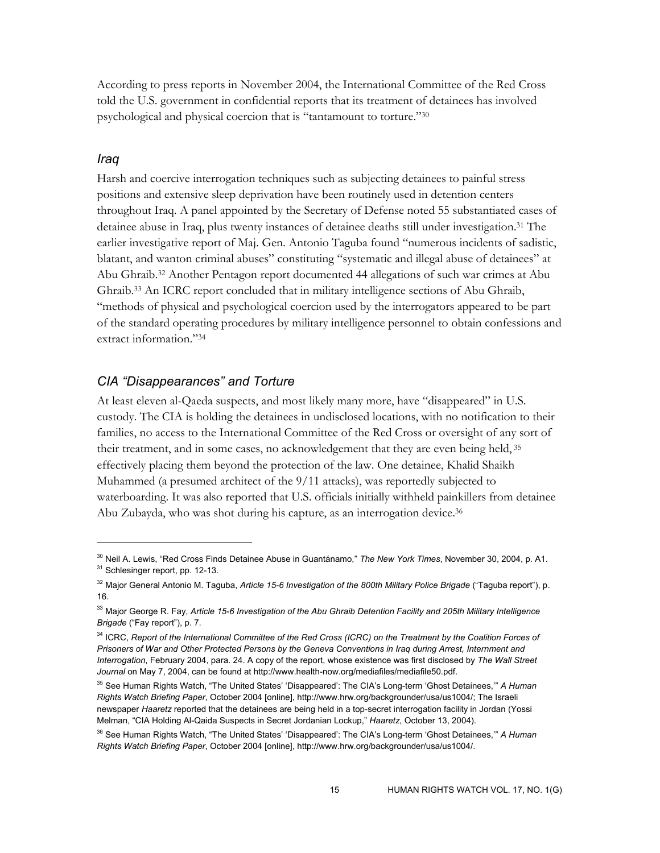According to press reports in November 2004, the International Committee of the Red Cross told the U.S. government in confidential reports that its treatment of detainees has involved psychological and physical coercion that is "tantamount to torture."30

#### *Iraq*

 $\overline{a}$ 

Harsh and coercive interrogation techniques such as subjecting detainees to painful stress positions and extensive sleep deprivation have been routinely used in detention centers throughout Iraq. A panel appointed by the Secretary of Defense noted 55 substantiated cases of detainee abuse in Iraq, plus twenty instances of detainee deaths still under investigation.31 The earlier investigative report of Maj. Gen. Antonio Taguba found "numerous incidents of sadistic, blatant, and wanton criminal abuses" constituting "systematic and illegal abuse of detainees" at Abu Ghraib.32 Another Pentagon report documented 44 allegations of such war crimes at Abu Ghraib.33 An ICRC report concluded that in military intelligence sections of Abu Ghraib, "methods of physical and psychological coercion used by the interrogators appeared to be part of the standard operating procedures by military intelligence personnel to obtain confessions and extract information."34

#### *CIA "Disappearances" and Torture*

At least eleven al-Qaeda suspects, and most likely many more, have "disappeared" in U.S. custody. The CIA is holding the detainees in undisclosed locations, with no notification to their families, no access to the International Committee of the Red Cross or oversight of any sort of their treatment, and in some cases, no acknowledgement that they are even being held, 35 effectively placing them beyond the protection of the law. One detainee, Khalid Shaikh Muhammed (a presumed architect of the 9/11 attacks), was reportedly subjected to waterboarding. It was also reported that U.S. officials initially withheld painkillers from detainee Abu Zubayda, who was shot during his capture, as an interrogation device.36

<sup>&</sup>lt;sup>30</sup> Neil A. Lewis, "Red Cross Finds Detainee Abuse in Guantánamo," *The New York Times*, November 30, 2004, p. A1. <sup>31</sup> Schlesinger report, pp. 12-13.

<sup>32</sup> Major General Antonio M. Taguba, *Article 15-6 Investigation of the 800th Military Police Brigade* ("Taguba report"), p. 16.

<sup>33</sup> Major George R. Fay, *Article 15-6 Investigation of the Abu Ghraib Detention Facility and 205th Military Intelligence Brigade* ("Fay report"), p. 7.

<sup>&</sup>lt;sup>34</sup> ICRC, *Report of the International Committee of the Red Cross (ICRC) on the Treatment by the Coalition Forces of Prisoners of War and Other Protected Persons by the Geneva Conventions in Iraq during Arrest, Internment and Interrogation*, February 2004, para. 24. A copy of the report, whose existence was first disclosed by *The Wall Street Journal* on May 7, 2004, can be found at http://www.health-now.org/mediafiles/mediafile50.pdf.

<sup>35</sup> See Human Rights Watch, "The United States' 'Disappeared': The CIA's Long-term 'Ghost Detainees,'" *A Human Rights Watch Briefing Paper*, October 2004 [online], http://www.hrw.org/backgrounder/usa/us1004/; The Israeli newspaper *Haaretz* reported that the detainees are being held in a top-secret interrogation facility in Jordan (Yossi Melman, "CIA Holding Al-Qaida Suspects in Secret Jordanian Lockup," *Haaretz*, October 13, 2004).

<sup>36</sup> See Human Rights Watch, "The United States' 'Disappeared': The CIA's Long-term 'Ghost Detainees,'" *A Human Rights Watch Briefing Paper*, October 2004 [online], http://www.hrw.org/backgrounder/usa/us1004/.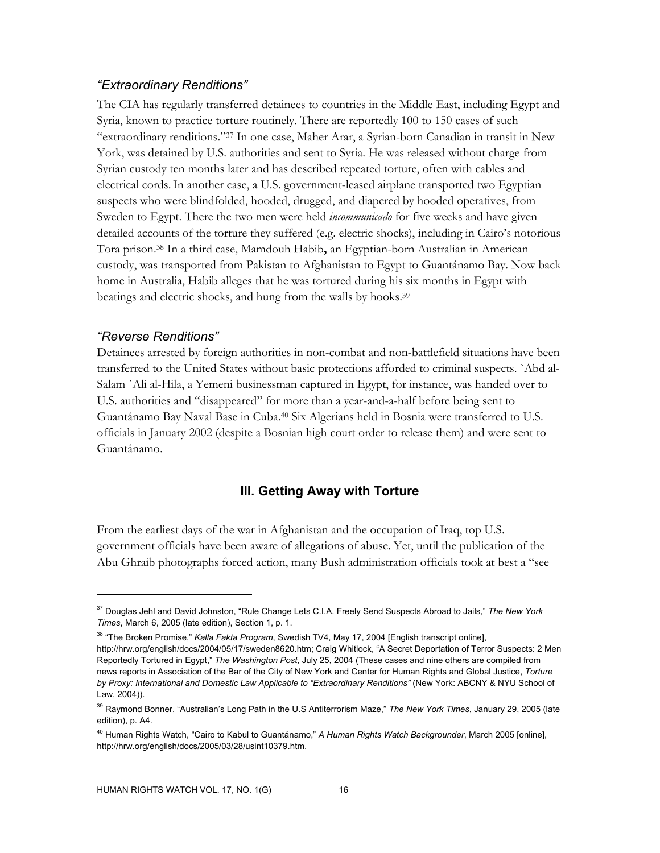#### *"Extraordinary Renditions"*

The CIA has regularly transferred detainees to countries in the Middle East, including Egypt and Syria, known to practice torture routinely. There are reportedly 100 to 150 cases of such "extraordinary renditions."37 In one case, Maher Arar, a Syrian-born Canadian in transit in New York, was detained by U.S. authorities and sent to Syria. He was released without charge from Syrian custody ten months later and has described repeated torture, often with cables and electrical cords.In another case, a U.S. government-leased airplane transported two Egyptian suspects who were blindfolded, hooded, drugged, and diapered by hooded operatives, from Sweden to Egypt. There the two men were held *incommunicado* for five weeks and have given detailed accounts of the torture they suffered (e.g. electric shocks), including in Cairo's notorious Tora prison.38 In a third case, Mamdouh Habib**,** an Egyptian-born Australian in American custody, was transported from Pakistan to Afghanistan to Egypt to Guantánamo Bay. Now back home in Australia, Habib alleges that he was tortured during his six months in Egypt with beatings and electric shocks, and hung from the walls by hooks.39

#### *"Reverse Renditions"*

 $\overline{a}$ 

Detainees arrested by foreign authorities in non-combat and non-battlefield situations have been transferred to the United States without basic protections afforded to criminal suspects. `Abd al-Salam `Ali al-Hila, a Yemeni businessman captured in Egypt, for instance, was handed over to U.S. authorities and "disappeared" for more than a year-and-a-half before being sent to Guantánamo Bay Naval Base in Cuba.40 Six Algerians held in Bosnia were transferred to U.S. officials in January 2002 (despite a Bosnian high court order to release them) and were sent to Guantánamo.

#### **III. Getting Away with Torture**

From the earliest days of the war in Afghanistan and the occupation of Iraq, top U.S. government officials have been aware of allegations of abuse. Yet, until the publication of the Abu Ghraib photographs forced action, many Bush administration officials took at best a "see

<sup>37</sup> Douglas Jehl and David Johnston, "Rule Change Lets C.I.A. Freely Send Suspects Abroad to Jails," *The New York Times*, March 6, 2005 (late edition), Section 1, p. 1.

<sup>38 &</sup>quot;The Broken Promise," *Kalla Fakta Program*, Swedish TV4, May 17, 2004 [English transcript online],

http://hrw.org/english/docs/2004/05/17/sweden8620.htm; Craig Whitlock, "A Secret Deportation of Terror Suspects: 2 Men Reportedly Tortured in Egypt," *The Washington Post*, July 25, 2004 (These cases and nine others are compiled from news reports in Association of the Bar of the City of New York and Center for Human Rights and Global Justice, *Torture by Proxy: International and Domestic Law Applicable to "Extraordinary Renditions"* (New York: ABCNY & NYU School of Law, 2004)).

<sup>39</sup> Raymond Bonner, "Australian's Long Path in the U.S Antiterrorism Maze," *The New York Times*, January 29, 2005 (late edition), p. A4.

<sup>40</sup> Human Rights Watch, "Cairo to Kabul to Guantánamo," *A Human Rights Watch Backgrounder*, March 2005 [online], http://hrw.org/english/docs/2005/03/28/usint10379.htm.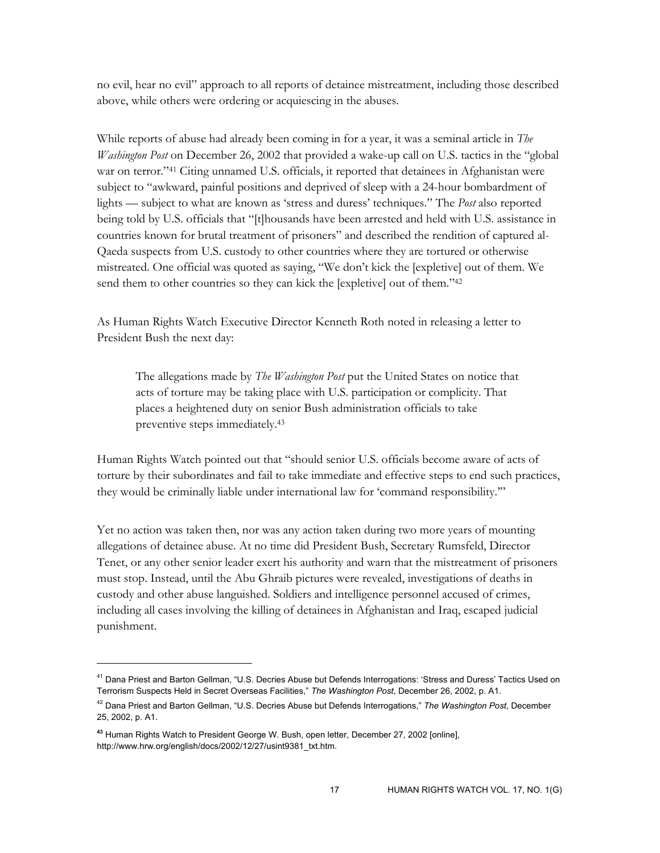no evil, hear no evil" approach to all reports of detainee mistreatment, including those described above, while others were ordering or acquiescing in the abuses.

While reports of abuse had already been coming in for a year, it was a seminal article in *The Washington Post* on December 26, 2002 that provided a wake-up call on U.S. tactics in the "global war on terror."<sup>41</sup> Citing unnamed U.S. officials, it reported that detainees in Afghanistan were subject to "awkward, painful positions and deprived of sleep with a 24-hour bombardment of lights — subject to what are known as 'stress and duress' techniques." The *Post* also reported being told by U.S. officials that "[t]housands have been arrested and held with U.S. assistance in countries known for brutal treatment of prisoners" and described the rendition of captured al-Qaeda suspects from U.S. custody to other countries where they are tortured or otherwise mistreated. One official was quoted as saying, "We don't kick the [expletive] out of them. We send them to other countries so they can kick the [expletive] out of them."<sup>42</sup>

As Human Rights Watch Executive Director Kenneth Roth noted in releasing a letter to President Bush the next day:

The allegations made by *The Washington Post* put the United States on notice that acts of torture may be taking place with U.S. participation or complicity. That places a heightened duty on senior Bush administration officials to take preventive steps immediately.43

Human Rights Watch pointed out that "should senior U.S. officials become aware of acts of torture by their subordinates and fail to take immediate and effective steps to end such practices, they would be criminally liable under international law for 'command responsibility.'"

Yet no action was taken then, nor was any action taken during two more years of mounting allegations of detainee abuse. At no time did President Bush, Secretary Rumsfeld, Director Tenet, or any other senior leader exert his authority and warn that the mistreatment of prisoners must stop. Instead, until the Abu Ghraib pictures were revealed, investigations of deaths in custody and other abuse languished. Soldiers and intelligence personnel accused of crimes, including all cases involving the killing of detainees in Afghanistan and Iraq, escaped judicial punishment.

<sup>41</sup> Dana Priest and Barton Gellman, "U.S. Decries Abuse but Defends Interrogations: 'Stress and Duress' Tactics Used on Terrorism Suspects Held in Secret Overseas Facilities," *The Washington Post*, December 26, 2002, p. A1.

<sup>42</sup> Dana Priest and Barton Gellman, "U.S. Decries Abuse but Defends Interrogations," *The Washington Post*, December 25, 2002, p. A1.

**<sup>43</sup>** Human Rights Watch to President George W. Bush, open letter, December 27, 2002 [online], http://www.hrw.org/english/docs/2002/12/27/usint9381\_txt.htm.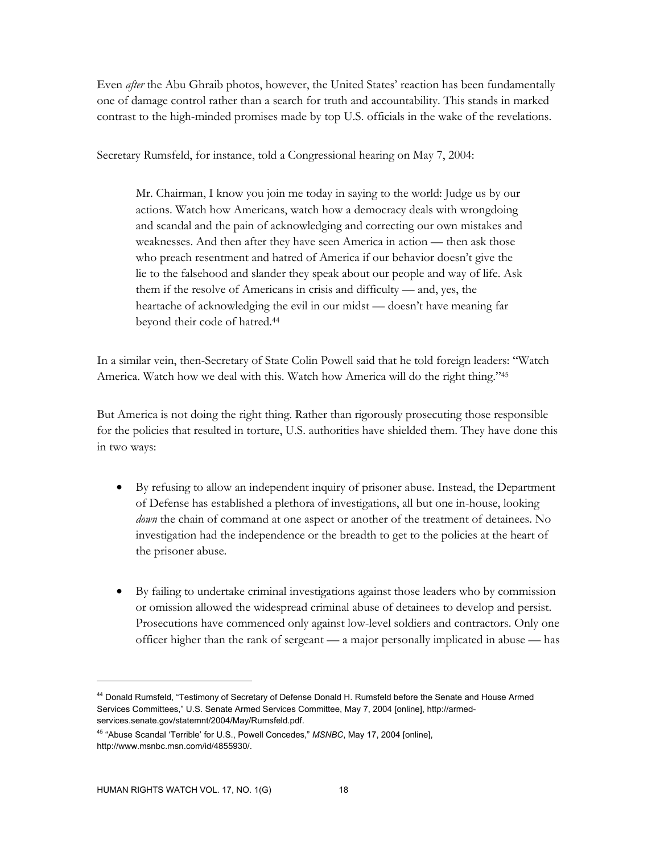Even *after* the Abu Ghraib photos, however, the United States' reaction has been fundamentally one of damage control rather than a search for truth and accountability. This stands in marked contrast to the high-minded promises made by top U.S. officials in the wake of the revelations.

Secretary Rumsfeld, for instance, told a Congressional hearing on May 7, 2004:

Mr. Chairman, I know you join me today in saying to the world: Judge us by our actions. Watch how Americans, watch how a democracy deals with wrongdoing and scandal and the pain of acknowledging and correcting our own mistakes and weaknesses. And then after they have seen America in action — then ask those who preach resentment and hatred of America if our behavior doesn't give the lie to the falsehood and slander they speak about our people and way of life. Ask them if the resolve of Americans in crisis and difficulty — and, yes, the heartache of acknowledging the evil in our midst — doesn't have meaning far beyond their code of hatred.44

In a similar vein, then-Secretary of State Colin Powell said that he told foreign leaders: "Watch America. Watch how we deal with this. Watch how America will do the right thing."45

But America is not doing the right thing. Rather than rigorously prosecuting those responsible for the policies that resulted in torture, U.S. authorities have shielded them. They have done this in two ways:

- By refusing to allow an independent inquiry of prisoner abuse. Instead, the Department of Defense has established a plethora of investigations, all but one in-house, looking *down* the chain of command at one aspect or another of the treatment of detainees. No investigation had the independence or the breadth to get to the policies at the heart of the prisoner abuse.
- By failing to undertake criminal investigations against those leaders who by commission or omission allowed the widespread criminal abuse of detainees to develop and persist. Prosecutions have commenced only against low-level soldiers and contractors. Only one officer higher than the rank of sergeant — a major personally implicated in abuse — has

<sup>44</sup> Donald Rumsfeld, "Testimony of Secretary of Defense Donald H. Rumsfeld before the Senate and House Armed Services Committees," U.S. Senate Armed Services Committee, May 7, 2004 [online], http://armedservices.senate.gov/statemnt/2004/May/Rumsfeld.pdf.

<sup>45 &</sup>quot;Abuse Scandal 'Terrible' for U.S., Powell Concedes," *MSNBC*, May 17, 2004 [online], http://www.msnbc.msn.com/id/4855930/.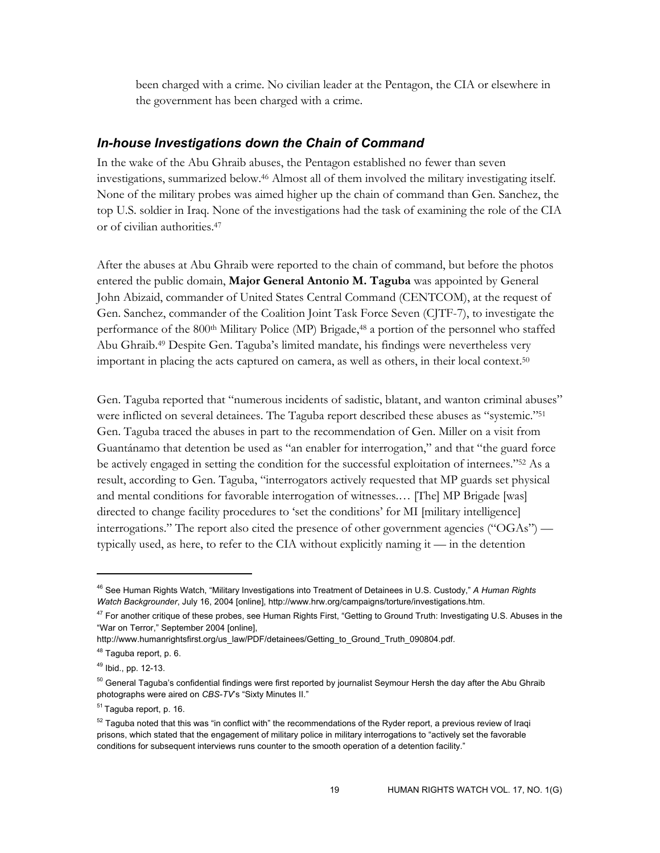been charged with a crime. No civilian leader at the Pentagon, the CIA or elsewhere in the government has been charged with a crime.

#### *In-house Investigations down the Chain of Command*

In the wake of the Abu Ghraib abuses, the Pentagon established no fewer than seven investigations, summarized below.46 Almost all of them involved the military investigating itself. None of the military probes was aimed higher up the chain of command than Gen. Sanchez, the top U.S. soldier in Iraq. None of the investigations had the task of examining the role of the CIA or of civilian authorities.47

After the abuses at Abu Ghraib were reported to the chain of command, but before the photos entered the public domain, **Major General Antonio M. Taguba** was appointed by General John Abizaid, commander of United States Central Command (CENTCOM), at the request of Gen. Sanchez, commander of the Coalition Joint Task Force Seven (CJTF-7), to investigate the performance of the 800<sup>th</sup> Military Police (MP) Brigade,<sup>48</sup> a portion of the personnel who staffed Abu Ghraib.49 Despite Gen. Taguba's limited mandate, his findings were nevertheless very important in placing the acts captured on camera, as well as others, in their local context.50

Gen. Taguba reported that "numerous incidents of sadistic, blatant, and wanton criminal abuses" were inflicted on several detainees. The Taguba report described these abuses as "systemic."51 Gen. Taguba traced the abuses in part to the recommendation of Gen. Miller on a visit from Guantánamo that detention be used as "an enabler for interrogation," and that "the guard force be actively engaged in setting the condition for the successful exploitation of internees."52 As a result, according to Gen. Taguba, "interrogators actively requested that MP guards set physical and mental conditions for favorable interrogation of witnesses.… [The] MP Brigade [was] directed to change facility procedures to 'set the conditions' for MI [military intelligence] interrogations." The report also cited the presence of other government agencies ("OGAs") typically used, as here, to refer to the CIA without explicitly naming it — in the detention

<sup>46</sup> See Human Rights Watch, "Military Investigations into Treatment of Detainees in U.S. Custody," *A Human Rights Watch Backgrounder*, July 16, 2004 [online], http://www.hrw.org/campaigns/torture/investigations.htm.

<sup>&</sup>lt;sup>47</sup> For another critique of these probes, see Human Rights First, "Getting to Ground Truth: Investigating U.S. Abuses in the "War on Terror," September 2004 [online],

http://www.humanrightsfirst.org/us\_law/PDF/detainees/Getting\_to\_Ground\_Truth\_090804.pdf.

<sup>&</sup>lt;sup>48</sup> Taguba report, p. 6.

<sup>49</sup> Ibid., pp. 12-13.

 $50$  General Taquba's confidential findings were first reported by journalist Seymour Hersh the day after the Abu Ghraib photographs were aired on *CBS-TV*'s "Sixty Minutes II."

 $51$  Taguba report, p. 16.

 $52$  Taguba noted that this was "in conflict with" the recommendations of the Ryder report, a previous review of Iraqi prisons, which stated that the engagement of military police in military interrogations to "actively set the favorable conditions for subsequent interviews runs counter to the smooth operation of a detention facility."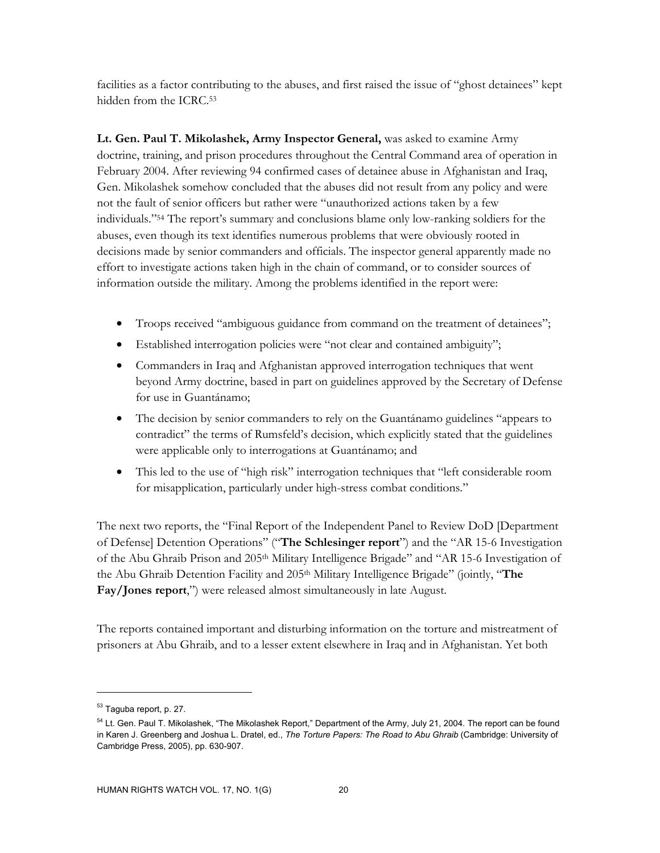facilities as a factor contributing to the abuses, and first raised the issue of "ghost detainees" kept hidden from the ICRC.<sup>53</sup>

**Lt. Gen. Paul T. Mikolashek, Army Inspector General,** was asked to examine Army doctrine, training, and prison procedures throughout the Central Command area of operation in February 2004. After reviewing 94 confirmed cases of detainee abuse in Afghanistan and Iraq, Gen. Mikolashek somehow concluded that the abuses did not result from any policy and were not the fault of senior officers but rather were "unauthorized actions taken by a few individuals."54 The report's summary and conclusions blame only low-ranking soldiers for the abuses, even though its text identifies numerous problems that were obviously rooted in decisions made by senior commanders and officials. The inspector general apparently made no effort to investigate actions taken high in the chain of command, or to consider sources of information outside the military. Among the problems identified in the report were:

- Troops received "ambiguous guidance from command on the treatment of detainees";
- Established interrogation policies were "not clear and contained ambiguity";
- Commanders in Iraq and Afghanistan approved interrogation techniques that went beyond Army doctrine, based in part on guidelines approved by the Secretary of Defense for use in Guantánamo;
- The decision by senior commanders to rely on the Guantánamo guidelines "appears to contradict" the terms of Rumsfeld's decision, which explicitly stated that the guidelines were applicable only to interrogations at Guantánamo; and
- This led to the use of "high risk" interrogation techniques that "left considerable room for misapplication, particularly under high-stress combat conditions."

The next two reports, the "Final Report of the Independent Panel to Review DoD [Department of Defense] Detention Operations" ("**The Schlesinger report**") and the "AR 15-6 Investigation of the Abu Ghraib Prison and 205th Military Intelligence Brigade" and "AR 15-6 Investigation of the Abu Ghraib Detention Facility and 205th Military Intelligence Brigade" (jointly, "**The Fay/Jones report**,") were released almost simultaneously in late August.

The reports contained important and disturbing information on the torture and mistreatment of prisoners at Abu Ghraib, and to a lesser extent elsewhere in Iraq and in Afghanistan. Yet both

 $\overline{a}$ 

<sup>53</sup> Taguba report, p. 27.

<sup>&</sup>lt;sup>54</sup> Lt. Gen. Paul T. Mikolashek, "The Mikolashek Report," Department of the Army, July 21, 2004. The report can be found in Karen J. Greenberg and Joshua L. Dratel, ed., *The Torture Papers: The Road to Abu Ghraib* (Cambridge: University of Cambridge Press, 2005), pp. 630-907.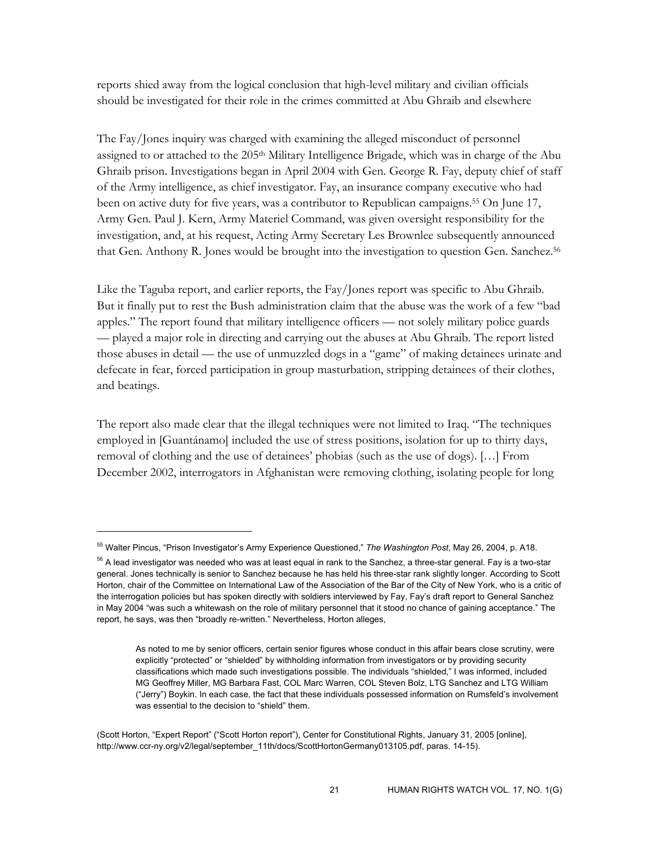reports shied away from the logical conclusion that high-level military and civilian officials should be investigated for their role in the crimes committed at Abu Ghraib and elsewhere

The Fay/Jones inquiry was charged with examining the alleged misconduct of personnel assigned to or attached to the 205<sup>th</sup> Military Intelligence Brigade, which was in charge of the Abu Ghraib prison. Investigations began in April 2004 with Gen. George R. Fay, deputy chief of staff of the Army intelligence, as chief investigator. Fay, an insurance company executive who had been on active duty for five years, was a contributor to Republican campaigns.55 On June 17, Army Gen. Paul J. Kern, Army Materiel Command, was given oversight responsibility for the investigation, and, at his request, Acting Army Secretary Les Brownlee subsequently announced that Gen. Anthony R. Jones would be brought into the investigation to question Gen. Sanchez.56

Like the Taguba report, and earlier reports, the Fay/Jones report was specific to Abu Ghraib. But it finally put to rest the Bush administration claim that the abuse was the work of a few "bad apples." The report found that military intelligence officers — not solely military police guards — played a major role in directing and carrying out the abuses at Abu Ghraib. The report listed those abuses in detail — the use of unmuzzled dogs in a "game" of making detainees urinate and defecate in fear, forced participation in group masturbation, stripping detainees of their clothes, and beatings.

The report also made clear that the illegal techniques were not limited to Iraq. "The techniques employed in [Guantánamo] included the use of stress positions, isolation for up to thirty days, removal of clothing and the use of detainees' phobias (such as the use of dogs). […] From December 2002, interrogators in Afghanistan were removing clothing, isolating people for long

<sup>55</sup> Walter Pincus, "Prison Investigator's Army Experience Questioned," *The Washington Post*, May 26, 2004, p. A18.

<sup>&</sup>lt;sup>56</sup> A lead investigator was needed who was at least equal in rank to the Sanchez, a three-star general. Fay is a two-star general. Jones technically is senior to Sanchez because he has held his three-star rank slightly longer. According to Scott Horton, chair of the Committee on International Law of the Association of the Bar of the City of New York, who is a critic of the interrogation policies but has spoken directly with soldiers interviewed by Fay, Fay's draft report to General Sanchez in May 2004 "was such a whitewash on the role of military personnel that it stood no chance of gaining acceptance." The report, he says, was then "broadly re-written." Nevertheless, Horton alleges,

As noted to me by senior officers, certain senior figures whose conduct in this affair bears close scrutiny, were explicitly "protected" or "shielded" by withholding information from investigators or by providing security classifications which made such investigations possible. The individuals "shielded," I was informed, included MG Geoffrey Miller, MG Barbara Fast, COL Marc Warren, COL Steven Bolz, LTG Sanchez and LTG William ("Jerry") Boykin. In each case, the fact that these individuals possessed information on Rumsfeld's involvement was essential to the decision to "shield" them.

<sup>(</sup>Scott Horton, "Expert Report" ("Scott Horton report"), Center for Constitutional Rights, January 31, 2005 [online], http://www.ccr-ny.org/v2/legal/september\_11th/docs/ScottHortonGermany013105.pdf, paras. 14-15).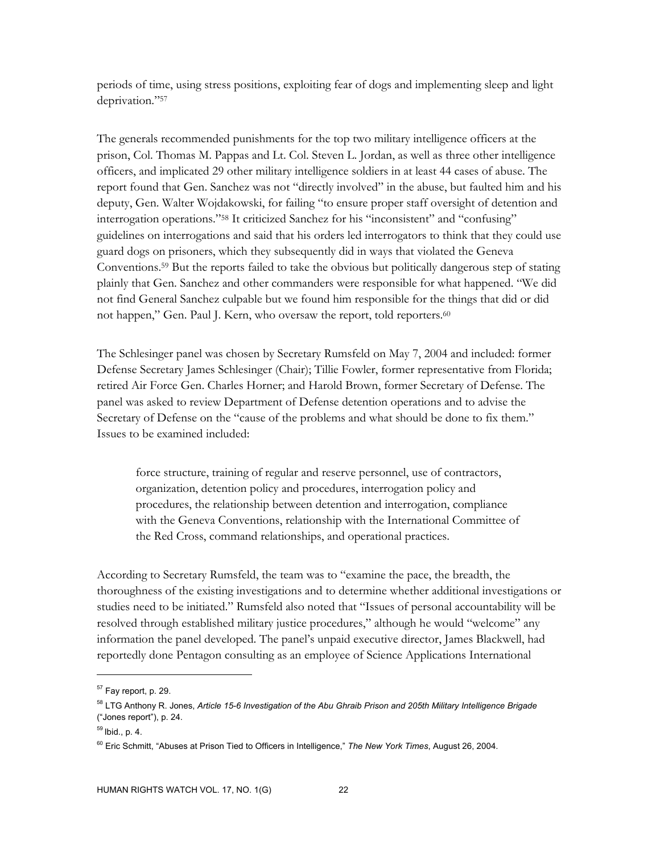periods of time, using stress positions, exploiting fear of dogs and implementing sleep and light deprivation."57

The generals recommended punishments for the top two military intelligence officers at the prison, Col. Thomas M. Pappas and Lt. Col. Steven L. Jordan, as well as three other intelligence officers, and implicated 29 other military intelligence soldiers in at least 44 cases of abuse. The report found that Gen. Sanchez was not "directly involved" in the abuse, but faulted him and his deputy, Gen. Walter Wojdakowski, for failing "to ensure proper staff oversight of detention and interrogation operations."58 It criticized Sanchez for his "inconsistent" and "confusing" guidelines on interrogations and said that his orders led interrogators to think that they could use guard dogs on prisoners, which they subsequently did in ways that violated the Geneva Conventions.59 But the reports failed to take the obvious but politically dangerous step of stating plainly that Gen. Sanchez and other commanders were responsible for what happened. "We did not find General Sanchez culpable but we found him responsible for the things that did or did not happen," Gen. Paul J. Kern, who oversaw the report, told reporters.<sup>60</sup>

The Schlesinger panel was chosen by Secretary Rumsfeld on May 7, 2004 and included: former Defense Secretary James Schlesinger (Chair); Tillie Fowler, former representative from Florida; retired Air Force Gen. Charles Horner; and Harold Brown, former Secretary of Defense. The panel was asked to review Department of Defense detention operations and to advise the Secretary of Defense on the "cause of the problems and what should be done to fix them." Issues to be examined included:

force structure, training of regular and reserve personnel, use of contractors, organization, detention policy and procedures, interrogation policy and procedures, the relationship between detention and interrogation, compliance with the Geneva Conventions, relationship with the International Committee of the Red Cross, command relationships, and operational practices.

According to Secretary Rumsfeld, the team was to "examine the pace, the breadth, the thoroughness of the existing investigations and to determine whether additional investigations or studies need to be initiated." Rumsfeld also noted that "Issues of personal accountability will be resolved through established military justice procedures," although he would "welcome" any information the panel developed. The panel's unpaid executive director, James Blackwell, had reportedly done Pentagon consulting as an employee of Science Applications International

 $57$  Fay report, p. 29.

<sup>58</sup> LTG Anthony R. Jones, *Article 15-6 Investigation of the Abu Ghraib Prison and 205th Military Intelligence Brigade* ("Jones report"), p. 24.

 $59$  Ibid., p. 4.

<sup>60</sup> Eric Schmitt, "Abuses at Prison Tied to Officers in Intelligence," *The New York Times*, August 26, 2004.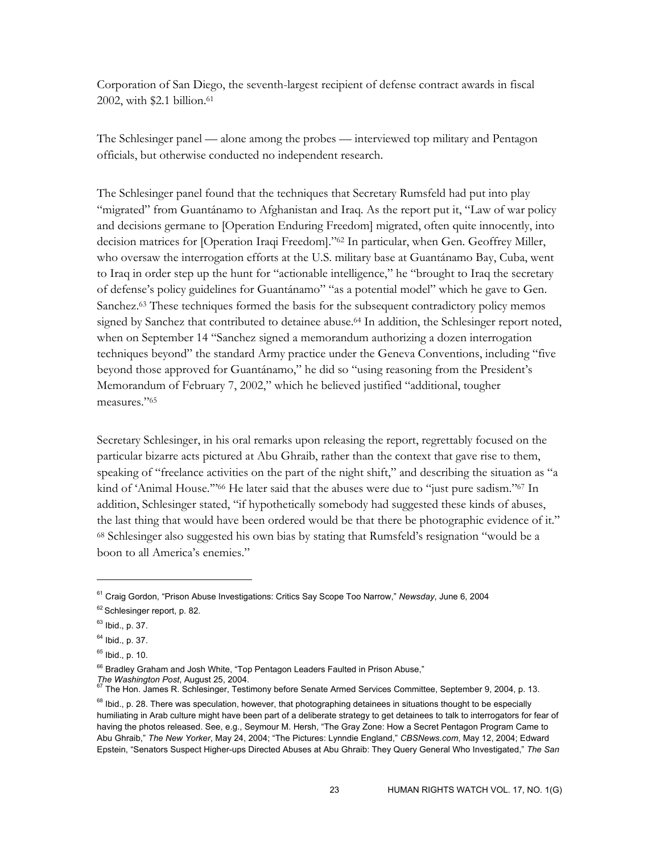Corporation of San Diego, the seventh-largest recipient of defense contract awards in fiscal 2002, with \$2.1 billion.<sup>61</sup>

The Schlesinger panel — alone among the probes — interviewed top military and Pentagon officials, but otherwise conducted no independent research.

The Schlesinger panel found that the techniques that Secretary Rumsfeld had put into play "migrated" from Guantánamo to Afghanistan and Iraq. As the report put it, "Law of war policy and decisions germane to [Operation Enduring Freedom] migrated, often quite innocently, into decision matrices for [Operation Iraqi Freedom]."62 In particular, when Gen. Geoffrey Miller, who oversaw the interrogation efforts at the U.S. military base at Guantánamo Bay, Cuba, went to Iraq in order step up the hunt for "actionable intelligence," he "brought to Iraq the secretary of defense's policy guidelines for Guantánamo" "as a potential model" which he gave to Gen. Sanchez.63 These techniques formed the basis for the subsequent contradictory policy memos signed by Sanchez that contributed to detainee abuse.<sup>64</sup> In addition, the Schlesinger report noted, when on September 14 "Sanchez signed a memorandum authorizing a dozen interrogation techniques beyond" the standard Army practice under the Geneva Conventions, including "five beyond those approved for Guantánamo," he did so "using reasoning from the President's Memorandum of February 7, 2002," which he believed justified "additional, tougher measures."65

Secretary Schlesinger, in his oral remarks upon releasing the report, regrettably focused on the particular bizarre acts pictured at Abu Ghraib, rather than the context that gave rise to them, speaking of "freelance activities on the part of the night shift," and describing the situation as "a kind of 'Animal House."<sup>66</sup> He later said that the abuses were due to "just pure sadism."<sup>67</sup> In addition, Schlesinger stated, "if hypothetically somebody had suggested these kinds of abuses, the last thing that would have been ordered would be that there be photographic evidence of it." 68 Schlesinger also suggested his own bias by stating that Rumsfeld's resignation "would be a boon to all America's enemies."

<sup>61</sup> Craig Gordon, "Prison Abuse Investigations: Critics Say Scope Too Narrow," *Newsday*, June 6, 2004 <sup>62</sup> Schlesinger report, p. 82.

<sup>63</sup> Ibid., p. 37.

 $64$  Ibid., p. 37.

 $65$  Ibid., p. 10.

<sup>&</sup>lt;sup>66</sup> Bradley Graham and Josh White, "Top Pentagon Leaders Faulted in Prison Abuse,"

*The Washington Post*, August 25, 2004.<br><sup>67</sup> The Hon. James R. Schlesinger, Testimony before Senate Armed Services Committee, September 9, 2004, p. 13.

 $68$  Ibid., p. 28. There was speculation, however, that photographing detainees in situations thought to be especially humiliating in Arab culture might have been part of a deliberate strategy to get detainees to talk to interrogators for fear of having the photos released. See, e.g., Seymour M. Hersh, "The Gray Zone: How a Secret Pentagon Program Came to Abu Ghraib," *The New Yorker*, May 24, 2004; "The Pictures: Lynndie England," *CBSNews.com*, May 12, 2004; Edward Epstein, "Senators Suspect Higher-ups Directed Abuses at Abu Ghraib: They Query General Who Investigated," *The San*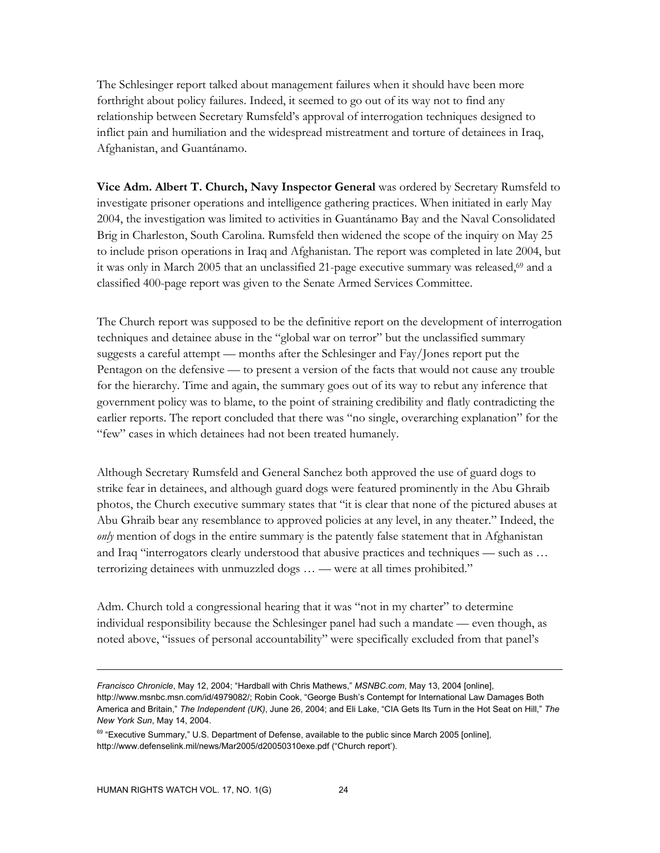The Schlesinger report talked about management failures when it should have been more forthright about policy failures. Indeed, it seemed to go out of its way not to find any relationship between Secretary Rumsfeld's approval of interrogation techniques designed to inflict pain and humiliation and the widespread mistreatment and torture of detainees in Iraq, Afghanistan, and Guantánamo.

**Vice Adm. Albert T. Church, Navy Inspector General** was ordered by Secretary Rumsfeld to investigate prisoner operations and intelligence gathering practices. When initiated in early May 2004, the investigation was limited to activities in Guantánamo Bay and the Naval Consolidated Brig in Charleston, South Carolina. Rumsfeld then widened the scope of the inquiry on May 25 to include prison operations in Iraq and Afghanistan. The report was completed in late 2004, but it was only in March 2005 that an unclassified 21-page executive summary was released,69 and a classified 400-page report was given to the Senate Armed Services Committee.

The Church report was supposed to be the definitive report on the development of interrogation techniques and detainee abuse in the "global war on terror" but the unclassified summary suggests a careful attempt — months after the Schlesinger and Fay/Jones report put the Pentagon on the defensive — to present a version of the facts that would not cause any trouble for the hierarchy. Time and again, the summary goes out of its way to rebut any inference that government policy was to blame, to the point of straining credibility and flatly contradicting the earlier reports. The report concluded that there was "no single, overarching explanation" for the "few" cases in which detainees had not been treated humanely.

Although Secretary Rumsfeld and General Sanchez both approved the use of guard dogs to strike fear in detainees, and although guard dogs were featured prominently in the Abu Ghraib photos, the Church executive summary states that "it is clear that none of the pictured abuses at Abu Ghraib bear any resemblance to approved policies at any level, in any theater." Indeed, the *only* mention of dogs in the entire summary is the patently false statement that in Afghanistan and Iraq "interrogators clearly understood that abusive practices and techniques — such as … terrorizing detainees with unmuzzled dogs … — were at all times prohibited."

Adm. Church told a congressional hearing that it was "not in my charter" to determine individual responsibility because the Schlesinger panel had such a mandate — even though, as noted above, "issues of personal accountability" were specifically excluded from that panel's

*Francisco Chronicle*, May 12, 2004; "Hardball with Chris Mathews," *MSNBC.com*, May 13, 2004 [online], http://www.msnbc.msn.com/id/4979082/; Robin Cook, "George Bush's Contempt for International Law Damages Both America and Britain," *The Independent (UK)*, June 26, 2004; and Eli Lake, "CIA Gets Its Turn in the Hot Seat on Hill," *The New York Sun*, May 14, 2004.

<sup>&</sup>lt;sup>69</sup> "Executive Summary," U.S. Department of Defense, available to the public since March 2005 [online], http://www.defenselink.mil/news/Mar2005/d20050310exe.pdf ("Church report').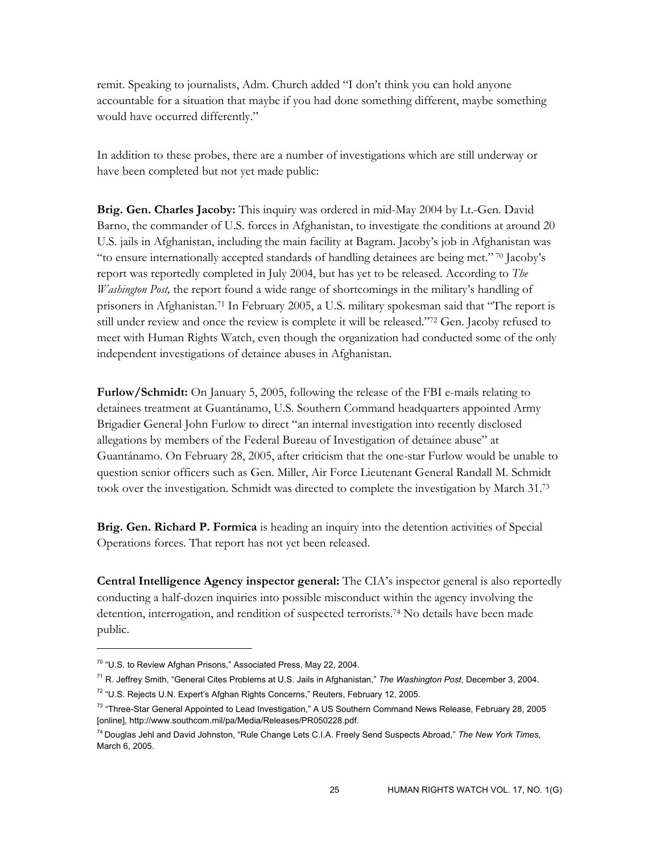remit. Speaking to journalists, Adm. Church added "I don't think you can hold anyone accountable for a situation that maybe if you had done something different, maybe something would have occurred differently."

In addition to these probes, there are a number of investigations which are still underway or have been completed but not yet made public:

**Brig. Gen. Charles Jacoby:** This inquiry was ordered in mid-May 2004 by Lt.-Gen. David Barno, the commander of U.S. forces in Afghanistan, to investigate the conditions at around 20 U.S. jails in Afghanistan, including the main facility at Bagram. Jacoby's job in Afghanistan was "to ensure internationally accepted standards of handling detainees are being met." 70 Jacoby's report was reportedly completed in July 2004, but has yet to be released. According to *The Washington Post,* the report found a wide range of shortcomings in the military's handling of prisoners in Afghanistan.71 In February 2005, a U.S. military spokesman said that "The report is still under review and once the review is complete it will be released."72 Gen. Jacoby refused to meet with Human Rights Watch, even though the organization had conducted some of the only independent investigations of detainee abuses in Afghanistan.

**Furlow/Schmidt:** On January 5, 2005, following the release of the FBI e-mails relating to detainees treatment at Guantánamo, U.S. Southern Command headquarters appointed Army Brigadier General John Furlow to direct "an internal investigation into recently disclosed allegations by members of the Federal Bureau of Investigation of detainee abuse" at Guantánamo. On February 28, 2005, after criticism that the one-star Furlow would be unable to question senior officers such as Gen. Miller, Air Force Lieutenant General Randall M. Schmidt took over the investigation. Schmidt was directed to complete the investigation by March 31.73

**Brig. Gen. Richard P. Formica** is heading an inquiry into the detention activities of Special Operations forces. That report has not yet been released.

**Central Intelligence Agency inspector general:** The CIA's inspector general is also reportedly conducting a half-dozen inquiries into possible misconduct within the agency involving the detention, interrogation, and rendition of suspected terrorists.74 No details have been made public.

 $\overline{a}$ 

71 R. Jeffrey Smith, "General Cites Problems at U.S. Jails in Afghanistan," *The Washington Post*, December 3, 2004.

<sup>70 &</sup>quot;U.S. to Review Afghan Prisons," Associated Press, May 22, 2004.

<sup>72 &</sup>quot;U.S. Rejects U.N. Expert's Afghan Rights Concerns," Reuters, February 12, 2005.

<sup>&</sup>lt;sup>73</sup> "Three-Star General Appointed to Lead Investigation," A US Southern Command News Release, February 28, 2005 [online], http://www.southcom.mil/pa/Media/Releases/PR050228.pdf.

<sup>74</sup> Douglas Jehl and David Johnston, "Rule Change Lets C.I.A. Freely Send Suspects Abroad," *The New York Times*, March 6, 2005.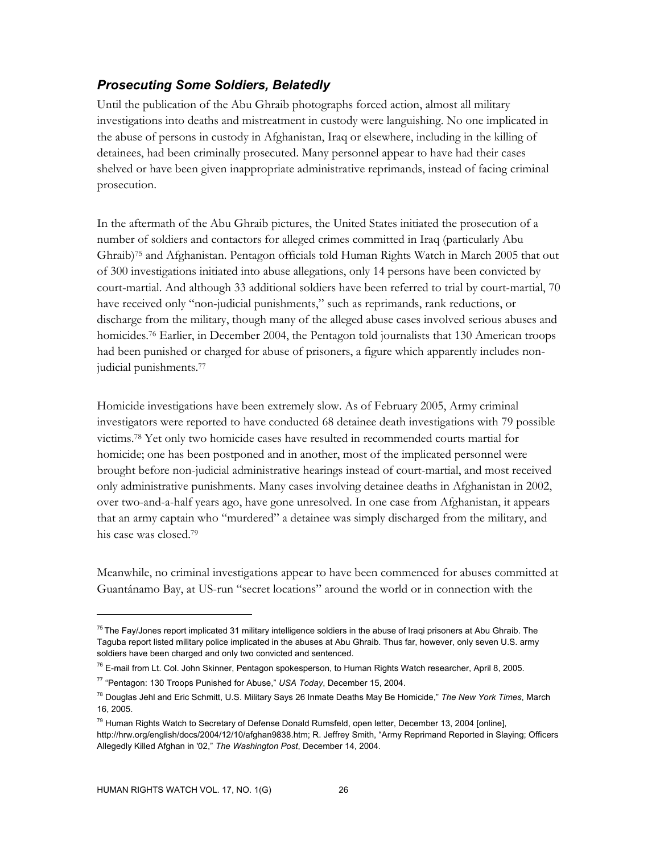## *Prosecuting Some Soldiers, Belatedly*

Until the publication of the Abu Ghraib photographs forced action, almost all military investigations into deaths and mistreatment in custody were languishing. No one implicated in the abuse of persons in custody in Afghanistan, Iraq or elsewhere, including in the killing of detainees, had been criminally prosecuted. Many personnel appear to have had their cases shelved or have been given inappropriate administrative reprimands, instead of facing criminal prosecution.

In the aftermath of the Abu Ghraib pictures, the United States initiated the prosecution of a number of soldiers and contactors for alleged crimes committed in Iraq (particularly Abu Ghraib)75 and Afghanistan. Pentagon officials told Human Rights Watch in March 2005 that out of 300 investigations initiated into abuse allegations, only 14 persons have been convicted by court-martial. And although 33 additional soldiers have been referred to trial by court-martial, 70 have received only "non-judicial punishments," such as reprimands, rank reductions, or discharge from the military, though many of the alleged abuse cases involved serious abuses and homicides.<sup>76</sup> Earlier, in December 2004, the Pentagon told journalists that 130 American troops had been punished or charged for abuse of prisoners, a figure which apparently includes nonjudicial punishments.77

Homicide investigations have been extremely slow. As of February 2005, Army criminal investigators were reported to have conducted 68 detainee death investigations with 79 possible victims.78 Yet only two homicide cases have resulted in recommended courts martial for homicide; one has been postponed and in another, most of the implicated personnel were brought before non-judicial administrative hearings instead of court-martial, and most received only administrative punishments. Many cases involving detainee deaths in Afghanistan in 2002, over two-and-a-half years ago, have gone unresolved. In one case from Afghanistan, it appears that an army captain who "murdered" a detainee was simply discharged from the military, and his case was closed.79

Meanwhile, no criminal investigations appear to have been commenced for abuses committed at Guantánamo Bay, at US-run "secret locations" around the world or in connection with the

 $\overline{a}$ 

 $75$  The Fay/Jones report implicated 31 military intelligence soldiers in the abuse of Iraqi prisoners at Abu Ghraib. The Taguba report listed military police implicated in the abuses at Abu Ghraib. Thus far, however, only seven U.S. army soldiers have been charged and only two convicted and sentenced.

<sup>&</sup>lt;sup>76</sup> E-mail from Lt. Col. John Skinner, Pentagon spokesperson, to Human Rights Watch researcher, April 8, 2005.

<sup>77 &</sup>quot;Pentagon: 130 Troops Punished for Abuse," *USA Today*, December 15, 2004.

<sup>78</sup> Douglas Jehl and Eric Schmitt, U.S. Military Says 26 Inmate Deaths May Be Homicide," *The New York Times*, March 16, 2005.

<sup>&</sup>lt;sup>79</sup> Human Rights Watch to Secretary of Defense Donald Rumsfeld, open letter, December 13, 2004 [online], http://hrw.org/english/docs/2004/12/10/afghan9838.htm; R. Jeffrey Smith, "Army Reprimand Reported in Slaying; Officers Allegedly Killed Afghan in '02," *The Washington Post*, December 14, 2004.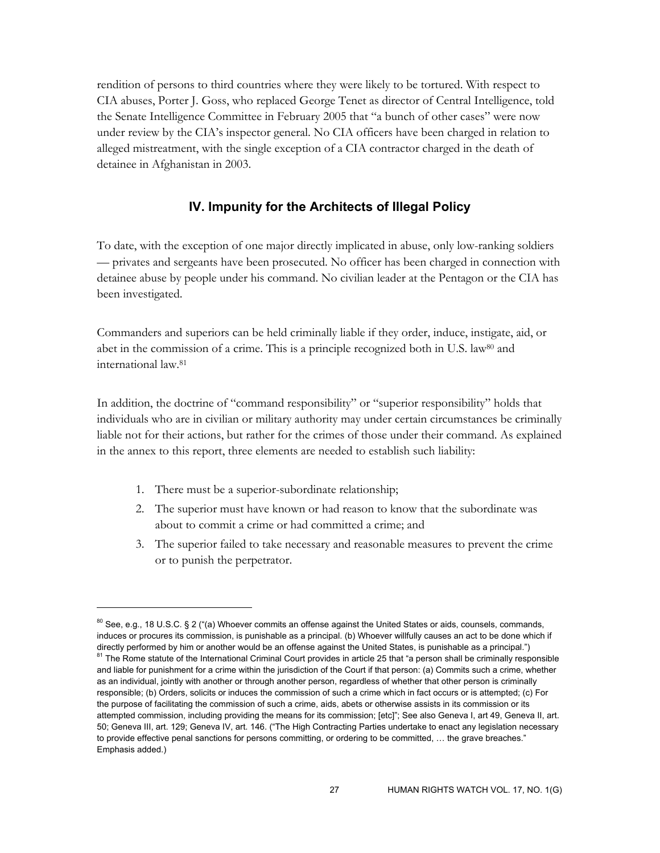rendition of persons to third countries where they were likely to be tortured. With respect to CIA abuses, Porter J. Goss, who replaced George Tenet as director of Central Intelligence, told the Senate Intelligence Committee in February 2005 that "a bunch of other cases" were now under review by the CIA's inspector general. No CIA officers have been charged in relation to alleged mistreatment, with the single exception of a CIA contractor charged in the death of detainee in Afghanistan in 2003.

## **IV. Impunity for the Architects of Illegal Policy**

To date, with the exception of one major directly implicated in abuse, only low-ranking soldiers — privates and sergeants have been prosecuted. No officer has been charged in connection with detainee abuse by people under his command. No civilian leader at the Pentagon or the CIA has been investigated.

Commanders and superiors can be held criminally liable if they order, induce, instigate, aid, or abet in the commission of a crime. This is a principle recognized both in U.S. law<sup>80</sup> and international law.81

In addition, the doctrine of "command responsibility" or "superior responsibility" holds that individuals who are in civilian or military authority may under certain circumstances be criminally liable not for their actions, but rather for the crimes of those under their command. As explained in the annex to this report, three elements are needed to establish such liability:

1. There must be a superior-subordinate relationship;

- 2. The superior must have known or had reason to know that the subordinate was about to commit a crime or had committed a crime; and
- 3. The superior failed to take necessary and reasonable measures to prevent the crime or to punish the perpetrator.

 $80$  See, e.g., 18 U.S.C. § 2 ("(a) Whoever commits an offense against the United States or aids, counsels, commands, induces or procures its commission, is punishable as a principal. (b) Whoever willfully causes an act to be done which if directly performed by him or another would be an offense against the United States, is punishable as a principal.")<br><sup>81</sup> The Rome statute of the International Criminal Court provides in article 25 that "a person shall be c and liable for punishment for a crime within the jurisdiction of the Court if that person: (a) Commits such a crime, whether as an individual, jointly with another or through another person, regardless of whether that other person is criminally responsible; (b) Orders, solicits or induces the commission of such a crime which in fact occurs or is attempted; (c) For the purpose of facilitating the commission of such a crime, aids, abets or otherwise assists in its commission or its attempted commission, including providing the means for its commission; [etc]"; See also Geneva I, art 49, Geneva II, art. 50; Geneva III, art. 129; Geneva IV, art. 146. ("The High Contracting Parties undertake to enact any legislation necessary to provide effective penal sanctions for persons committing, or ordering to be committed, … the grave breaches." Emphasis added.)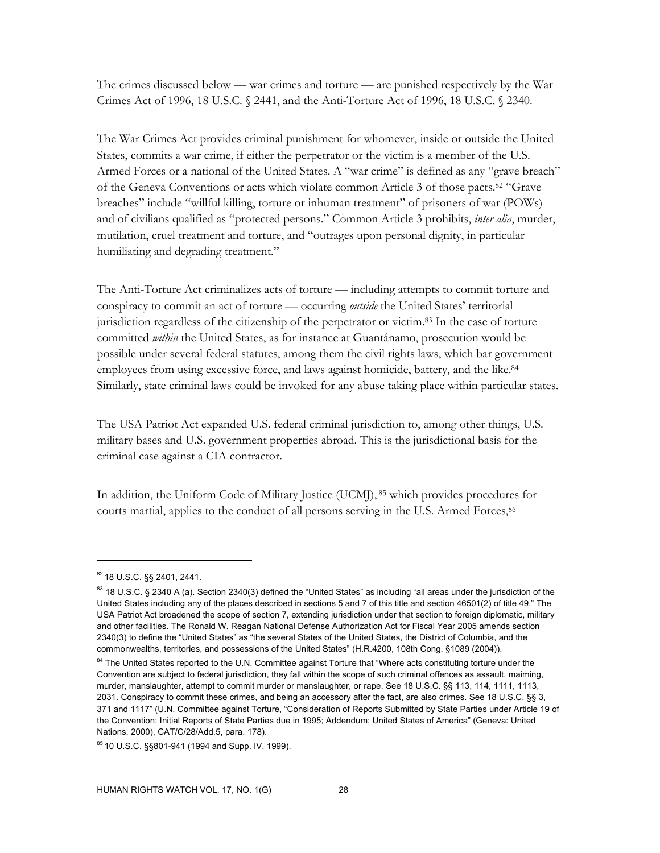The crimes discussed below — war crimes and torture — are punished respectively by the War Crimes Act of 1996, 18 U.S.C. § 2441, and the Anti-Torture Act of 1996, 18 U.S.C. § 2340.

The War Crimes Act provides criminal punishment for whomever, inside or outside the United States, commits a war crime, if either the perpetrator or the victim is a member of the U.S. Armed Forces or a national of the United States. A "war crime" is defined as any "grave breach" of the Geneva Conventions or acts which violate common Article 3 of those pacts.82 "Grave breaches" include "willful killing, torture or inhuman treatment" of prisoners of war (POWs) and of civilians qualified as "protected persons." Common Article 3 prohibits, *inter alia*, murder, mutilation, cruel treatment and torture, and "outrages upon personal dignity, in particular humiliating and degrading treatment."

The Anti-Torture Act criminalizes acts of torture — including attempts to commit torture and conspiracy to commit an act of torture — occurring *outside* the United States' territorial jurisdiction regardless of the citizenship of the perpetrator or victim.83 In the case of torture committed *within* the United States, as for instance at Guantánamo, prosecution would be possible under several federal statutes, among them the civil rights laws, which bar government employees from using excessive force, and laws against homicide, battery, and the like.<sup>84</sup> Similarly, state criminal laws could be invoked for any abuse taking place within particular states.

The USA Patriot Act expanded U.S. federal criminal jurisdiction to, among other things, U.S. military bases and U.S. government properties abroad. This is the jurisdictional basis for the criminal case against a CIA contractor.

In addition, the Uniform Code of Military Justice (UCMJ), 85 which provides procedures for courts martial, applies to the conduct of all persons serving in the U.S. Armed Forces,  $86$ 

<sup>82 18</sup> U.S.C. §§ 2401, 2441.

 $83$  18 U.S.C. § 2340 A (a). Section 2340(3) defined the "United States" as including "all areas under the jurisdiction of the United States including any of the places described in sections 5 and 7 of this title and section 46501(2) of title 49." The USA Patriot Act broadened the scope of section 7, extending jurisdiction under that section to foreign diplomatic, military and other facilities. The Ronald W. Reagan National Defense Authorization Act for Fiscal Year 2005 amends section 2340(3) to define the "United States" as "the several States of the United States, the District of Columbia, and the commonwealths, territories, and possessions of the United States" (H.R.4200, 108th Cong. §1089 (2004)).

<sup>&</sup>lt;sup>84</sup> The United States reported to the U.N. Committee against Torture that "Where acts constituting torture under the Convention are subject to federal jurisdiction, they fall within the scope of such criminal offences as assault, maiming, murder, manslaughter, attempt to commit murder or manslaughter, or rape. See 18 U.S.C. §§ 113, 114, 1111, 1113, 2031. Conspiracy to commit these crimes, and being an accessory after the fact, are also crimes. See 18 U.S.C. §§ 3, 371 and 1117" (U.N. Committee against Torture, "Consideration of Reports Submitted by State Parties under Article 19 of the Convention: Initial Reports of State Parties due in 1995; Addendum; United States of America" (Geneva: United Nations, 2000), CAT/C/28/Add.5, para. 178).

<sup>85 10</sup> U.S.C. §§801-941 (1994 and Supp. IV, 1999).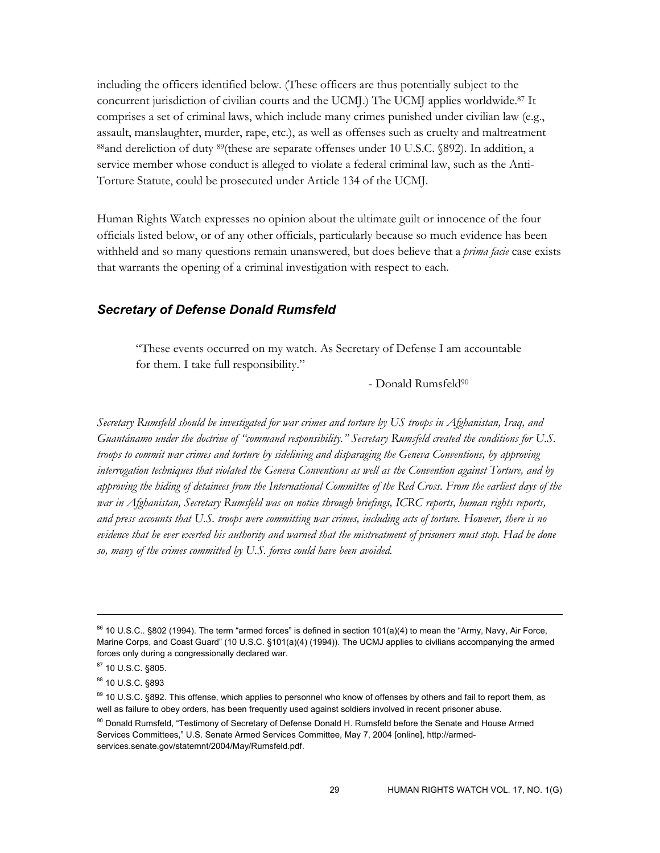including the officers identified below. (These officers are thus potentially subject to the concurrent jurisdiction of civilian courts and the UCMJ.) The UCMJ applies worldwide.87 It comprises a set of criminal laws, which include many crimes punished under civilian law (e.g., assault, manslaughter, murder, rape, etc.), as well as offenses such as cruelty and maltreatment 88and dereliction of duty 89 (these are separate offenses under 10 U.S.C. §892). In addition, a service member whose conduct is alleged to violate a federal criminal law, such as the Anti-Torture Statute, could be prosecuted under Article 134 of the UCMJ.

Human Rights Watch expresses no opinion about the ultimate guilt or innocence of the four officials listed below, or of any other officials, particularly because so much evidence has been withheld and so many questions remain unanswered, but does believe that a *prima facie* case exists that warrants the opening of a criminal investigation with respect to each.

#### *Secretary of Defense Donald Rumsfeld*

"These events occurred on my watch. As Secretary of Defense I am accountable for them. I take full responsibility."

- Donald Rumsfeld90

*Secretary Rumsfeld should be investigated for war crimes and torture by US troops in Afghanistan, Iraq, and Guantánamo under the doctrine of "command responsibility." Secretary Rumsfeld created the conditions for U.S. troops to commit war crimes and torture by sidelining and disparaging the Geneva Conventions, by approving interrogation techniques that violated the Geneva Conventions as well as the Convention against Torture, and by approving the hiding of detainees from the International Committee of the Red Cross. From the earliest days of the war in Afghanistan, Secretary Rumsfeld was on notice through briefings, ICRC reports, human rights reports, and press accounts that U.S. troops were committing war crimes, including acts of torture. However, there is no evidence that he ever exerted his authority and warned that the mistreatment of prisoners must stop. Had he done so, many of the crimes committed by U.S. forces could have been avoided.* 

<sup>86 10</sup> U.S.C.. §802 (1994). The term "armed forces" is defined in section 101(a)(4) to mean the "Army, Navy, Air Force, Marine Corps, and Coast Guard" (10 U.S.C. §101(a)(4) (1994)). The UCMJ applies to civilians accompanying the armed forces only during a congressionally declared war.

<sup>87 10</sup> U.S.C. §805.

<sup>88 10</sup> U.S.C. §893

<sup>89 10</sup> U.S.C. §892. This offense, which applies to personnel who know of offenses by others and fail to report them, as well as failure to obey orders, has been frequently used against soldiers involved in recent prisoner abuse.

<sup>&</sup>lt;sup>90</sup> Donald Rumsfeld, "Testimony of Secretary of Defense Donald H. Rumsfeld before the Senate and House Armed Services Committees," U.S. Senate Armed Services Committee, May 7, 2004 [online], http://armedservices.senate.gov/statemnt/2004/May/Rumsfeld.pdf.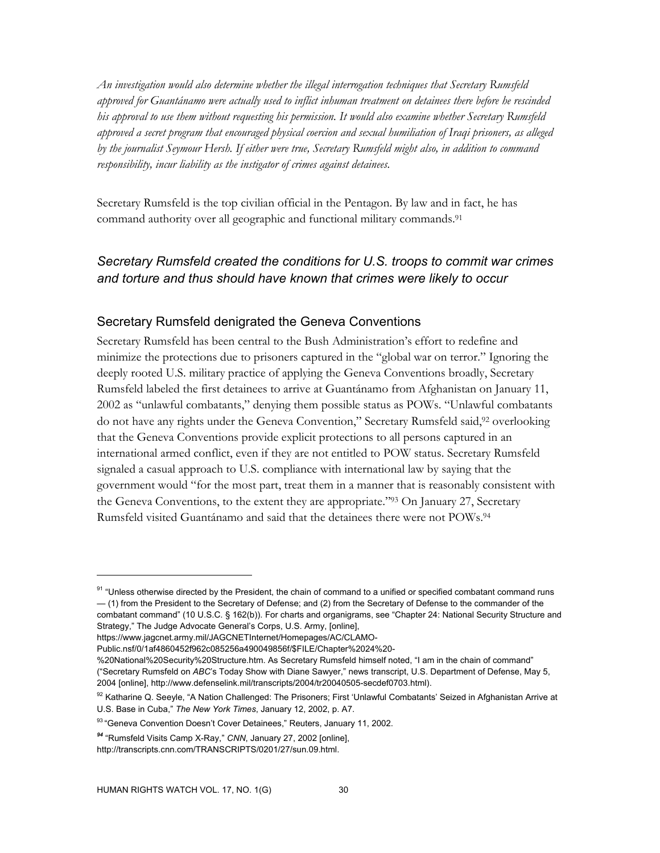*An investigation would also determine whether the illegal interrogation techniques that Secretary Rumsfeld approved for Guantánamo were actually used to inflict inhuman treatment on detainees there before he rescinded his approval to use them without requesting his permission. It would also examine whether Secretary Rumsfeld approved a secret program that encouraged physical coercion and sexual humiliation of Iraqi prisoners, as alleged by the journalist Seymour Hersh. If either were true, Secretary Rumsfeld might also, in addition to command responsibility, incur liability as the instigator of crimes against detainees.* 

Secretary Rumsfeld is the top civilian official in the Pentagon. By law and in fact, he has command authority over all geographic and functional military commands.<sup>91</sup>

## *Secretary Rumsfeld created the conditions for U.S. troops to commit war crimes and torture and thus should have known that crimes were likely to occur*

## Secretary Rumsfeld denigrated the Geneva Conventions

Secretary Rumsfeld has been central to the Bush Administration's effort to redefine and minimize the protections due to prisoners captured in the "global war on terror." Ignoring the deeply rooted U.S. military practice of applying the Geneva Conventions broadly, Secretary Rumsfeld labeled the first detainees to arrive at Guantánamo from Afghanistan on January 11, 2002 as "unlawful combatants," denying them possible status as POWs. "Unlawful combatants do not have any rights under the Geneva Convention," Secretary Rumsfeld said,<sup>92</sup> overlooking that the Geneva Conventions provide explicit protections to all persons captured in an international armed conflict, even if they are not entitled to POW status. Secretary Rumsfeld signaled a casual approach to U.S. compliance with international law by saying that the government would "for the most part, treat them in a manner that is reasonably consistent with the Geneva Conventions, to the extent they are appropriate."93 On January 27, Secretary Rumsfeld visited Guantánamo and said that the detainees there were not POWs.94

 $\ddot{\phantom{a}}$ 

<sup>&</sup>lt;sup>91</sup> "Unless otherwise directed by the President, the chain of command to a unified or specified combatant command runs — (1) from the President to the Secretary of Defense; and (2) from the Secretary of Defense to the commander of the combatant command" (10 U.S.C. § 162(b)). For charts and organigrams, see "Chapter 24: National Security Structure and Strategy," The Judge Advocate General's Corps, U.S. Army, [online],

https://www.jagcnet.army.mil/JAGCNETInternet/Homepages/AC/CLAMO-

Public.nsf/0/1af4860452f962c085256a490049856f/\$FILE/Chapter%2024%20-

<sup>%20</sup>National%20Security%20Structure.htm. As Secretary Rumsfeld himself noted, "I am in the chain of command" ("Secretary Rumsfeld on *ABC*'s Today Show with Diane Sawyer," news transcript, U.S. Department of Defense, May 5, 2004 [online], http://www.defenselink.mil/transcripts/2004/tr20040505-secdef0703.html).

<sup>&</sup>lt;sup>92</sup> Katharine Q. Seeyle, "A Nation Challenged: The Prisoners; First 'Unlawful Combatants' Seized in Afghanistan Arrive at U.S. Base in Cuba," *The New York Times*, January 12, 2002, p. A7.

<sup>93 &</sup>quot;Geneva Convention Doesn't Cover Detainees," Reuters, January 11, 2002.

*<sup>94</sup>* "Rumsfeld Visits Camp X-Ray," *CNN*, January 27, 2002 [online],

http://transcripts.cnn.com/TRANSCRIPTS/0201/27/sun.09.html.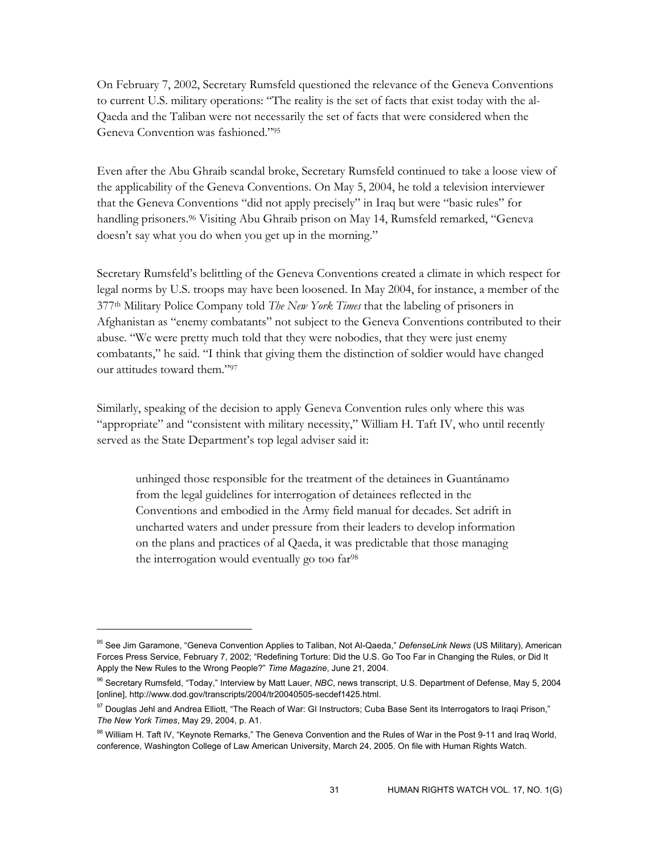On February 7, 2002, Secretary Rumsfeld questioned the relevance of the Geneva Conventions to current U.S. military operations: "The reality is the set of facts that exist today with the al-Qaeda and the Taliban were not necessarily the set of facts that were considered when the Geneva Convention was fashioned."95

Even after the Abu Ghraib scandal broke, Secretary Rumsfeld continued to take a loose view of the applicability of the Geneva Conventions. On May 5, 2004, he told a television interviewer that the Geneva Conventions "did not apply precisely" in Iraq but were "basic rules" for handling prisoners.96 Visiting Abu Ghraib prison on May 14, Rumsfeld remarked, "Geneva doesn't say what you do when you get up in the morning."

Secretary Rumsfeld's belittling of the Geneva Conventions created a climate in which respect for legal norms by U.S. troops may have been loosened. In May 2004, for instance, a member of the 377th Military Police Company told *The New York Times* that the labeling of prisoners in Afghanistan as "enemy combatants" not subject to the Geneva Conventions contributed to their abuse. "We were pretty much told that they were nobodies, that they were just enemy combatants," he said. "I think that giving them the distinction of soldier would have changed our attitudes toward them."97

Similarly, speaking of the decision to apply Geneva Convention rules only where this was "appropriate" and "consistent with military necessity," William H. Taft IV, who until recently served as the State Department's top legal adviser said it:

unhinged those responsible for the treatment of the detainees in Guantánamo from the legal guidelines for interrogation of detainees reflected in the Conventions and embodied in the Army field manual for decades. Set adrift in uncharted waters and under pressure from their leaders to develop information on the plans and practices of al Qaeda, it was predictable that those managing the interrogation would eventually go too far98

<sup>95</sup> See Jim Garamone, "Geneva Convention Applies to Taliban, Not Al-Qaeda," *DefenseLink News* (US Military), American Forces Press Service, February 7, 2002; "Redefining Torture: Did the U.S. Go Too Far in Changing the Rules, or Did It Apply the New Rules to the Wrong People?" *Time Magazine*, June 21, 2004.

<sup>96</sup> Secretary Rumsfeld, "Today," Interview by Matt Lauer, *NBC*, news transcript, U.S. Department of Defense, May 5, 2004 [online], http://www.dod.gov/transcripts/2004/tr20040505-secdef1425.html.

<sup>&</sup>lt;sup>97</sup> Douglas Jehl and Andrea Elliott, "The Reach of War: GI Instructors; Cuba Base Sent its Interrogators to Iragi Prison," *The New York Times*, May 29, 2004, p. A1.

<sup>98</sup> William H. Taft IV, "Keynote Remarks," The Geneva Convention and the Rules of War in the Post 9-11 and Iraq World, conference, Washington College of Law American University, March 24, 2005. On file with Human Rights Watch.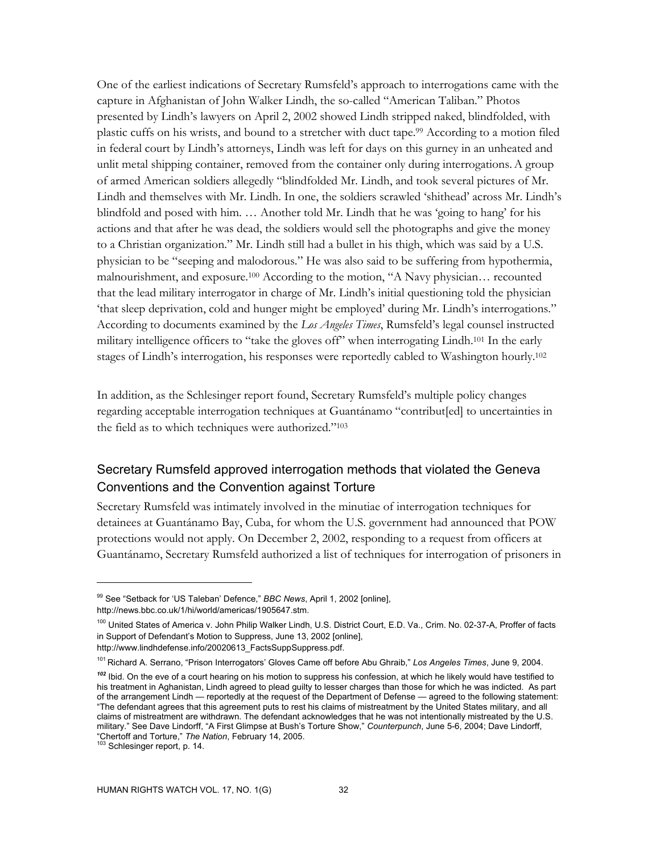One of the earliest indications of Secretary Rumsfeld's approach to interrogations came with the capture in Afghanistan of John Walker Lindh, the so-called "American Taliban." Photos presented by Lindh's lawyers on April 2, 2002 showed Lindh stripped naked, blindfolded, with plastic cuffs on his wrists, and bound to a stretcher with duct tape.99 According to a motion filed in federal court by Lindh's attorneys, Lindh was left for days on this gurney in an unheated and unlit metal shipping container, removed from the container only during interrogations.A group of armed American soldiers allegedly "blindfolded Mr. Lindh, and took several pictures of Mr. Lindh and themselves with Mr. Lindh. In one, the soldiers scrawled 'shithead' across Mr. Lindh's blindfold and posed with him. … Another told Mr. Lindh that he was 'going to hang' for his actions and that after he was dead, the soldiers would sell the photographs and give the money to a Christian organization." Mr. Lindh still had a bullet in his thigh, which was said by a U.S. physician to be "seeping and malodorous." He was also said to be suffering from hypothermia, malnourishment, and exposure.100 According to the motion, "A Navy physician… recounted that the lead military interrogator in charge of Mr. Lindh's initial questioning told the physician 'that sleep deprivation, cold and hunger might be employed' during Mr. Lindh's interrogations." According to documents examined by the *Los Angeles Times*, Rumsfeld's legal counsel instructed military intelligence officers to "take the gloves off" when interrogating Lindh.101 In the early stages of Lindh's interrogation, his responses were reportedly cabled to Washington hourly.102

In addition, as the Schlesinger report found, Secretary Rumsfeld's multiple policy changes regarding acceptable interrogation techniques at Guantánamo "contribut[ed] to uncertainties in the field as to which techniques were authorized."103

## Secretary Rumsfeld approved interrogation methods that violated the Geneva Conventions and the Convention against Torture

Secretary Rumsfeld was intimately involved in the minutiae of interrogation techniques for detainees at Guantánamo Bay, Cuba, for whom the U.S. government had announced that POW protections would not apply. On December 2, 2002, responding to a request from officers at Guantánamo, Secretary Rumsfeld authorized a list of techniques for interrogation of prisoners in

 $\overline{a}$ 

<sup>99</sup> See "Setback for 'US Taleban' Defence," *BBC News*, April 1, 2002 [online], http://news.bbc.co.uk/1/hi/world/americas/1905647.stm.

<sup>100</sup> United States of America v. John Philip Walker Lindh, U.S. District Court, E.D. Va., Crim. No. 02-37-A, Proffer of facts in Support of Defendant's Motion to Suppress, June 13, 2002 [online],

http://www.lindhdefense.info/20020613\_FactsSuppSuppress.pdf.

<sup>101</sup> Richard A. Serrano, "Prison Interrogators' Gloves Came off before Abu Ghraib," *Los Angeles Times*, June 9, 2004.

*<sup>102</sup>* Ibid. On the eve of a court hearing on his motion to suppress his confession, at which he likely would have testified to his treatment in Aghanistan, Lindh agreed to plead guilty to lesser charges than those for which he was indicted. As part of the arrangement Lindh — reportedly at the request of the Department of Defense — agreed to the following statement: "The defendant agrees that this agreement puts to rest his claims of mistreatment by the United States military, and all claims of mistreatment are withdrawn. The defendant acknowledges that he was not intentionally mistreated by the U.S. military." See Dave Lindorff, "A First Glimpse at Bush's Torture Show," *Counterpunch*, June 5-6, 2004; Dave Lindorff, "Chertoff and Torture," *The Nation*, February 14, 2005. 103 Schlesinger report, p. 14.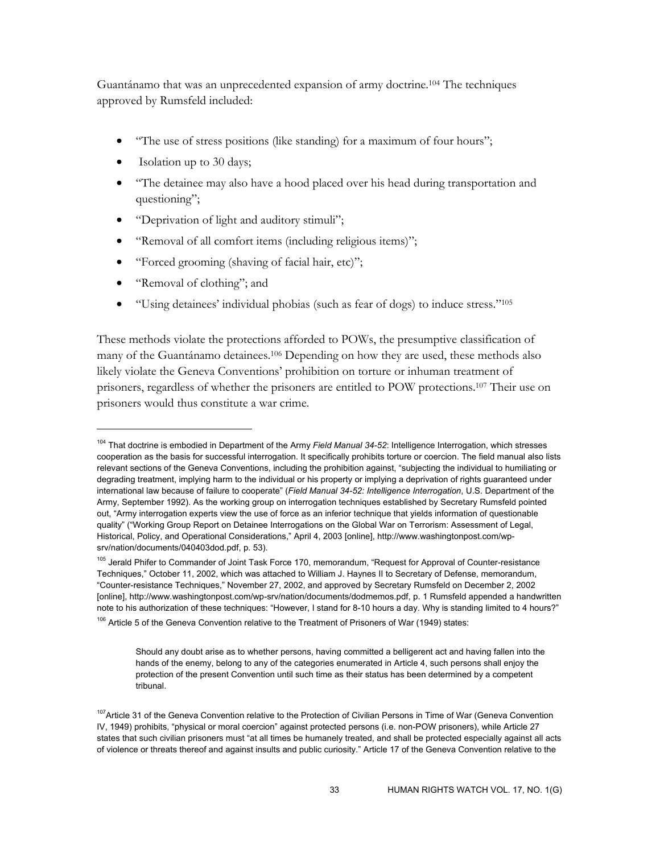Guantánamo that was an unprecedented expansion of army doctrine.104 The techniques approved by Rumsfeld included:

- "The use of stress positions (like standing) for a maximum of four hours";
- Isolation up to 30 days;
- "The detainee may also have a hood placed over his head during transportation and questioning";
- "Deprivation of light and auditory stimuli";
- "Removal of all comfort items (including religious items)";
- "Forced grooming (shaving of facial hair, etc)";
- "Removal of clothing"; and

-

• "Using detainees' individual phobias (such as fear of dogs) to induce stress."105

These methods violate the protections afforded to POWs, the presumptive classification of many of the Guantánamo detainees.<sup>106</sup> Depending on how they are used, these methods also likely violate the Geneva Conventions' prohibition on torture or inhuman treatment of prisoners, regardless of whether the prisoners are entitled to POW protections.107 Their use on prisoners would thus constitute a war crime.

<sup>104</sup> That doctrine is embodied in Department of the Army *Field Manual 34-52*: Intelligence Interrogation, which stresses cooperation as the basis for successful interrogation. It specifically prohibits torture or coercion. The field manual also lists relevant sections of the Geneva Conventions, including the prohibition against, "subjecting the individual to humiliating or degrading treatment, implying harm to the individual or his property or implying a deprivation of rights guaranteed under international law because of failure to cooperate" (*Field Manual 34-52: Intelligence Interrogation*, U.S. Department of the Army, September 1992). As the working group on interrogation techniques established by Secretary Rumsfeld pointed out, "Army interrogation experts view the use of force as an inferior technique that yields information of questionable quality" ("Working Group Report on Detainee Interrogations on the Global War on Terrorism: Assessment of Legal, Historical, Policy, and Operational Considerations," April 4, 2003 [online], http://www.washingtonpost.com/wpsrv/nation/documents/040403dod.pdf, p. 53).

<sup>105</sup> Jerald Phifer to Commander of Joint Task Force 170, memorandum, "Request for Approval of Counter-resistance Techniques," October 11, 2002, which was attached to William J. Haynes II to Secretary of Defense, memorandum, "Counter-resistance Techniques," November 27, 2002, and approved by Secretary Rumsfeld on December 2, 2002 [online], http://www.washingtonpost.com/wp-srv/nation/documents/dodmemos.pdf, p. 1 Rumsfeld appended a handwritten note to his authorization of these techniques: "However, I stand for 8-10 hours a day. Why is standing limited to 4 hours?" 106 Article 5 of the Geneva Convention relative to the Treatment of Prisoners of War (1949) states:

Should any doubt arise as to whether persons, having committed a belligerent act and having fallen into the hands of the enemy, belong to any of the categories enumerated in Article 4, such persons shall enjoy the protection of the present Convention until such time as their status has been determined by a competent tribunal.

<sup>&</sup>lt;sup>107</sup>Article 31 of the Geneva Convention relative to the Protection of Civilian Persons in Time of War (Geneva Convention IV, 1949) prohibits, "physical or moral coercion" against protected persons (i.e. non-POW prisoners), while Article 27 states that such civilian prisoners must "at all times be humanely treated, and shall be protected especially against all acts of violence or threats thereof and against insults and public curiosity." Article 17 of the Geneva Convention relative to the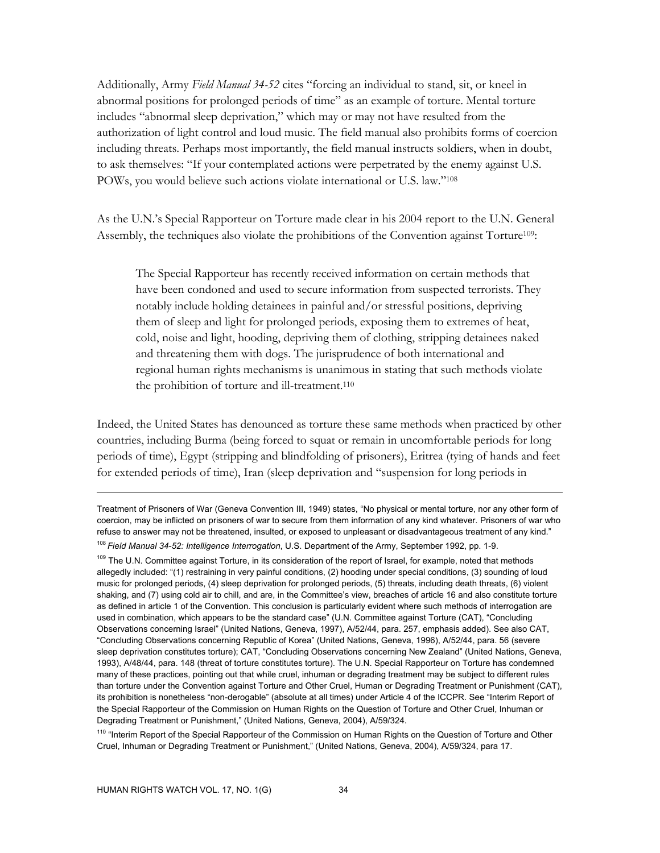Additionally, Army *Field Manual 34-52* cites "forcing an individual to stand, sit, or kneel in abnormal positions for prolonged periods of time" as an example of torture. Mental torture includes "abnormal sleep deprivation," which may or may not have resulted from the authorization of light control and loud music. The field manual also prohibits forms of coercion including threats. Perhaps most importantly, the field manual instructs soldiers, when in doubt, to ask themselves: "If your contemplated actions were perpetrated by the enemy against U.S. POWs, you would believe such actions violate international or U.S. law."108

As the U.N.'s Special Rapporteur on Torture made clear in his 2004 report to the U.N. General Assembly, the techniques also violate the prohibitions of the Convention against Torture109:

The Special Rapporteur has recently received information on certain methods that have been condoned and used to secure information from suspected terrorists. They notably include holding detainees in painful and/or stressful positions, depriving them of sleep and light for prolonged periods, exposing them to extremes of heat, cold, noise and light, hooding, depriving them of clothing, stripping detainees naked and threatening them with dogs. The jurisprudence of both international and regional human rights mechanisms is unanimous in stating that such methods violate the prohibition of torture and ill-treatment.110

Indeed, the United States has denounced as torture these same methods when practiced by other countries, including Burma (being forced to squat or remain in uncomfortable periods for long periods of time), Egypt (stripping and blindfolding of prisoners), Eritrea (tying of hands and feet for extended periods of time), Iran (sleep deprivation and "suspension for long periods in

Treatment of Prisoners of War (Geneva Convention III, 1949) states, "No physical or mental torture, nor any other form of coercion, may be inflicted on prisoners of war to secure from them information of any kind whatever. Prisoners of war who refuse to answer may not be threatened, insulted, or exposed to unpleasant or disadvantageous treatment of any kind."

<sup>108</sup>*Field Manual 34-52: Intelligence Interrogation*, U.S. Department of the Army, September 1992, pp. 1-9.

<sup>&</sup>lt;sup>109</sup> The U.N. Committee against Torture, in its consideration of the report of Israel, for example, noted that methods allegedly included: "(1) restraining in very painful conditions, (2) hooding under special conditions, (3) sounding of loud music for prolonged periods, (4) sleep deprivation for prolonged periods, (5) threats, including death threats, (6) violent shaking, and (7) using cold air to chill, and are, in the Committee's view, breaches of article 16 and also constitute torture as defined in article 1 of the Convention. This conclusion is particularly evident where such methods of interrogation are used in combination, which appears to be the standard case" (U.N. Committee against Torture (CAT), "Concluding Observations concerning Israel" (United Nations, Geneva, 1997), A/52/44, para. 257, emphasis added). See also CAT, "Concluding Observations concerning Republic of Korea" (United Nations, Geneva, 1996), A/52/44, para. 56 (severe sleep deprivation constitutes torture); CAT, "Concluding Observations concerning New Zealand" (United Nations, Geneva, 1993), A/48/44, para. 148 (threat of torture constitutes torture). The U.N. Special Rapporteur on Torture has condemned many of these practices, pointing out that while cruel, inhuman or degrading treatment may be subject to different rules than torture under the Convention against Torture and Other Cruel, Human or Degrading Treatment or Punishment (CAT), its prohibition is nonetheless "non-derogable" (absolute at all times) under Article 4 of the ICCPR. See "Interim Report of the Special Rapporteur of the Commission on Human Rights on the Question of Torture and Other Cruel, Inhuman or Degrading Treatment or Punishment," (United Nations, Geneva, 2004), A/59/324.

<sup>&</sup>lt;sup>110</sup> "Interim Report of the Special Rapporteur of the Commission on Human Rights on the Question of Torture and Other Cruel, Inhuman or Degrading Treatment or Punishment," (United Nations, Geneva, 2004), A/59/324, para 17.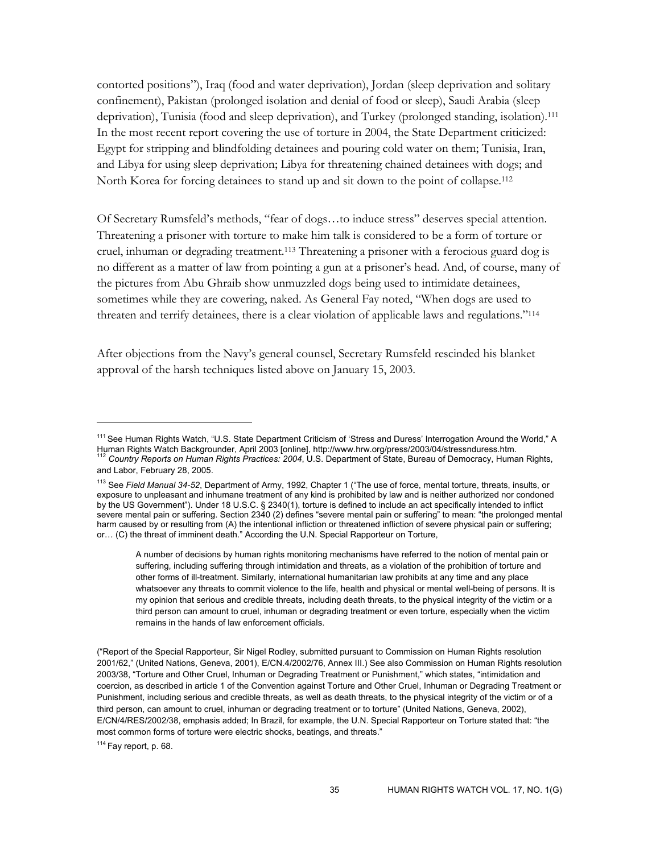contorted positions"), Iraq (food and water deprivation), Jordan (sleep deprivation and solitary confinement), Pakistan (prolonged isolation and denial of food or sleep), Saudi Arabia (sleep deprivation), Tunisia (food and sleep deprivation), and Turkey (prolonged standing, isolation).111 In the most recent report covering the use of torture in 2004, the State Department criticized: Egypt for stripping and blindfolding detainees and pouring cold water on them; Tunisia, Iran, and Libya for using sleep deprivation; Libya for threatening chained detainees with dogs; and North Korea for forcing detainees to stand up and sit down to the point of collapse.112

Of Secretary Rumsfeld's methods, "fear of dogs…to induce stress" deserves special attention. Threatening a prisoner with torture to make him talk is considered to be a form of torture or cruel, inhuman or degrading treatment.113 Threatening a prisoner with a ferocious guard dog is no different as a matter of law from pointing a gun at a prisoner's head. And, of course, many of the pictures from Abu Ghraib show unmuzzled dogs being used to intimidate detainees, sometimes while they are cowering, naked. As General Fay noted, "When dogs are used to threaten and terrify detainees, there is a clear violation of applicable laws and regulations."114

After objections from the Navy's general counsel, Secretary Rumsfeld rescinded his blanket approval of the harsh techniques listed above on January 15, 2003.

 $114$  Fay report, p. 68.

<sup>&</sup>lt;sup>111</sup> See Human Rights Watch, "U.S. State Department Criticism of 'Stress and Duress' Interrogation Around the World," A Human Rights Watch Backgrounder, April 2003 [online], http://www.hrw.org/press/2003/04/stressnduress.htm.<br><sup>112</sup> Country Reports on Human Rights Practices: 2004, U.S. Department of State, Bureau of Democracy, Human Rights, and Labor, February 28, 2005.

<sup>113</sup> See *Field Manual 34-52*, Department of Army, 1992, Chapter 1 ("The use of force, mental torture, threats, insults, or exposure to unpleasant and inhumane treatment of any kind is prohibited by law and is neither authorized nor condoned by the US Government"). Under 18 U.S.C. § 2340(1), torture is defined to include an act specifically intended to inflict severe mental pain or suffering. Section 2340 (2) defines "severe mental pain or suffering" to mean: "the prolonged mental harm caused by or resulting from (A) the intentional infliction or threatened infliction of severe physical pain or suffering; or… (C) the threat of imminent death." According the U.N. Special Rapporteur on Torture,

A number of decisions by human rights monitoring mechanisms have referred to the notion of mental pain or suffering, including suffering through intimidation and threats, as a violation of the prohibition of torture and other forms of ill-treatment. Similarly, international humanitarian law prohibits at any time and any place whatsoever any threats to commit violence to the life, health and physical or mental well-being of persons. It is my opinion that serious and credible threats, including death threats, to the physical integrity of the victim or a third person can amount to cruel, inhuman or degrading treatment or even torture, especially when the victim remains in the hands of law enforcement officials.

<sup>(&</sup>quot;Report of the Special Rapporteur, Sir Nigel Rodley, submitted pursuant to Commission on Human Rights resolution 2001/62," (United Nations, Geneva, 2001), E/CN.4/2002/76, Annex III.) See also Commission on Human Rights resolution 2003/38, "Torture and Other Cruel, Inhuman or Degrading Treatment or Punishment," which states, "intimidation and coercion, as described in article 1 of the Convention against Torture and Other Cruel, Inhuman or Degrading Treatment or Punishment, including serious and credible threats, as well as death threats, to the physical integrity of the victim or of a third person, can amount to cruel, inhuman or degrading treatment or to torture" (United Nations, Geneva, 2002), E/CN/4/RES/2002/38, emphasis added; In Brazil, for example, the U.N. Special Rapporteur on Torture stated that: "the most common forms of torture were electric shocks, beatings, and threats."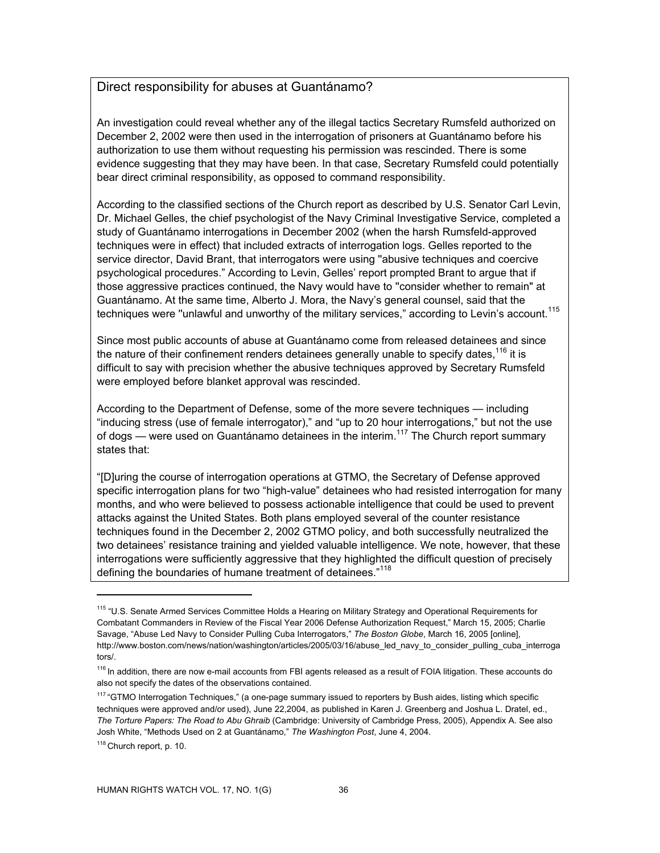#### Direct responsibility for abuses at Guantánamo?

An investigation could reveal whether any of the illegal tactics Secretary Rumsfeld authorized on December 2, 2002 were then used in the interrogation of prisoners at Guantánamo before his authorization to use them without requesting his permission was rescinded. There is some evidence suggesting that they may have been. In that case, Secretary Rumsfeld could potentially bear direct criminal responsibility, as opposed to command responsibility.

According to the classified sections of the Church report as described by U.S. Senator Carl Levin, Dr. Michael Gelles, the chief psychologist of the Navy Criminal Investigative Service, completed a study of Guantánamo interrogations in December 2002 (when the harsh Rumsfeld-approved techniques were in effect) that included extracts of interrogation logs. Gelles reported to the service director, David Brant, that interrogators were using ''abusive techniques and coercive psychological procedures." According to Levin, Gelles' report prompted Brant to argue that if those aggressive practices continued, the Navy would have to ''consider whether to remain" at Guantánamo. At the same time, Alberto J. Mora, the Navy's general counsel, said that the techniques were "unlawful and unworthy of the military services," according to Levin's account.<sup>115</sup>

Since most public accounts of abuse at Guantánamo come from released detainees and since the nature of their confinement renders detainees generally unable to specify dates.<sup>116</sup> it is difficult to say with precision whether the abusive techniques approved by Secretary Rumsfeld were employed before blanket approval was rescinded.

According to the Department of Defense, some of the more severe techniques — including "inducing stress (use of female interrogator)," and "up to 20 hour interrogations," but not the use of dogs — were used on Guantánamo detainees in the interim.<sup>117</sup> The Church report summary states that:

"[D]uring the course of interrogation operations at GTMO, the Secretary of Defense approved specific interrogation plans for two "high-value" detainees who had resisted interrogation for many months, and who were believed to possess actionable intelligence that could be used to prevent attacks against the United States. Both plans employed several of the counter resistance techniques found in the December 2, 2002 GTMO policy, and both successfully neutralized the two detainees' resistance training and yielded valuable intelligence. We note, however, that these interrogations were sufficiently aggressive that they highlighted the difficult question of precisely defining the boundaries of humane treatment of detainees."<sup>118</sup>

<sup>&</sup>lt;sup>115</sup> "U.S. Senate Armed Services Committee Holds a Hearing on Military Strategy and Operational Requirements for Combatant Commanders in Review of the Fiscal Year 2006 Defense Authorization Request," March 15, 2005; Charlie Savage, "Abuse Led Navy to Consider Pulling Cuba Interrogators," *The Boston Globe*, March 16, 2005 [online], http://www.boston.com/news/nation/washington/articles/2005/03/16/abuse\_led\_navy\_to\_consider\_pulling\_cuba\_interroga tors/.

<sup>&</sup>lt;sup>116</sup> In addition, there are now e-mail accounts from FBI agents released as a result of FOIA litigation. These accounts do also not specify the dates of the observations contained.

<sup>&</sup>lt;sup>117</sup> "GTMO Interrogation Techniques," (a one-page summary issued to reporters by Bush aides, listing which specific techniques were approved and/or used), June 22,2004, as published in Karen J. Greenberg and Joshua L. Dratel, ed., *The Torture Papers: The Road to Abu Ghraib* (Cambridge: University of Cambridge Press, 2005), Appendix A. See also Josh White, "Methods Used on 2 at Guantánamo," *The Washington Post*, June 4, 2004.

<sup>118</sup> Church report, p. 10.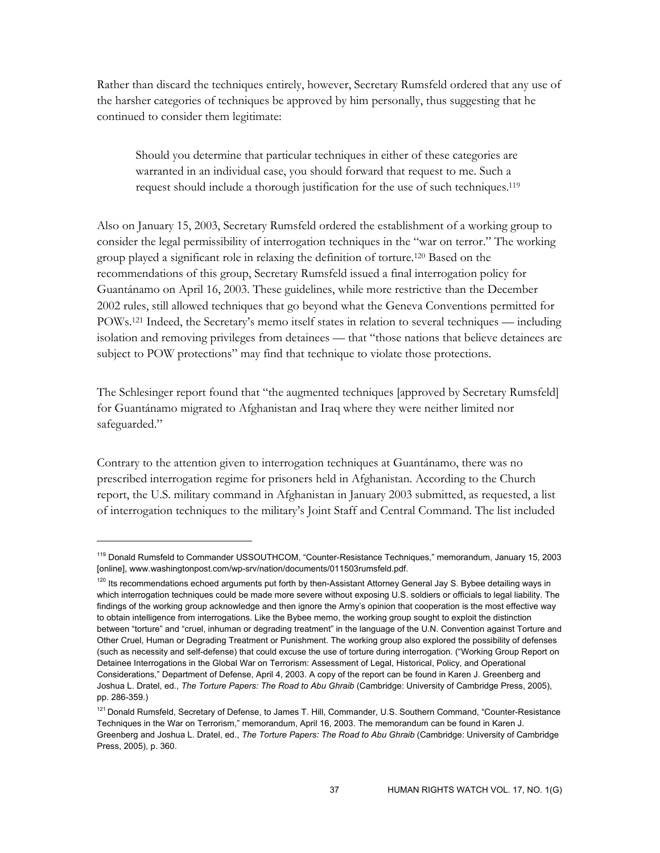Rather than discard the techniques entirely, however, Secretary Rumsfeld ordered that any use of the harsher categories of techniques be approved by him personally, thus suggesting that he continued to consider them legitimate:

Should you determine that particular techniques in either of these categories are warranted in an individual case, you should forward that request to me. Such a request should include a thorough justification for the use of such techniques.119

Also on January 15, 2003, Secretary Rumsfeld ordered the establishment of a working group to consider the legal permissibility of interrogation techniques in the "war on terror." The working group played a significant role in relaxing the definition of torture.120 Based on the recommendations of this group, Secretary Rumsfeld issued a final interrogation policy for Guantánamo on April 16, 2003. These guidelines, while more restrictive than the December 2002 rules, still allowed techniques that go beyond what the Geneva Conventions permitted for POWs.121 Indeed, the Secretary's memo itself states in relation to several techniques — including isolation and removing privileges from detainees — that "those nations that believe detainees are subject to POW protections" may find that technique to violate those protections.

The Schlesinger report found that "the augmented techniques [approved by Secretary Rumsfeld] for Guantánamo migrated to Afghanistan and Iraq where they were neither limited nor safeguarded."

Contrary to the attention given to interrogation techniques at Guantánamo, there was no prescribed interrogation regime for prisoners held in Afghanistan. According to the Church report, the U.S. military command in Afghanistan in January 2003 submitted, as requested, a list of interrogation techniques to the military's Joint Staff and Central Command. The list included

<sup>119</sup> Donald Rumsfeld to Commander USSOUTHCOM, "Counter-Resistance Techniques," memorandum, January 15, 2003 [online], www.washingtonpost.com/wp-srv/nation/documents/011503rumsfeld.pdf.

<sup>&</sup>lt;sup>120</sup> Its recommendations echoed arguments put forth by then-Assistant Attorney General Jay S. Bybee detailing ways in which interrogation techniques could be made more severe without exposing U.S. soldiers or officials to legal liability. The findings of the working group acknowledge and then ignore the Army's opinion that cooperation is the most effective way to obtain intelligence from interrogations. Like the Bybee memo, the working group sought to exploit the distinction between "torture" and "cruel, inhuman or degrading treatment" in the language of the U.N. Convention against Torture and Other Cruel, Human or Degrading Treatment or Punishment. The working group also explored the possibility of defenses (such as necessity and self-defense) that could excuse the use of torture during interrogation. ("Working Group Report on Detainee Interrogations in the Global War on Terrorism: Assessment of Legal, Historical, Policy, and Operational Considerations," Department of Defense, April 4, 2003. A copy of the report can be found in Karen J. Greenberg and Joshua L. Dratel, ed., *The Torture Papers: The Road to Abu Ghraib* (Cambridge: University of Cambridge Press, 2005), pp. 286-359.)

<sup>&</sup>lt;sup>121</sup> Donald Rumsfeld, Secretary of Defense, to James T. Hill, Commander, U.S. Southern Command, "Counter-Resistance Techniques in the War on Terrorism," memorandum, April 16, 2003. The memorandum can be found in Karen J. Greenberg and Joshua L. Dratel, ed., *The Torture Papers: The Road to Abu Ghraib* (Cambridge: University of Cambridge Press, 2005), p. 360.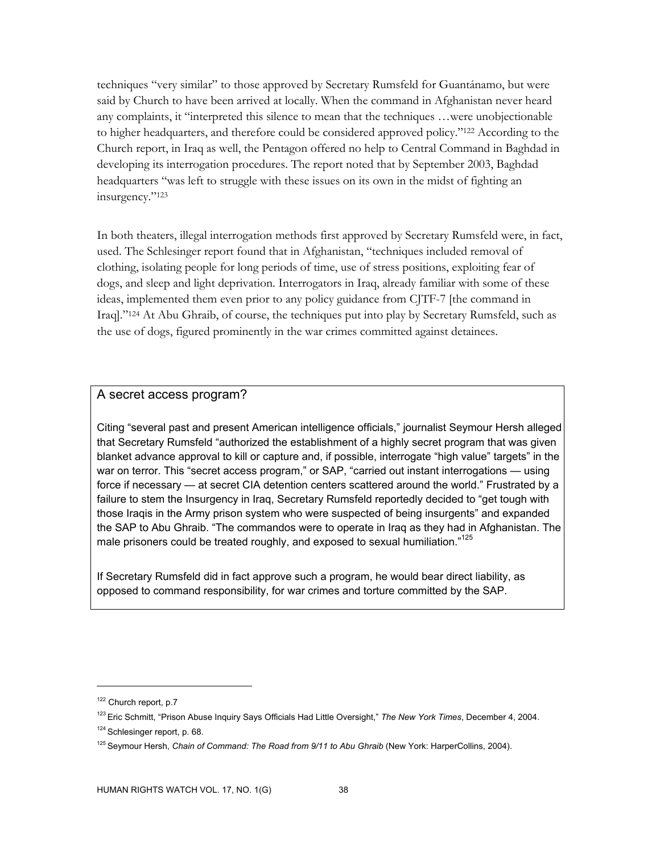techniques "very similar" to those approved by Secretary Rumsfeld for Guantánamo, but were said by Church to have been arrived at locally. When the command in Afghanistan never heard any complaints, it "interpreted this silence to mean that the techniques …were unobjectionable to higher headquarters, and therefore could be considered approved policy."122 According to the Church report, in Iraq as well, the Pentagon offered no help to Central Command in Baghdad in developing its interrogation procedures. The report noted that by September 2003, Baghdad headquarters "was left to struggle with these issues on its own in the midst of fighting an insurgency."123

In both theaters, illegal interrogation methods first approved by Secretary Rumsfeld were, in fact, used. The Schlesinger report found that in Afghanistan, "techniques included removal of clothing, isolating people for long periods of time, use of stress positions, exploiting fear of dogs, and sleep and light deprivation. Interrogators in Iraq, already familiar with some of these ideas, implemented them even prior to any policy guidance from CJTF-7 [the command in Iraq]."124 At Abu Ghraib, of course, the techniques put into play by Secretary Rumsfeld, such as the use of dogs, figured prominently in the war crimes committed against detainees.

#### A secret access program?

Citing "several past and present American intelligence officials," journalist Seymour Hersh alleged that Secretary Rumsfeld "authorized the establishment of a highly secret program that was given blanket advance approval to kill or capture and, if possible, interrogate "high value" targets" in the war on terror. This "secret access program," or SAP, "carried out instant interrogations — using force if necessary — at secret CIA detention centers scattered around the world." Frustrated by a failure to stem the Insurgency in Iraq, Secretary Rumsfeld reportedly decided to "get tough with those Iraqis in the Army prison system who were suspected of being insurgents" and expanded the SAP to Abu Ghraib. "The commandos were to operate in Iraq as they had in Afghanistan. The male prisoners could be treated roughly, and exposed to sexual humiliation."<sup>125</sup>

If Secretary Rumsfeld did in fact approve such a program, he would bear direct liability, as opposed to command responsibility, for war crimes and torture committed by the SAP.

<sup>122</sup> Church report, p.7

<sup>123</sup> Eric Schmitt, "Prison Abuse Inquiry Says Officials Had Little Oversight," *The New York Times*, December 4, 2004.

<sup>&</sup>lt;sup>124</sup> Schlesinger report, p. 68.

<sup>&</sup>lt;sup>125</sup> Seymour Hersh, Chain of Command: The Road from 9/11 to Abu Ghraib (New York: HarperCollins, 2004).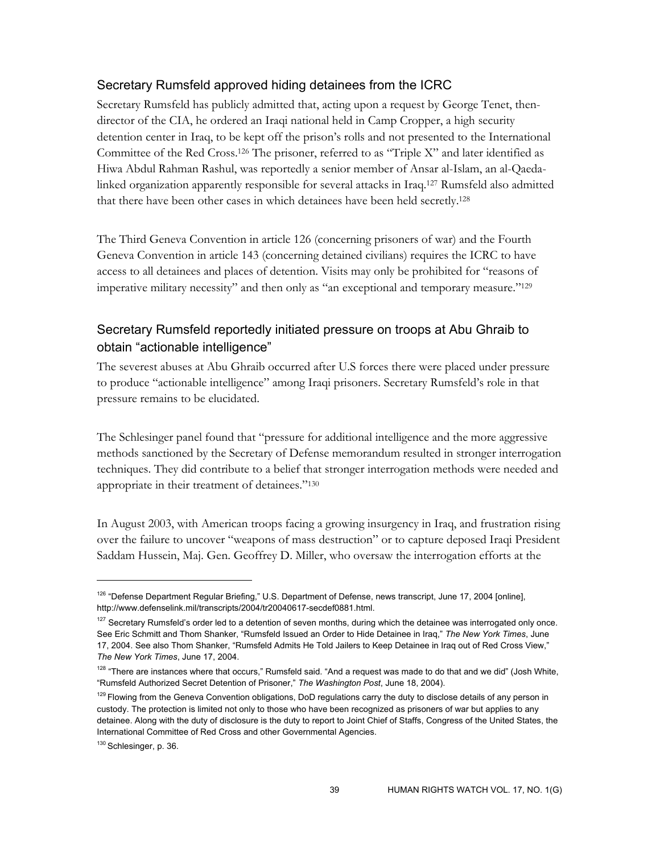### Secretary Rumsfeld approved hiding detainees from the ICRC

Secretary Rumsfeld has publicly admitted that, acting upon a request by George Tenet, thendirector of the CIA, he ordered an Iraqi national held in Camp Cropper, a high security detention center in Iraq, to be kept off the prison's rolls and not presented to the International Committee of the Red Cross.126 The prisoner, referred to as "Triple X" and later identified as Hiwa Abdul Rahman Rashul, was reportedly a senior member of Ansar al-Islam, an al-Qaedalinked organization apparently responsible for several attacks in Iraq.127 Rumsfeld also admitted that there have been other cases in which detainees have been held secretly.128

The Third Geneva Convention in article 126 (concerning prisoners of war) and the Fourth Geneva Convention in article 143 (concerning detained civilians) requires the ICRC to have access to all detainees and places of detention. Visits may only be prohibited for "reasons of imperative military necessity" and then only as "an exceptional and temporary measure."129

### Secretary Rumsfeld reportedly initiated pressure on troops at Abu Ghraib to obtain "actionable intelligence"

The severest abuses at Abu Ghraib occurred after U.S forces there were placed under pressure to produce "actionable intelligence" among Iraqi prisoners. Secretary Rumsfeld's role in that pressure remains to be elucidated.

The Schlesinger panel found that "pressure for additional intelligence and the more aggressive methods sanctioned by the Secretary of Defense memorandum resulted in stronger interrogation techniques. They did contribute to a belief that stronger interrogation methods were needed and appropriate in their treatment of detainees."130

In August 2003, with American troops facing a growing insurgency in Iraq, and frustration rising over the failure to uncover "weapons of mass destruction" or to capture deposed Iraqi President Saddam Hussein, Maj. Gen. Geoffrey D. Miller, who oversaw the interrogation efforts at the

<sup>&</sup>lt;sup>126</sup> "Defense Department Regular Briefing," U.S. Department of Defense, news transcript, June 17, 2004 [online], http://www.defenselink.mil/transcripts/2004/tr20040617-secdef0881.html.

 $127$  Secretary Rumsfeld's order led to a detention of seven months, during which the detainee was interrogated only once. See Eric Schmitt and Thom Shanker, "Rumsfeld Issued an Order to Hide Detainee in Iraq," *The New York Times*, June 17, 2004. See also Thom Shanker, "Rumsfeld Admits He Told Jailers to Keep Detainee in Iraq out of Red Cross View," *The New York Times*, June 17, 2004.

<sup>&</sup>lt;sup>128</sup> "There are instances where that occurs," Rumsfeld said. "And a request was made to do that and we did" (Josh White, "Rumsfeld Authorized Secret Detention of Prisoner," *The Washington Post*, June 18, 2004).

<sup>&</sup>lt;sup>129</sup> Flowing from the Geneva Convention obligations, DoD regulations carry the duty to disclose details of any person in custody. The protection is limited not only to those who have been recognized as prisoners of war but applies to any detainee. Along with the duty of disclosure is the duty to report to Joint Chief of Staffs, Congress of the United States, the International Committee of Red Cross and other Governmental Agencies.

<sup>130</sup> Schlesinger, p. 36.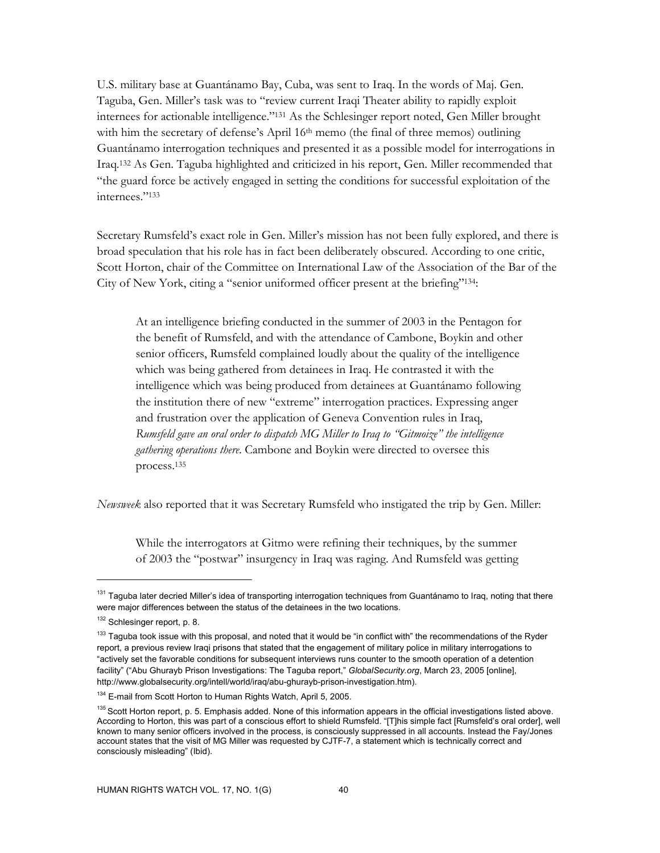U.S. military base at Guantánamo Bay, Cuba, was sent to Iraq. In the words of Maj. Gen. Taguba, Gen. Miller's task was to "review current Iraqi Theater ability to rapidly exploit internees for actionable intelligence."131 As the Schlesinger report noted, Gen Miller brought with him the secretary of defense's April  $16<sup>th</sup>$  memo (the final of three memos) outlining Guantánamo interrogation techniques and presented it as a possible model for interrogations in Iraq.132 As Gen. Taguba highlighted and criticized in his report, Gen. Miller recommended that "the guard force be actively engaged in setting the conditions for successful exploitation of the internees."133

Secretary Rumsfeld's exact role in Gen. Miller's mission has not been fully explored, and there is broad speculation that his role has in fact been deliberately obscured. According to one critic, Scott Horton, chair of the Committee on International Law of the Association of the Bar of the City of New York, citing a "senior uniformed officer present at the briefing"134:

At an intelligence briefing conducted in the summer of 2003 in the Pentagon for the benefit of Rumsfeld, and with the attendance of Cambone, Boykin and other senior officers, Rumsfeld complained loudly about the quality of the intelligence which was being gathered from detainees in Iraq. He contrasted it with the intelligence which was being produced from detainees at Guantánamo following the institution there of new "extreme" interrogation practices. Expressing anger and frustration over the application of Geneva Convention rules in Iraq, *Rumsfeld gave an oral order to dispatch MG Miller to Iraq to "Gitmoize" the intelligence gathering operations there*. Cambone and Boykin were directed to oversee this process.135

*Newsweek* also reported that it was Secretary Rumsfeld who instigated the trip by Gen. Miller:

While the interrogators at Gitmo were refining their techniques, by the summer of 2003 the "postwar" insurgency in Iraq was raging. And Rumsfeld was getting

<sup>&</sup>lt;sup>131</sup> Taguba later decried Miller's idea of transporting interrogation techniques from Guantánamo to Iraq, noting that there were major differences between the status of the detainees in the two locations.

<sup>132</sup> Schlesinger report, p. 8.

<sup>&</sup>lt;sup>133</sup> Taguba took issue with this proposal, and noted that it would be "in conflict with" the recommendations of the Ryder report, a previous review Iraqi prisons that stated that the engagement of military police in military interrogations to "actively set the favorable conditions for subsequent interviews runs counter to the smooth operation of a detention facility" ("Abu Ghurayb Prison Investigations: The Taguba report," *GlobalSecurity.org*, March 23, 2005 [online], http://www.globalsecurity.org/intell/world/iraq/abu-ghurayb-prison-investigation.htm).

<sup>&</sup>lt;sup>134</sup> E-mail from Scott Horton to Human Rights Watch, April 5, 2005.

<sup>&</sup>lt;sup>135</sup> Scott Horton report, p. 5. Emphasis added. None of this information appears in the official investigations listed above. According to Horton, this was part of a conscious effort to shield Rumsfeld. "[T]his simple fact [Rumsfeld's oral order], well known to many senior officers involved in the process, is consciously suppressed in all accounts. Instead the Fay/Jones account states that the visit of MG Miller was requested by CJTF-7, a statement which is technically correct and consciously misleading" (Ibid).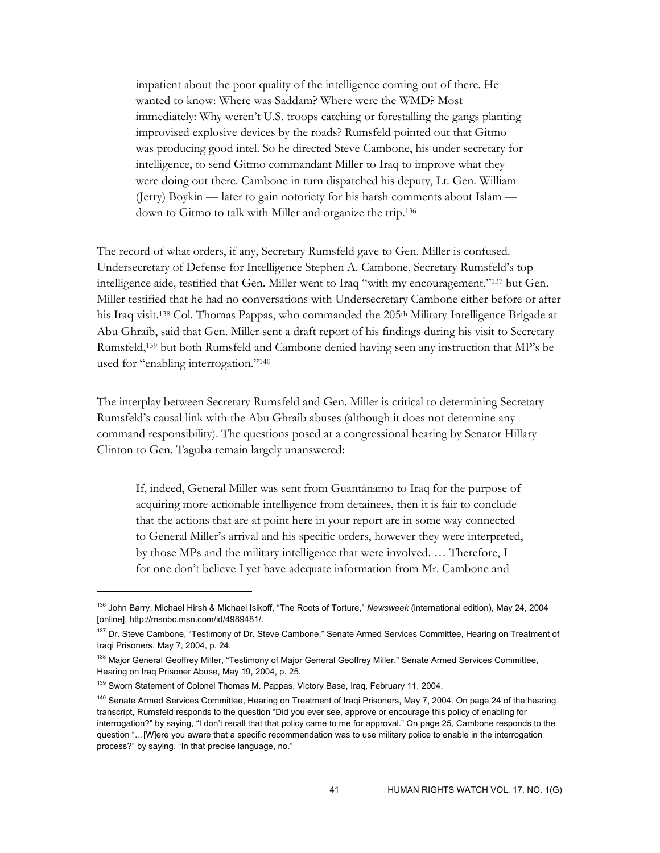impatient about the poor quality of the intelligence coming out of there. He wanted to know: Where was Saddam? Where were the WMD? Most immediately: Why weren't U.S. troops catching or forestalling the gangs planting improvised explosive devices by the roads? Rumsfeld pointed out that Gitmo was producing good intel. So he directed Steve Cambone, his under secretary for intelligence, to send Gitmo commandant Miller to Iraq to improve what they were doing out there. Cambone in turn dispatched his deputy, Lt. Gen. William (Jerry) Boykin — later to gain notoriety for his harsh comments about Islam down to Gitmo to talk with Miller and organize the trip.136

The record of what orders, if any, Secretary Rumsfeld gave to Gen. Miller is confused. Undersecretary of Defense for Intelligence Stephen A. Cambone, Secretary Rumsfeld's top intelligence aide, testified that Gen. Miller went to Iraq "with my encouragement,"137 but Gen. Miller testified that he had no conversations with Undersecretary Cambone either before or after his Iraq visit.<sup>138</sup> Col. Thomas Pappas, who commanded the 205<sup>th</sup> Military Intelligence Brigade at Abu Ghraib, said that Gen. Miller sent a draft report of his findings during his visit to Secretary Rumsfeld,139 but both Rumsfeld and Cambone denied having seen any instruction that MP's be used for "enabling interrogation."140

The interplay between Secretary Rumsfeld and Gen. Miller is critical to determining Secretary Rumsfeld's causal link with the Abu Ghraib abuses (although it does not determine any command responsibility). The questions posed at a congressional hearing by Senator Hillary Clinton to Gen. Taguba remain largely unanswered:

If, indeed, General Miller was sent from Guantánamo to Iraq for the purpose of acquiring more actionable intelligence from detainees, then it is fair to conclude that the actions that are at point here in your report are in some way connected to General Miller's arrival and his specific orders, however they were interpreted, by those MPs and the military intelligence that were involved. … Therefore, I for one don't believe I yet have adequate information from Mr. Cambone and

<sup>136</sup> John Barry, Michael Hirsh & Michael Isikoff, "The Roots of Torture," *Newsweek* (international edition), May 24, 2004 [online], http://msnbc.msn.com/id/4989481/.

<sup>&</sup>lt;sup>137</sup> Dr. Steve Cambone, "Testimony of Dr. Steve Cambone," Senate Armed Services Committee, Hearing on Treatment of Iraqi Prisoners, May 7, 2004, p. 24.

<sup>138</sup> Maior General Geoffrey Miller, "Testimony of Major General Geoffrey Miller," Senate Armed Services Committee, Hearing on Iraq Prisoner Abuse, May 19, 2004, p. 25.

<sup>139</sup> Sworn Statement of Colonel Thomas M. Pappas, Victory Base, Iraq, February 11, 2004.

<sup>&</sup>lt;sup>140</sup> Senate Armed Services Committee, Hearing on Treatment of Iragi Prisoners, May 7, 2004. On page 24 of the hearing transcript, Rumsfeld responds to the question "Did you ever see, approve or encourage this policy of enabling for interrogation?" by saying, "I don't recall that that policy came to me for approval." On page 25, Cambone responds to the question "…[W]ere you aware that a specific recommendation was to use military police to enable in the interrogation process?" by saying, "In that precise language, no."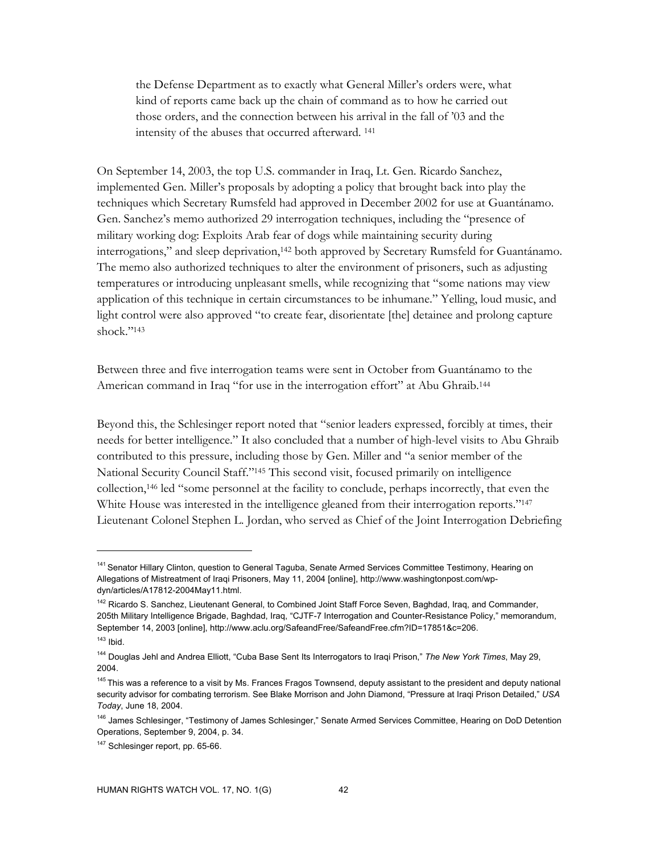the Defense Department as to exactly what General Miller's orders were, what kind of reports came back up the chain of command as to how he carried out those orders, and the connection between his arrival in the fall of '03 and the intensity of the abuses that occurred afterward. 141

On September 14, 2003, the top U.S. commander in Iraq, Lt. Gen. Ricardo Sanchez, implemented Gen. Miller's proposals by adopting a policy that brought back into play the techniques which Secretary Rumsfeld had approved in December 2002 for use at Guantánamo. Gen. Sanchez's memo authorized 29 interrogation techniques, including the "presence of military working dog: Exploits Arab fear of dogs while maintaining security during interrogations," and sleep deprivation,<sup>142</sup> both approved by Secretary Rumsfeld for Guantánamo. The memo also authorized techniques to alter the environment of prisoners, such as adjusting temperatures or introducing unpleasant smells, while recognizing that "some nations may view application of this technique in certain circumstances to be inhumane." Yelling, loud music, and light control were also approved "to create fear, disorientate [the] detainee and prolong capture shock."143

Between three and five interrogation teams were sent in October from Guantánamo to the American command in Iraq "for use in the interrogation effort" at Abu Ghraib.<sup>144</sup>

Beyond this, the Schlesinger report noted that "senior leaders expressed, forcibly at times, their needs for better intelligence." It also concluded that a number of high-level visits to Abu Ghraib contributed to this pressure, including those by Gen. Miller and "a senior member of the National Security Council Staff."145 This second visit, focused primarily on intelligence collection,146 led "some personnel at the facility to conclude, perhaps incorrectly, that even the White House was interested in the intelligence gleaned from their interrogation reports."147 Lieutenant Colonel Stephen L. Jordan, who served as Chief of the Joint Interrogation Debriefing

<sup>&</sup>lt;sup>141</sup> Senator Hillary Clinton, question to General Taguba, Senate Armed Services Committee Testimony, Hearing on Allegations of Mistreatment of Iraqi Prisoners, May 11, 2004 [online], http://www.washingtonpost.com/wpdyn/articles/A17812-2004May11.html.

<sup>&</sup>lt;sup>142</sup> Ricardo S. Sanchez, Lieutenant General, to Combined Joint Staff Force Seven, Baghdad, Iraq, and Commander, 205th Military Intelligence Brigade, Baghdad, Iraq, "CJTF-7 Interrogation and Counter-Resistance Policy," memorandum, September 14, 2003 [online], http://www.aclu.org/SafeandFree/SafeandFree.cfm?ID=17851&c=206.

 $143$  Ibid.

<sup>144</sup> Douglas Jehl and Andrea Elliott, "Cuba Base Sent Its Interrogators to Iraqi Prison," *The New York Times*, May 29, 2004.

<sup>&</sup>lt;sup>145</sup> This was a reference to a visit by Ms. Frances Fragos Townsend, deputy assistant to the president and deputy national security advisor for combating terrorism. See Blake Morrison and John Diamond, "Pressure at Iraqi Prison Detailed," *USA Today*, June 18, 2004.

<sup>&</sup>lt;sup>146</sup> James Schlesinger, "Testimony of James Schlesinger," Senate Armed Services Committee, Hearing on DoD Detention Operations, September 9, 2004, p. 34.

<sup>&</sup>lt;sup>147</sup> Schlesinger report, pp. 65-66.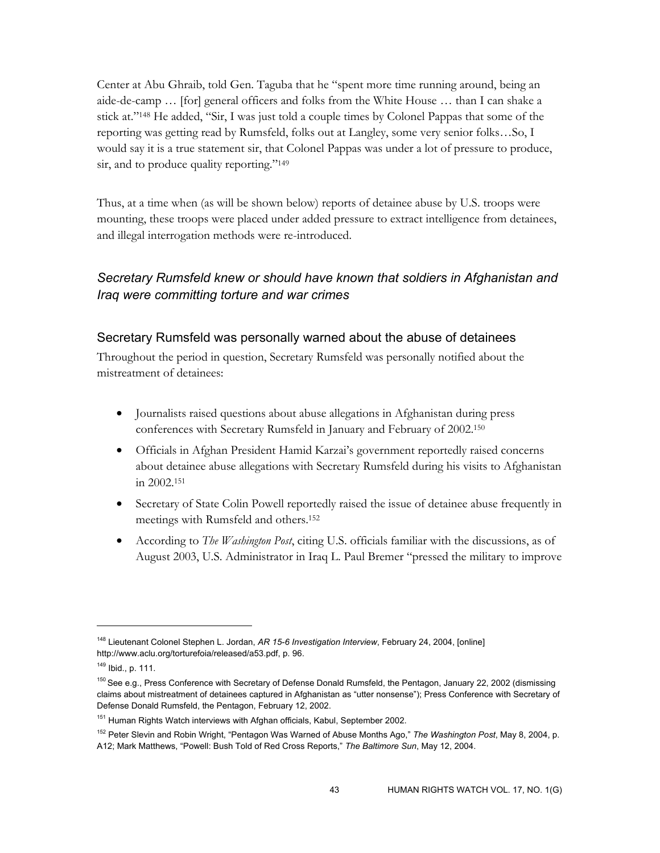Center at Abu Ghraib, told Gen. Taguba that he "spent more time running around, being an aide-de-camp … [for] general officers and folks from the White House … than I can shake a stick at."148 He added, "Sir, I was just told a couple times by Colonel Pappas that some of the reporting was getting read by Rumsfeld, folks out at Langley, some very senior folks…So, I would say it is a true statement sir, that Colonel Pappas was under a lot of pressure to produce, sir, and to produce quality reporting."149

Thus, at a time when (as will be shown below) reports of detainee abuse by U.S. troops were mounting, these troops were placed under added pressure to extract intelligence from detainees, and illegal interrogation methods were re-introduced.

## *Secretary Rumsfeld knew or should have known that soldiers in Afghanistan and Iraq were committing torture and war crimes*

### Secretary Rumsfeld was personally warned about the abuse of detainees

Throughout the period in question, Secretary Rumsfeld was personally notified about the mistreatment of detainees:

- Journalists raised questions about abuse allegations in Afghanistan during press conferences with Secretary Rumsfeld in January and February of 2002.150
- Officials in Afghan President Hamid Karzai's government reportedly raised concerns about detainee abuse allegations with Secretary Rumsfeld during his visits to Afghanistan in 2002.151
- Secretary of State Colin Powell reportedly raised the issue of detainee abuse frequently in meetings with Rumsfeld and others.152
- According to *The Washington Post*, citing U.S. officials familiar with the discussions, as of August 2003, U.S. Administrator in Iraq L. Paul Bremer "pressed the military to improve

 $\ddot{\phantom{a}}$ 

<sup>148</sup> Lieutenant Colonel Stephen L. Jordan, *AR 15-6 Investigation Interview*, February 24, 2004, [online] http://www.aclu.org/torturefoia/released/a53.pdf, p. 96.

<sup>149</sup> Ibid., p. 111.

<sup>&</sup>lt;sup>150</sup> See e.g., Press Conference with Secretary of Defense Donald Rumsfeld, the Pentagon, January 22, 2002 (dismissing claims about mistreatment of detainees captured in Afghanistan as "utter nonsense"); Press Conference with Secretary of Defense Donald Rumsfeld, the Pentagon, February 12, 2002.

<sup>&</sup>lt;sup>151</sup> Human Rights Watch interviews with Afghan officials, Kabul, September 2002.

<sup>152</sup> Peter Slevin and Robin Wright, "Pentagon Was Warned of Abuse Months Ago," *The Washington Post*, May 8, 2004, p. A12; Mark Matthews, "Powell: Bush Told of Red Cross Reports," *The Baltimore Sun*, May 12, 2004.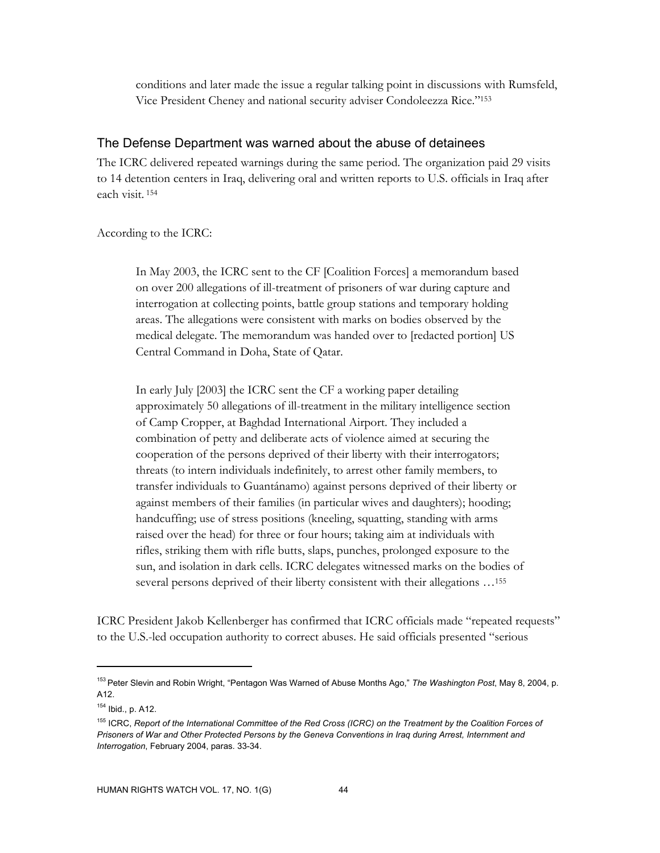conditions and later made the issue a regular talking point in discussions with Rumsfeld, Vice President Cheney and national security adviser Condoleezza Rice."153

#### The Defense Department was warned about the abuse of detainees

The ICRC delivered repeated warnings during the same period. The organization paid 29 visits to 14 detention centers in Iraq, delivering oral and written reports to U.S. officials in Iraq after each visit. 154

According to the ICRC:

In May 2003, the ICRC sent to the CF [Coalition Forces] a memorandum based on over 200 allegations of ill-treatment of prisoners of war during capture and interrogation at collecting points, battle group stations and temporary holding areas. The allegations were consistent with marks on bodies observed by the medical delegate. The memorandum was handed over to [redacted portion] US Central Command in Doha, State of Qatar.

In early July [2003] the ICRC sent the CF a working paper detailing approximately 50 allegations of ill-treatment in the military intelligence section of Camp Cropper, at Baghdad International Airport. They included a combination of petty and deliberate acts of violence aimed at securing the cooperation of the persons deprived of their liberty with their interrogators; threats (to intern individuals indefinitely, to arrest other family members, to transfer individuals to Guantánamo) against persons deprived of their liberty or against members of their families (in particular wives and daughters); hooding; handcuffing; use of stress positions (kneeling, squatting, standing with arms raised over the head) for three or four hours; taking aim at individuals with rifles, striking them with rifle butts, slaps, punches, prolonged exposure to the sun, and isolation in dark cells. ICRC delegates witnessed marks on the bodies of several persons deprived of their liberty consistent with their allegations ...<sup>155</sup>

ICRC President Jakob Kellenberger has confirmed that ICRC officials made "repeated requests" to the U.S.-led occupation authority to correct abuses. He said officials presented "serious

<sup>153</sup> Peter Slevin and Robin Wright, "Pentagon Was Warned of Abuse Months Ago," *The Washington Post*, May 8, 2004, p. A12.

<sup>154</sup> Ibid., p. A12.

<sup>155</sup> ICRC, *Report of the International Committee of the Red Cross (ICRC) on the Treatment by the Coalition Forces of Prisoners of War and Other Protected Persons by the Geneva Conventions in Iraq during Arrest, Internment and Interrogation*, February 2004, paras. 33-34.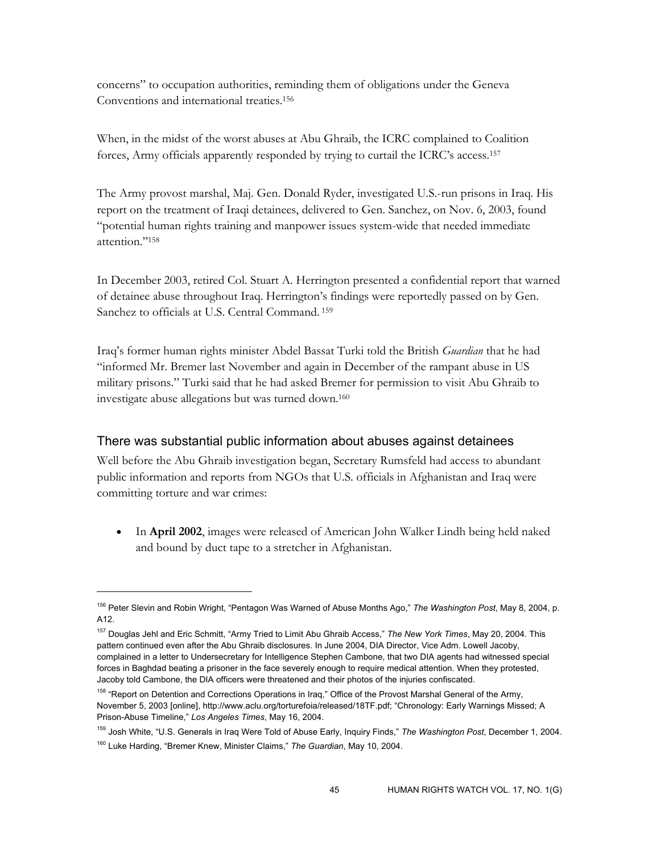concerns" to occupation authorities, reminding them of obligations under the Geneva Conventions and international treaties.156

When, in the midst of the worst abuses at Abu Ghraib, the ICRC complained to Coalition forces, Army officials apparently responded by trying to curtail the ICRC's access.157

The Army provost marshal, Maj. Gen. Donald Ryder, investigated U.S.-run prisons in Iraq. His report on the treatment of Iraqi detainees, delivered to Gen. Sanchez, on Nov. 6, 2003, found "potential human rights training and manpower issues system-wide that needed immediate attention."158

In December 2003, retired Col. Stuart A. Herrington presented a confidential report that warned of detainee abuse throughout Iraq. Herrington's findings were reportedly passed on by Gen. Sanchez to officials at U.S. Central Command. 159

Iraq's former human rights minister Abdel Bassat Turki told the British *Guardian* that he had "informed Mr. Bremer last November and again in December of the rampant abuse in US military prisons." Turki said that he had asked Bremer for permission to visit Abu Ghraib to investigate abuse allegations but was turned down.160

#### There was substantial public information about abuses against detainees

Well before the Abu Ghraib investigation began, Secretary Rumsfeld had access to abundant public information and reports from NGOs that U.S. officials in Afghanistan and Iraq were committing torture and war crimes:

• In **April 2002**, images were released of American John Walker Lindh being held naked and bound by duct tape to a stretcher in Afghanistan.

<sup>156</sup> Peter Slevin and Robin Wright, "Pentagon Was Warned of Abuse Months Ago," *The Washington Post*, May 8, 2004, p. A12.

<sup>157</sup> Douglas Jehl and Eric Schmitt, "Army Tried to Limit Abu Ghraib Access," *The New York Times*, May 20, 2004. This pattern continued even after the Abu Ghraib disclosures. In June 2004, DIA Director, Vice Adm. Lowell Jacoby, complained in a letter to Undersecretary for Intelligence Stephen Cambone, that two DIA agents had witnessed special forces in Baghdad beating a prisoner in the face severely enough to require medical attention. When they protested, Jacoby told Cambone, the DIA officers were threatened and their photos of the injuries confiscated.

<sup>&</sup>lt;sup>158</sup> "Report on Detention and Corrections Operations in Iraq," Office of the Provost Marshal General of the Army, November 5, 2003 [online], http://www.aclu.org/torturefoia/released/18TF.pdf; "Chronology: Early Warnings Missed; A Prison-Abuse Timeline," *Los Angeles Times*, May 16, 2004.

<sup>159</sup> Josh White, "U.S. Generals in Iraq Were Told of Abuse Early, Inquiry Finds," *The Washington Post*, December 1, 2004. 160 Luke Harding, "Bremer Knew, Minister Claims," *The Guardian*, May 10, 2004.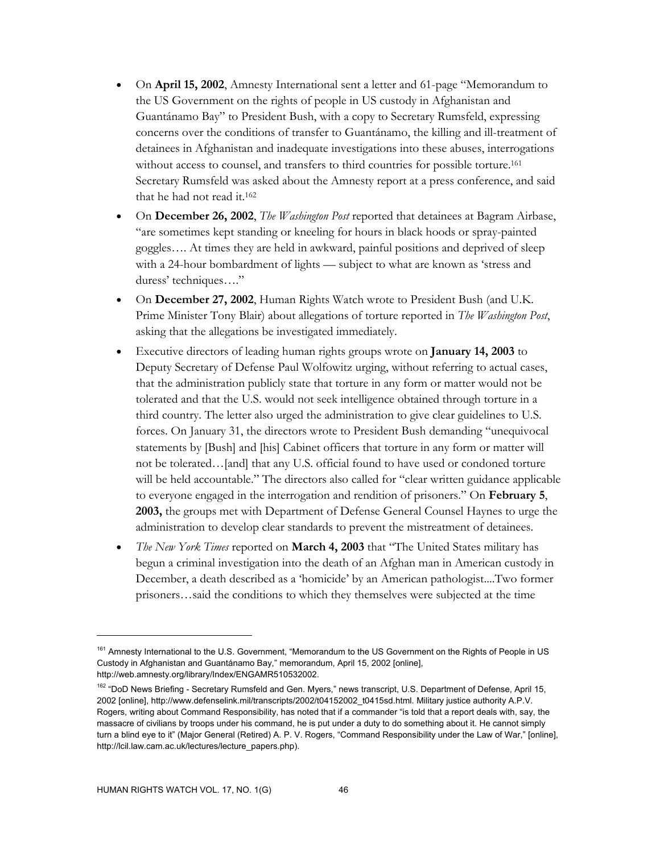- On **April 15, 2002**, Amnesty International sent a letter and 61-page "Memorandum to the US Government on the rights of people in US custody in Afghanistan and Guantánamo Bay" to President Bush, with a copy to Secretary Rumsfeld, expressing concerns over the conditions of transfer to Guantánamo, the killing and ill-treatment of detainees in Afghanistan and inadequate investigations into these abuses, interrogations without access to counsel, and transfers to third countries for possible torture.<sup>161</sup> Secretary Rumsfeld was asked about the Amnesty report at a press conference, and said that he had not read it.162
- On **December 26, 2002**, *The Washington Post* reported that detainees at Bagram Airbase, "are sometimes kept standing or kneeling for hours in black hoods or spray-painted goggles…. At times they are held in awkward, painful positions and deprived of sleep with a 24-hour bombardment of lights — subject to what are known as 'stress and duress' techniques…."
- On **December 27, 2002**, Human Rights Watch wrote to President Bush (and U.K. Prime Minister Tony Blair) about allegations of torture reported in *The Washington Post*, asking that the allegations be investigated immediately.
- Executive directors of leading human rights groups wrote on **January 14, 2003** to Deputy Secretary of Defense Paul Wolfowitz urging, without referring to actual cases, that the administration publicly state that torture in any form or matter would not be tolerated and that the U.S. would not seek intelligence obtained through torture in a third country. The letter also urged the administration to give clear guidelines to U.S. forces. On January 31, the directors wrote to President Bush demanding "unequivocal statements by [Bush] and [his] Cabinet officers that torture in any form or matter will not be tolerated…[and] that any U.S. official found to have used or condoned torture will be held accountable." The directors also called for "clear written guidance applicable to everyone engaged in the interrogation and rendition of prisoners." On **February 5**, **2003,** the groups met with Department of Defense General Counsel Haynes to urge the administration to develop clear standards to prevent the mistreatment of detainees.
- *The New York Times* reported on **March 4, 2003** that "The United States military has begun a criminal investigation into the death of an Afghan man in American custody in December, a death described as a 'homicide' by an American pathologist....Two former prisoners…said the conditions to which they themselves were subjected at the time

 $\ddot{\phantom{a}}$ 

<sup>&</sup>lt;sup>161</sup> Amnesty International to the U.S. Government, "Memorandum to the US Government on the Rights of People in US Custody in Afghanistan and Guantánamo Bay," memorandum, April 15, 2002 [online], http://web.amnesty.org/library/Index/ENGAMR510532002.

<sup>&</sup>lt;sup>162</sup> "DoD News Briefing - Secretary Rumsfeld and Gen. Myers," news transcript, U.S. Department of Defense, April 15, 2002 [online], http://www.defenselink.mil/transcripts/2002/t04152002\_t0415sd.html. Military justice authority A.P.V. Rogers, writing about Command Responsibility, has noted that if a commander "is told that a report deals with, say, the massacre of civilians by troops under his command, he is put under a duty to do something about it. He cannot simply turn a blind eye to it" (Major General (Retired) A. P. V. Rogers, "Command Responsibility under the Law of War," [online], http://lcil.law.cam.ac.uk/lectures/lecture\_papers.php).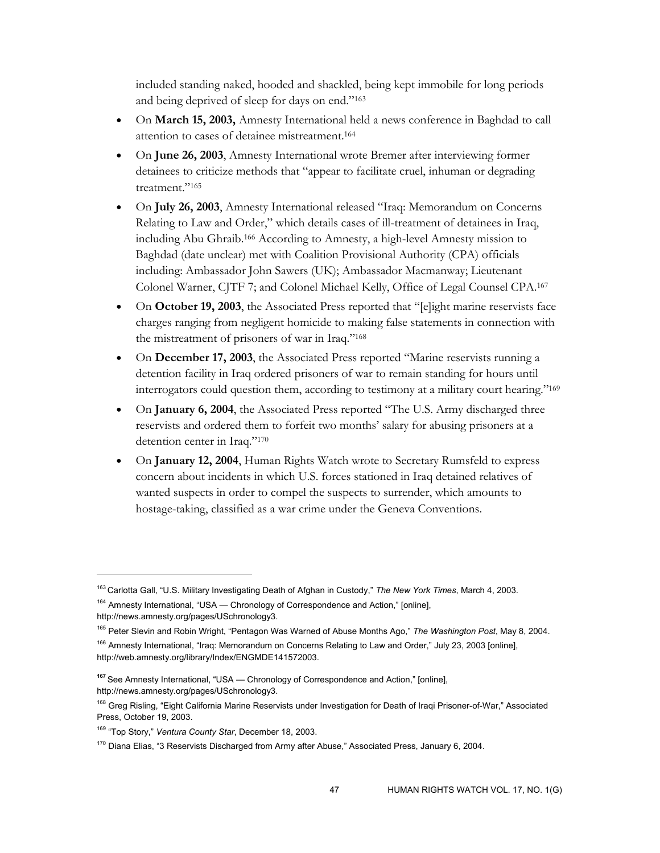included standing naked, hooded and shackled, being kept immobile for long periods and being deprived of sleep for days on end."163

- On **March 15, 2003,** Amnesty International held a news conference in Baghdad to call attention to cases of detainee mistreatment.164
- On **June 26, 2003**, Amnesty International wrote Bremer after interviewing former detainees to criticize methods that "appear to facilitate cruel, inhuman or degrading treatment."165
- On **July 26, 2003**, Amnesty International released "Iraq: Memorandum on Concerns Relating to Law and Order," which details cases of ill-treatment of detainees in Iraq, including Abu Ghraib.166 According to Amnesty, a high-level Amnesty mission to Baghdad (date unclear) met with Coalition Provisional Authority (CPA) officials including: Ambassador John Sawers (UK); Ambassador Macmanway; Lieutenant Colonel Warner, CJTF 7; and Colonel Michael Kelly, Office of Legal Counsel CPA.167
- On **October 19, 2003**, the Associated Press reported that "[e]ight marine reservists face charges ranging from negligent homicide to making false statements in connection with the mistreatment of prisoners of war in Iraq."168
- On **December 17, 2003**, the Associated Press reported "Marine reservists running a detention facility in Iraq ordered prisoners of war to remain standing for hours until interrogators could question them, according to testimony at a military court hearing."169
- On **January 6, 2004**, the Associated Press reported "The U.S. Army discharged three reservists and ordered them to forfeit two months' salary for abusing prisoners at a detention center in Iraq."170
- On **January 12, 2004**, Human Rights Watch wrote to Secretary Rumsfeld to express concern about incidents in which U.S. forces stationed in Iraq detained relatives of wanted suspects in order to compel the suspects to surrender, which amounts to hostage-taking, classified as a war crime under the Geneva Conventions.

<sup>163</sup> Carlotta Gall, "U.S. Military Investigating Death of Afghan in Custody," *The New York Times*, March 4, 2003.

<sup>&</sup>lt;sup>164</sup> Amnesty International, "USA — Chronology of Correspondence and Action," [online], http://news.amnesty.org/pages/USchronology3.

<sup>165</sup> Peter Slevin and Robin Wright, "Pentagon Was Warned of Abuse Months Ago," *The Washington Post*, May 8, 2004.

<sup>166</sup> Amnesty International, "Iraq: Memorandum on Concerns Relating to Law and Order," July 23, 2003 [online], http://web.amnesty.org/library/Index/ENGMDE141572003.

**<sup>167</sup>**See Amnesty International, "USA — Chronology of Correspondence and Action," [online], http://news.amnesty.org/pages/USchronology3.

<sup>&</sup>lt;sup>168</sup> Greg Risling, "Eight California Marine Reservists under Investigation for Death of Iraqi Prisoner-of-War," Associated Press, October 19, 2003.

<sup>169 &</sup>quot;Top Story," *Ventura County Star*, December 18, 2003.

 $170$  Diana Elias, "3 Reservists Discharged from Army after Abuse," Associated Press, January 6, 2004.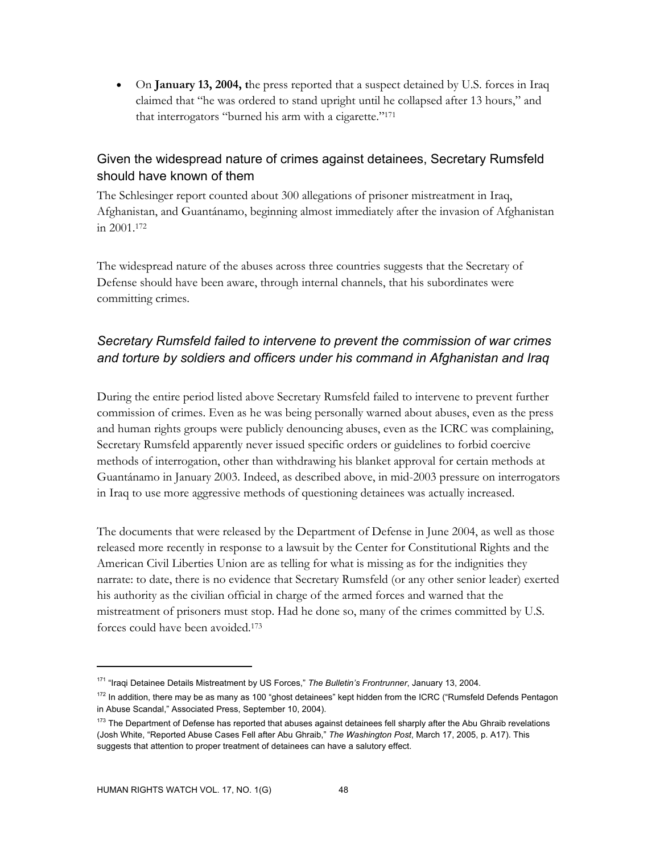• On **January 13, 2004, the press reported that a suspect detained by U.S. forces in Iraq** claimed that "he was ordered to stand upright until he collapsed after 13 hours," and that interrogators "burned his arm with a cigarette."171

## Given the widespread nature of crimes against detainees, Secretary Rumsfeld should have known of them

The Schlesinger report counted about 300 allegations of prisoner mistreatment in Iraq, Afghanistan, and Guantánamo, beginning almost immediately after the invasion of Afghanistan in 2001.172

The widespread nature of the abuses across three countries suggests that the Secretary of Defense should have been aware, through internal channels, that his subordinates were committing crimes.

# *Secretary Rumsfeld failed to intervene to prevent the commission of war crimes and torture by soldiers and officers under his command in Afghanistan and Iraq*

During the entire period listed above Secretary Rumsfeld failed to intervene to prevent further commission of crimes. Even as he was being personally warned about abuses, even as the press and human rights groups were publicly denouncing abuses, even as the ICRC was complaining, Secretary Rumsfeld apparently never issued specific orders or guidelines to forbid coercive methods of interrogation, other than withdrawing his blanket approval for certain methods at Guantánamo in January 2003. Indeed, as described above, in mid-2003 pressure on interrogators in Iraq to use more aggressive methods of questioning detainees was actually increased.

The documents that were released by the Department of Defense in June 2004, as well as those released more recently in response to a lawsuit by the Center for Constitutional Rights and the American Civil Liberties Union are as telling for what is missing as for the indignities they narrate: to date, there is no evidence that Secretary Rumsfeld (or any other senior leader) exerted his authority as the civilian official in charge of the armed forces and warned that the mistreatment of prisoners must stop. Had he done so, many of the crimes committed by U.S. forces could have been avoided.173

<sup>171 &</sup>quot;Iraqi Detainee Details Mistreatment by US Forces," *The Bulletin's Frontrunner*, January 13, 2004.

 $172$  In addition, there may be as many as 100 "ghost detainees" kept hidden from the ICRC ("Rumsfeld Defends Pentagon in Abuse Scandal," Associated Press, September 10, 2004).

 $173$  The Department of Defense has reported that abuses against detainees fell sharply after the Abu Ghraib revelations (Josh White, "Reported Abuse Cases Fell after Abu Ghraib," *The Washington Post*, March 17, 2005, p. A17). This suggests that attention to proper treatment of detainees can have a salutory effect.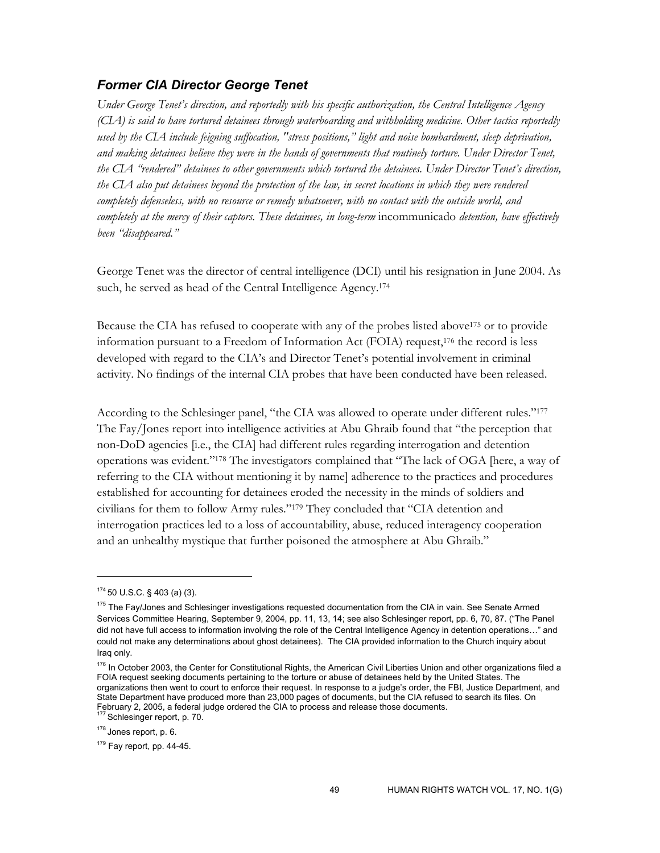#### *Former CIA Director George Tenet*

*Under George Tenet's direction, and reportedly with his specific authorization, the Central Intelligence Agency (CIA) is said to have tortured detainees through waterboarding and withholding medicine. Other tactics reportedly used by the CIA include feigning suffocation, "stress positions," light and noise bombardment, sleep deprivation, and making detainees believe they were in the hands of governments that routinely torture. Under Director Tenet, the CIA "rendered" detainees to other governments which tortured the detainees. Under Director Tenet's direction, the CIA also put detainees beyond the protection of the law, in secret locations in which they were rendered completely defenseless, with no resource or remedy whatsoever, with no contact with the outside world, and completely at the mercy of their captors. These detainees, in long-term* incommunicado *detention, have effectively been "disappeared."* 

George Tenet was the director of central intelligence (DCI) until his resignation in June 2004. As such, he served as head of the Central Intelligence Agency.<sup>174</sup>

Because the CIA has refused to cooperate with any of the probes listed above175 or to provide information pursuant to a Freedom of Information Act (FOIA) request,176 the record is less developed with regard to the CIA's and Director Tenet's potential involvement in criminal activity. No findings of the internal CIA probes that have been conducted have been released.

According to the Schlesinger panel, "the CIA was allowed to operate under different rules."177 The Fay/Jones report into intelligence activities at Abu Ghraib found that "the perception that non-DoD agencies [i.e., the CIA] had different rules regarding interrogation and detention operations was evident."178 The investigators complained that "The lack of OGA [here, a way of referring to the CIA without mentioning it by name] adherence to the practices and procedures established for accounting for detainees eroded the necessity in the minds of soldiers and civilians for them to follow Army rules."179 They concluded that "CIA detention and interrogation practices led to a loss of accountability, abuse, reduced interagency cooperation and an unhealthy mystique that further poisoned the atmosphere at Abu Ghraib."

<sup>174 50</sup> U.S.C. § 403 (a) (3).

<sup>175</sup> The Fay/Jones and Schlesinger investigations requested documentation from the CIA in vain. See Senate Armed Services Committee Hearing, September 9, 2004, pp. 11, 13, 14; see also Schlesinger report, pp. 6, 70, 87. ("The Panel did not have full access to information involving the role of the Central Intelligence Agency in detention operations…" and could not make any determinations about ghost detainees). The CIA provided information to the Church inquiry about Iraq only.

<sup>176</sup> In October 2003, the Center for Constitutional Rights, the American Civil Liberties Union and other organizations filed a FOIA request seeking documents pertaining to the torture or abuse of detainees held by the United States. The organizations then went to court to enforce their request. In response to a judge's order, the FBI, Justice Department, and State Department have produced more than 23,000 pages of documents, but the CIA refused to search its files. On February 2, 2005, a federal judge ordered the CIA to process and release those documents.<br><sup>177</sup> Schlesinger report, p. 70.

<sup>178</sup> Jones report, p. 6.

 $179$  Fay report, pp. 44-45.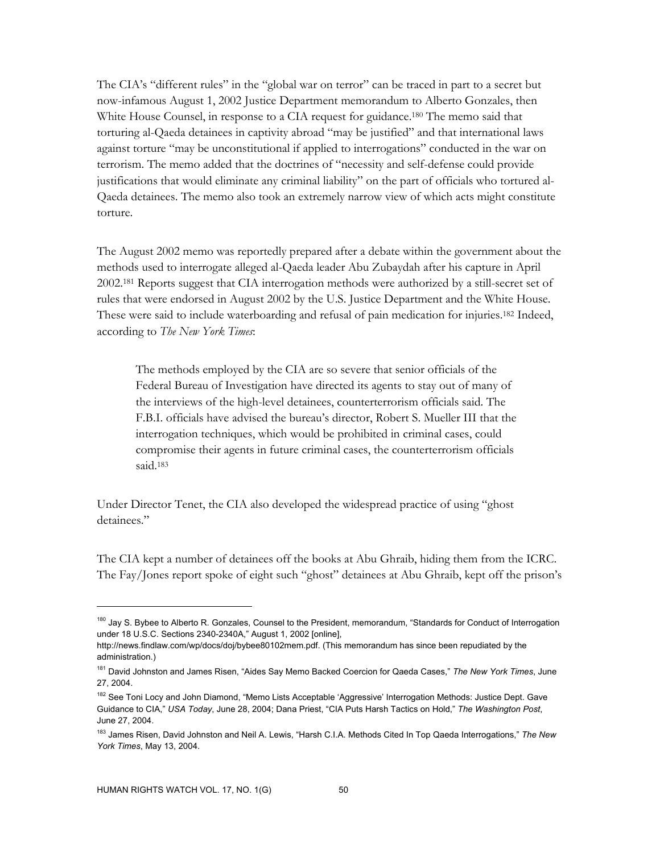The CIA's "different rules" in the "global war on terror" can be traced in part to a secret but now-infamous August 1, 2002 Justice Department memorandum to Alberto Gonzales, then White House Counsel, in response to a CIA request for guidance.180 The memo said that torturing al-Qaeda detainees in captivity abroad "may be justified" and that international laws against torture "may be unconstitutional if applied to interrogations" conducted in the war on terrorism. The memo added that the doctrines of "necessity and self-defense could provide justifications that would eliminate any criminal liability" on the part of officials who tortured al-Qaeda detainees. The memo also took an extremely narrow view of which acts might constitute torture.

The August 2002 memo was reportedly prepared after a debate within the government about the methods used to interrogate alleged al-Qaeda leader Abu Zubaydah after his capture in April 2002.181 Reports suggest that CIA interrogation methods were authorized by a still-secret set of rules that were endorsed in August 2002 by the U.S. Justice Department and the White House. These were said to include waterboarding and refusal of pain medication for injuries.182 Indeed, according to *The New York Times*:

The methods employed by the CIA are so severe that senior officials of the Federal Bureau of Investigation have directed its agents to stay out of many of the interviews of the high-level detainees, counterterrorism officials said. The F.B.I. officials have advised the bureau's director, Robert S. Mueller III that the interrogation techniques, which would be prohibited in criminal cases, could compromise their agents in future criminal cases, the counterterrorism officials said.183

Under Director Tenet, the CIA also developed the widespread practice of using "ghost detainees."

The CIA kept a number of detainees off the books at Abu Ghraib, hiding them from the ICRC. The Fay/Jones report spoke of eight such "ghost" detainees at Abu Ghraib, kept off the prison's

<sup>180</sup> Jay S. Bybee to Alberto R. Gonzales, Counsel to the President, memorandum, "Standards for Conduct of Interrogation under 18 U.S.C. Sections 2340-2340A," August 1, 2002 [online],

http://news.findlaw.com/wp/docs/doj/bybee80102mem.pdf. (This memorandum has since been repudiated by the administration.)

<sup>181</sup> David Johnston and James Risen, "Aides Say Memo Backed Coercion for Qaeda Cases," *The New York Times*, June 27, 2004.

<sup>182</sup> See Toni Locy and John Diamond, "Memo Lists Acceptable 'Aggressive' Interrogation Methods: Justice Dept. Gave Guidance to CIA," *USA Today*, June 28, 2004; Dana Priest, "CIA Puts Harsh Tactics on Hold," *The Washington Post*, June 27, 2004.

<sup>183</sup> James Risen, David Johnston and Neil A. Lewis, "Harsh C.I.A. Methods Cited In Top Qaeda Interrogations," *The New York Times*, May 13, 2004.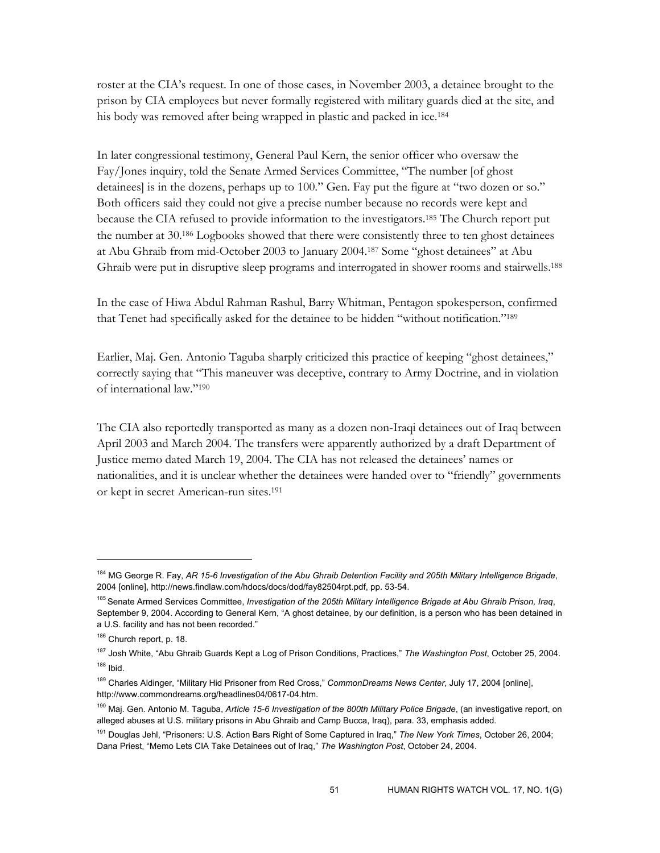roster at the CIA's request. In one of those cases, in November 2003, a detainee brought to the prison by CIA employees but never formally registered with military guards died at the site, and his body was removed after being wrapped in plastic and packed in ice.<sup>184</sup>

In later congressional testimony, General Paul Kern, the senior officer who oversaw the Fay/Jones inquiry, told the Senate Armed Services Committee, "The number [of ghost detainees] is in the dozens, perhaps up to 100." Gen. Fay put the figure at "two dozen or so." Both officers said they could not give a precise number because no records were kept and because the CIA refused to provide information to the investigators.<sup>185</sup> The Church report put the number at 30.186 Logbooks showed that there were consistently three to ten ghost detainees at Abu Ghraib from mid-October 2003 to January 2004.187 Some "ghost detainees" at Abu Ghraib were put in disruptive sleep programs and interrogated in shower rooms and stairwells.188

In the case of Hiwa Abdul Rahman Rashul, Barry Whitman, Pentagon spokesperson, confirmed that Tenet had specifically asked for the detainee to be hidden "without notification."189

Earlier, Maj. Gen. Antonio Taguba sharply criticized this practice of keeping "ghost detainees," correctly saying that "This maneuver was deceptive, contrary to Army Doctrine, and in violation of international law."190

The CIA also reportedly transported as many as a dozen non-Iraqi detainees out of Iraq between April 2003 and March 2004. The transfers were apparently authorized by a draft Department of Justice memo dated March 19, 2004. The CIA has not released the detainees' names or nationalities, and it is unclear whether the detainees were handed over to "friendly" governments or kept in secret American-run sites.191

 $\ddot{\phantom{a}}$ 

<sup>184</sup> MG George R. Fay, *AR 15-6 Investigation of the Abu Ghraib Detention Facility and 205th Military Intelligence Brigade*, 2004 [online], http://news.findlaw.com/hdocs/docs/dod/fay82504rpt.pdf, pp. 53-54.

<sup>185</sup> Senate Armed Services Committee, *Investigation of the 205th Military Intelligence Brigade at Abu Ghraib Prison, Iraq*, September 9, 2004. According to General Kern, "A ghost detainee, by our definition, is a person who has been detained in a U.S. facility and has not been recorded."

<sup>186</sup> Church report, p. 18.

<sup>187</sup> Josh White, "Abu Ghraib Guards Kept a Log of Prison Conditions, Practices," *The Washington Post*, October 25, 2004. 188 Ibid.

<sup>189</sup> Charles Aldinger, "Military Hid Prisoner from Red Cross," *CommonDreams News Center*, July 17, 2004 [online], http://www.commondreams.org/headlines04/0617-04.htm.

<sup>190</sup> Maj. Gen. Antonio M. Taguba, *Article 15-6 Investigation of the 800th Military Police Brigade*, (an investigative report, on alleged abuses at U.S. military prisons in Abu Ghraib and Camp Bucca, Iraq), para. 33, emphasis added.

<sup>191</sup> Douglas Jehl, "Prisoners: U.S. Action Bars Right of Some Captured in Iraq," *The New York Times*, October 26, 2004; Dana Priest, "Memo Lets CIA Take Detainees out of Iraq," *The Washington Post*, October 24, 2004.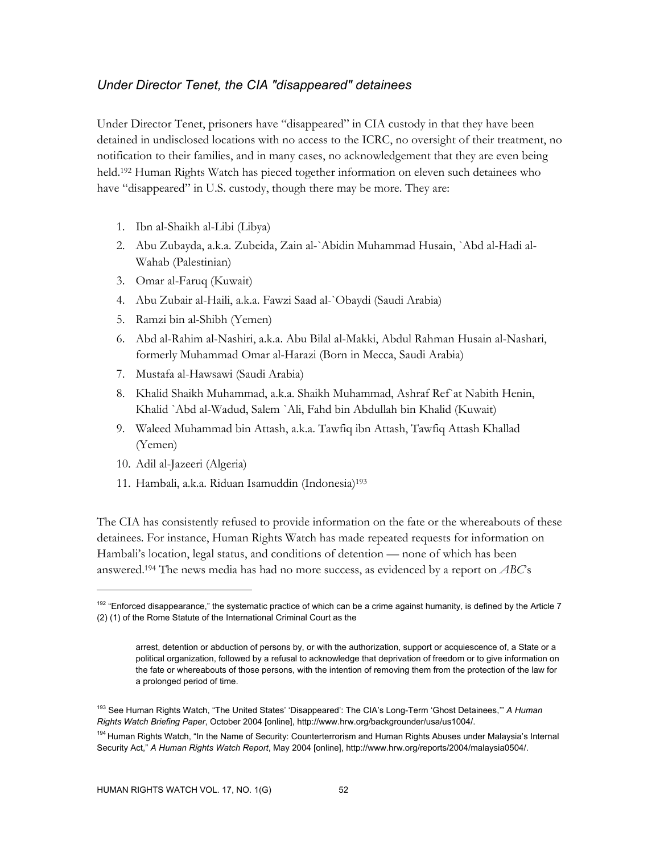### *Under Director Tenet, the CIA "disappeared" detainees*

Under Director Tenet, prisoners have "disappeared" in CIA custody in that they have been detained in undisclosed locations with no access to the ICRC, no oversight of their treatment, no notification to their families, and in many cases, no acknowledgement that they are even being held.192 Human Rights Watch has pieced together information on eleven such detainees who have "disappeared" in U.S. custody, though there may be more. They are:

- 1. Ibn al-Shaikh al-Libi (Libya)
- 2. Abu Zubayda, a.k.a. Zubeida, Zain al-`Abidin Muhammad Husain, `Abd al-Hadi al-Wahab (Palestinian)
- 3. Omar al-Faruq (Kuwait)
- 4. Abu Zubair al-Haili, a.k.a. Fawzi Saad al-`Obaydi (Saudi Arabia)
- 5. Ramzi bin al-Shibh (Yemen)
- 6. Abd al-Rahim al-Nashiri, a.k.a. Abu Bilal al-Makki, Abdul Rahman Husain al-Nashari, formerly Muhammad Omar al-Harazi (Born in Mecca, Saudi Arabia)
- 7. Mustafa al-Hawsawi (Saudi Arabia)
- 8. Khalid Shaikh Muhammad, a.k.a. Shaikh Muhammad, Ashraf Ref`at Nabith Henin, Khalid `Abd al-Wadud, Salem `Ali, Fahd bin Abdullah bin Khalid (Kuwait)
- 9. Waleed Muhammad bin Attash, a.k.a. Tawfiq ibn Attash, Tawfiq Attash Khallad (Yemen)
- 10. Adil al-Jazeeri (Algeria)

-

11. Hambali, a.k.a. Riduan Isamuddin (Indonesia)193

The CIA has consistently refused to provide information on the fate or the whereabouts of these detainees. For instance, Human Rights Watch has made repeated requests for information on Hambali's location, legal status, and conditions of detention — none of which has been answered.194 The news media has had no more success, as evidenced by a report on *ABC*'s

 $192$  "Enforced disappearance," the systematic practice of which can be a crime against humanity, is defined by the Article 7 (2) (1) of the Rome Statute of the International Criminal Court as the

arrest, detention or abduction of persons by, or with the authorization, support or acquiescence of, a State or a political organization, followed by a refusal to acknowledge that deprivation of freedom or to give information on the fate or whereabouts of those persons, with the intention of removing them from the protection of the law for a prolonged period of time.

<sup>193</sup> See Human Rights Watch, "The United States' 'Disappeared': The CIA's Long-Term 'Ghost Detainees,'" *A Human Rights Watch Briefing Paper*, October 2004 [online], http://www.hrw.org/backgrounder/usa/us1004/.

<sup>&</sup>lt;sup>194</sup> Human Rights Watch, "In the Name of Security: Counterterrorism and Human Rights Abuses under Malaysia's Internal Security Act," *A Human Rights Watch Report*, May 2004 [online], http://www.hrw.org/reports/2004/malaysia0504/.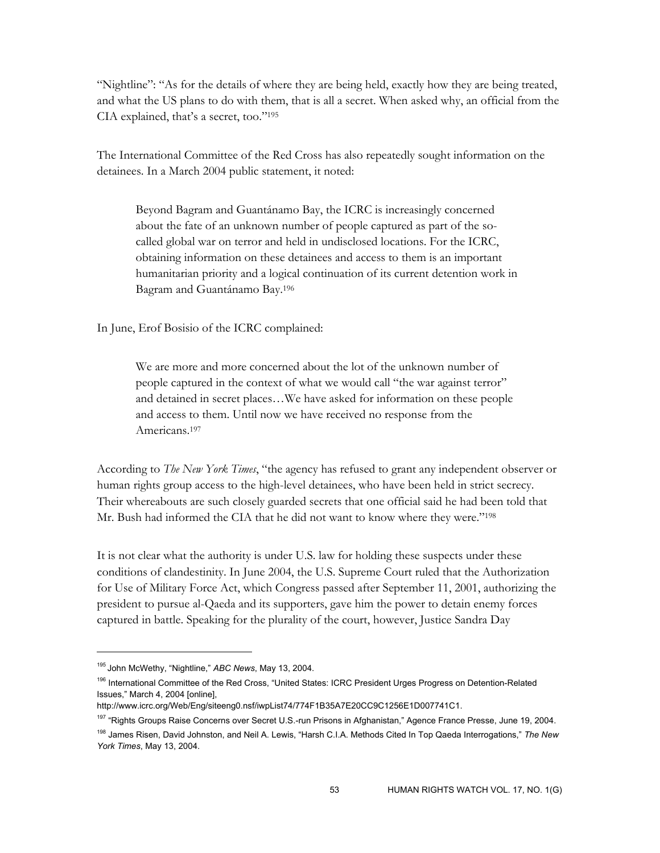"Nightline": "As for the details of where they are being held, exactly how they are being treated, and what the US plans to do with them, that is all a secret. When asked why, an official from the CIA explained, that's a secret, too."195

The International Committee of the Red Cross has also repeatedly sought information on the detainees. In a March 2004 public statement, it noted:

Beyond Bagram and Guantánamo Bay, the ICRC is increasingly concerned about the fate of an unknown number of people captured as part of the socalled global war on terror and held in undisclosed locations. For the ICRC, obtaining information on these detainees and access to them is an important humanitarian priority and a logical continuation of its current detention work in Bagram and Guantánamo Bay.196

In June, Erof Bosisio of the ICRC complained:

We are more and more concerned about the lot of the unknown number of people captured in the context of what we would call "the war against terror" and detained in secret places…We have asked for information on these people and access to them. Until now we have received no response from the Americans.197

According to *The New York Times*, "the agency has refused to grant any independent observer or human rights group access to the high-level detainees, who have been held in strict secrecy. Their whereabouts are such closely guarded secrets that one official said he had been told that Mr. Bush had informed the CIA that he did not want to know where they were."198

It is not clear what the authority is under U.S. law for holding these suspects under these conditions of clandestinity. In June 2004, the U.S. Supreme Court ruled that the Authorization for Use of Military Force Act, which Congress passed after September 11, 2001, authorizing the president to pursue al-Qaeda and its supporters, gave him the power to detain enemy forces captured in battle. Speaking for the plurality of the court, however, Justice Sandra Day

<sup>195</sup> John McWethy, "Nightline," *ABC News*, May 13, 2004.

<sup>196</sup> International Committee of the Red Cross, "United States: ICRC President Urges Progress on Detention-Related Issues," March 4, 2004 [online],

http://www.icrc.org/Web/Eng/siteeng0.nsf/iwpList74/774F1B35A7E20CC9C1256E1D007741C1.

<sup>&</sup>lt;sup>197</sup> "Rights Groups Raise Concerns over Secret U.S.-run Prisons in Afghanistan," Agence France Presse, June 19, 2004.

<sup>198</sup> James Risen, David Johnston, and Neil A. Lewis, "Harsh C.I.A. Methods Cited In Top Qaeda Interrogations," *The New York Times*, May 13, 2004.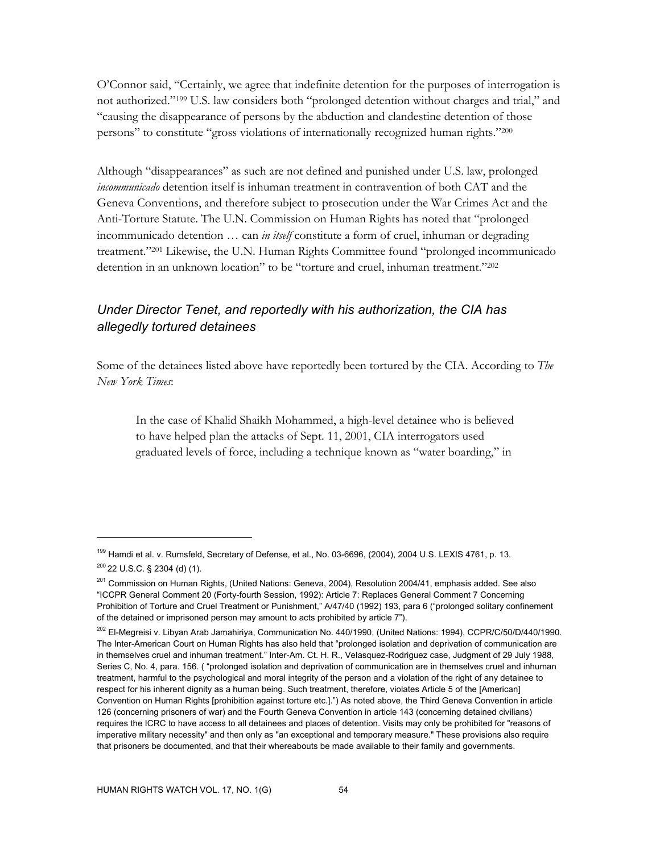O'Connor said, "Certainly, we agree that indefinite detention for the purposes of interrogation is not authorized."199 U.S. law considers both "prolonged detention without charges and trial," and "causing the disappearance of persons by the abduction and clandestine detention of those persons" to constitute "gross violations of internationally recognized human rights."200

Although "disappearances" as such are not defined and punished under U.S. law, prolonged *incommunicado* detention itself is inhuman treatment in contravention of both CAT and the Geneva Conventions, and therefore subject to prosecution under the War Crimes Act and the Anti-Torture Statute. The U.N. Commission on Human Rights has noted that "prolonged incommunicado detention … can *in itself* constitute a form of cruel, inhuman or degrading treatment."201 Likewise, the U.N. Human Rights Committee found "prolonged incommunicado detention in an unknown location" to be "torture and cruel, inhuman treatment."202

### *Under Director Tenet, and reportedly with his authorization, the CIA has allegedly tortured detainees*

Some of the detainees listed above have reportedly been tortured by the CIA. According to *The New York Times*:

In the case of Khalid Shaikh Mohammed, a high-level detainee who is believed to have helped plan the attacks of Sept. 11, 2001, CIA interrogators used graduated levels of force, including a technique known as "water boarding," in

<sup>199</sup> Hamdi et al. v. Rumsfeld, Secretary of Defense, et al., No. 03-6696, (2004), 2004 U.S. LEXIS 4761, p. 13.

<sup>200 22</sup> U.S.C. § 2304 (d) (1).

<sup>&</sup>lt;sup>201</sup> Commission on Human Rights, (United Nations: Geneva, 2004), Resolution 2004/41, emphasis added. See also "ICCPR General Comment 20 (Forty-fourth Session, 1992): Article 7: Replaces General Comment 7 Concerning Prohibition of Torture and Cruel Treatment or Punishment," A/47/40 (1992) 193, para 6 ("prolonged solitary confinement of the detained or imprisoned person may amount to acts prohibited by article 7").

<sup>&</sup>lt;sup>202</sup> El-Megreisi v. Libyan Arab Jamahiriya, Communication No. 440/1990, (United Nations: 1994), CCPR/C/50/D/440/1990. The Inter-American Court on Human Rights has also held that "prolonged isolation and deprivation of communication are in themselves cruel and inhuman treatment." Inter-Am. Ct. H. R., Velasquez-Rodriguez case, Judgment of 29 July 1988, Series C, No. 4, para. 156. ( "prolonged isolation and deprivation of communication are in themselves cruel and inhuman treatment, harmful to the psychological and moral integrity of the person and a violation of the right of any detainee to respect for his inherent dignity as a human being. Such treatment, therefore, violates Article 5 of the [American] Convention on Human Rights [prohibition against torture etc.].") As noted above, the Third Geneva Convention in article 126 (concerning prisoners of war) and the Fourth Geneva Convention in article 143 (concerning detained civilians) requires the ICRC to have access to all detainees and places of detention. Visits may only be prohibited for "reasons of imperative military necessity" and then only as "an exceptional and temporary measure." These provisions also require that prisoners be documented, and that their whereabouts be made available to their family and governments.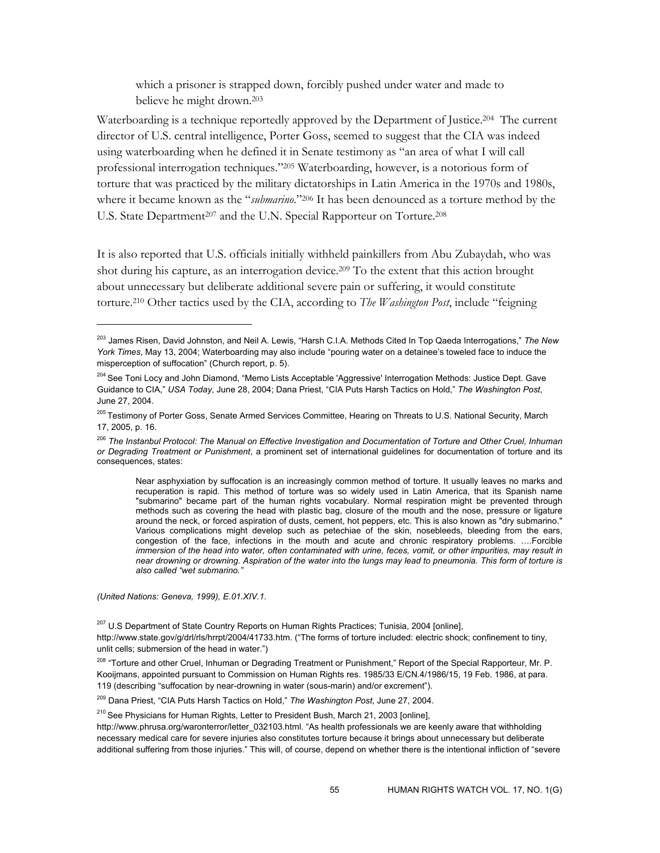which a prisoner is strapped down, forcibly pushed under water and made to believe he might drown.203

Waterboarding is a technique reportedly approved by the Department of Justice.<sup>204</sup> The current director of U.S. central intelligence, Porter Goss, seemed to suggest that the CIA was indeed using waterboarding when he defined it in Senate testimony as "an area of what I will call professional interrogation techniques."205 Waterboarding, however, is a notorious form of torture that was practiced by the military dictatorships in Latin America in the 1970s and 1980s, where it became known as the "*submarino*."206 It has been denounced as a torture method by the U.S. State Department<sup>207</sup> and the U.N. Special Rapporteur on Torture.<sup>208</sup>

It is also reported that U.S. officials initially withheld painkillers from Abu Zubaydah, who was shot during his capture, as an interrogation device.209 To the extent that this action brought about unnecessary but deliberate additional severe pain or suffering, it would constitute torture.210 Other tactics used by the CIA, according to *The Washington Post*, include "feigning

*(United Nations: Geneva, 1999), E.01.XIV.1.* 

 $\overline{a}$ 

<sup>207</sup> U.S Department of State Country Reports on Human Rights Practices; Tunisia, 2004 [online],

http://www.state.gov/g/drl/rls/hrrpt/2004/41733.htm. ("The forms of torture included: electric shock; confinement to tiny, unlit cells; submersion of the head in water.")

<sup>208</sup> "Torture and other Cruel, Inhuman or Degrading Treatment or Punishment," Report of the Special Rapporteur, Mr. P. Kooijmans, appointed pursuant to Commission on Human Rights res. 1985/33 E/CN.4/1986/15, 19 Feb. 1986, at para. 119 (describing "suffocation by near-drowning in water (sous-marin) and/or excrement").

209 Dana Priest, "CIA Puts Harsh Tactics on Hold," *The Washington Post*, June 27, 2004.

<sup>210</sup> See Physicians for Human Rights, Letter to President Bush, March 21, 2003 [online],

http://www.phrusa.org/waronterror/letter\_032103.html. "As health professionals we are keenly aware that withholding necessary medical care for severe injuries also constitutes torture because it brings about unnecessary but deliberate additional suffering from those injuries." This will, of course, depend on whether there is the intentional infliction of "severe

<sup>203</sup> James Risen, David Johnston, and Neil A. Lewis, "Harsh C.I.A. Methods Cited In Top Qaeda Interrogations," *The New York Times*, May 13, 2004; Waterboarding may also include "pouring water on a detainee's toweled face to induce the misperception of suffocation" (Church report, p. 5).

<sup>&</sup>lt;sup>204</sup> See Toni Locy and John Diamond, "Memo Lists Acceptable 'Aggressive' Interrogation Methods: Justice Dept. Gave Guidance to CIA," *USA Today*, June 28, 2004; Dana Priest, "CIA Puts Harsh Tactics on Hold," *The Washington Post*, June 27, 2004.

<sup>205</sup> Testimony of Porter Goss, Senate Armed Services Committee, Hearing on Threats to U.S. National Security, March 17, 2005, p. 16.

<sup>206</sup> *The Instanbul Protocol: The Manual on Effective Investigation and Documentation of Torture and Other Cruel, Inhuman or Degrading Treatment or Punishment*, a prominent set of international guidelines for documentation of torture and its consequences, states:

Near asphyxiation by suffocation is an increasingly common method of torture. It usually leaves no marks and recuperation is rapid. This method of torture was so widely used in Latin America, that its Spanish name "submarino" became part of the human rights vocabulary. Normal respiration might be prevented through methods such as covering the head with plastic bag, closure of the mouth and the nose, pressure or ligature around the neck, or forced aspiration of dusts, cement, hot peppers, etc. This is also known as "dry submarino." Various complications might develop such as petechiae of the skin, nosebleeds, bleeding from the ears, congestion of the face, infections in the mouth and acute and chronic respiratory problems. ….Forcible *immersion of the head into water, often contaminated with urine, feces, vomit, or other impurities, may result in near drowning or drowning. Aspiration of the water into the lungs may lead to pneumonia. This form of torture is also called "wet submarino."*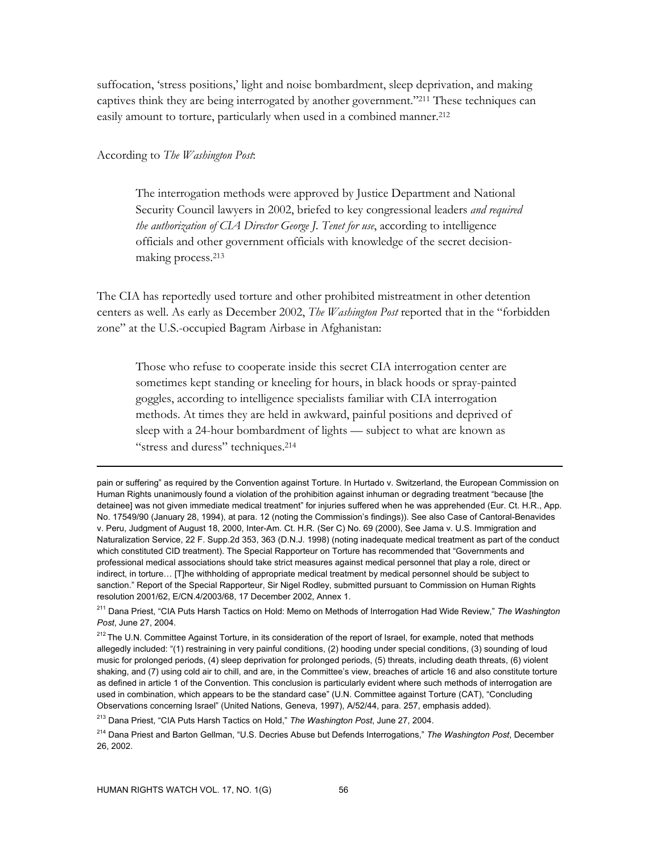suffocation, 'stress positions,' light and noise bombardment, sleep deprivation, and making captives think they are being interrogated by another government."211 These techniques can easily amount to torture, particularly when used in a combined manner.<sup>212</sup>

#### According to *The Washington Post*:

-

The interrogation methods were approved by Justice Department and National Security Council lawyers in 2002, briefed to key congressional leaders *and required the authorization of CIA Director George J. Tenet for use*, according to intelligence officials and other government officials with knowledge of the secret decisionmaking process.213

The CIA has reportedly used torture and other prohibited mistreatment in other detention centers as well. As early as December 2002, *The Washington Post* reported that in the "forbidden zone" at the U.S.-occupied Bagram Airbase in Afghanistan:

Those who refuse to cooperate inside this secret CIA interrogation center are sometimes kept standing or kneeling for hours, in black hoods or spray-painted goggles, according to intelligence specialists familiar with CIA interrogation methods. At times they are held in awkward, painful positions and deprived of sleep with a 24-hour bombardment of lights — subject to what are known as "stress and duress" techniques.214

213 Dana Priest, "CIA Puts Harsh Tactics on Hold," *The Washington Post*, June 27, 2004.

pain or suffering" as required by the Convention against Torture. In Hurtado v. Switzerland, the European Commission on Human Rights unanimously found a violation of the prohibition against inhuman or degrading treatment "because [the detainee] was not given immediate medical treatment" for injuries suffered when he was apprehended (Eur. Ct. H.R., App. No. 17549/90 (January 28, 1994), at para. 12 (noting the Commission's findings)). See also Case of Cantoral-Benavides v. Peru, Judgment of August 18, 2000, Inter-Am. Ct. H.R. (Ser C) No. 69 (2000), See Jama v. U.S. Immigration and Naturalization Service, 22 F. Supp.2d 353, 363 (D.N.J. 1998) (noting inadequate medical treatment as part of the conduct which constituted CID treatment). The Special Rapporteur on Torture has recommended that "Governments and professional medical associations should take strict measures against medical personnel that play a role, direct or indirect, in torture… [T]he withholding of appropriate medical treatment by medical personnel should be subject to sanction." Report of the Special Rapporteur, Sir Nigel Rodley, submitted pursuant to Commission on Human Rights resolution 2001/62, E/CN.4/2003/68, 17 December 2002, Annex 1.

<sup>211</sup> Dana Priest, "CIA Puts Harsh Tactics on Hold: Memo on Methods of Interrogation Had Wide Review," *The Washington Post*, June 27, 2004.

<sup>&</sup>lt;sup>212</sup> The U.N. Committee Against Torture, in its consideration of the report of Israel, for example, noted that methods allegedly included: "(1) restraining in very painful conditions, (2) hooding under special conditions, (3) sounding of loud music for prolonged periods, (4) sleep deprivation for prolonged periods, (5) threats, including death threats, (6) violent shaking, and (7) using cold air to chill, and are, in the Committee's view, breaches of article 16 and also constitute torture as defined in article 1 of the Convention. This conclusion is particularly evident where such methods of interrogation are used in combination, which appears to be the standard case" (U.N. Committee against Torture (CAT), "Concluding Observations concerning Israel" (United Nations, Geneva, 1997), A/52/44, para. 257, emphasis added).

<sup>214</sup> Dana Priest and Barton Gellman, "U.S. Decries Abuse but Defends Interrogations," *The Washington Post*, December 26, 2002.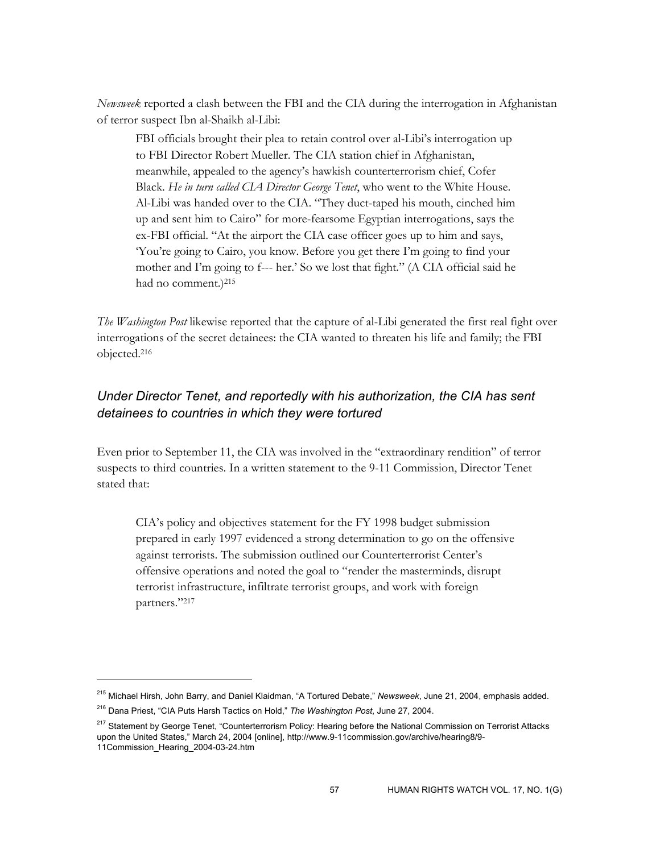*Newsweek* reported a clash between the FBI and the CIA during the interrogation in Afghanistan of terror suspect Ibn al-Shaikh al-Libi:

FBI officials brought their plea to retain control over al-Libi's interrogation up to FBI Director Robert Mueller. The CIA station chief in Afghanistan, meanwhile, appealed to the agency's hawkish counterterrorism chief, Cofer Black. *He in turn called CIA Director George Tenet*, who went to the White House. Al-Libi was handed over to the CIA. "They duct-taped his mouth, cinched him up and sent him to Cairo" for more-fearsome Egyptian interrogations, says the ex-FBI official. "At the airport the CIA case officer goes up to him and says, 'You're going to Cairo, you know. Before you get there I'm going to find your mother and I'm going to f--- her.' So we lost that fight." (A CIA official said he had no comment.)<sup>215</sup>

*The Washington Post* likewise reported that the capture of al-Libi generated the first real fight over interrogations of the secret detainees: the CIA wanted to threaten his life and family; the FBI objected.216

## *Under Director Tenet, and reportedly with his authorization, the CIA has sent detainees to countries in which they were tortured*

Even prior to September 11, the CIA was involved in the "extraordinary rendition" of terror suspects to third countries. In a written statement to the 9-11 Commission, Director Tenet stated that:

CIA's policy and objectives statement for the FY 1998 budget submission prepared in early 1997 evidenced a strong determination to go on the offensive against terrorists. The submission outlined our Counterterrorist Center's offensive operations and noted the goal to "render the masterminds, disrupt terrorist infrastructure, infiltrate terrorist groups, and work with foreign partners."217

<sup>215</sup> Michael Hirsh, John Barry, and Daniel Klaidman, "A Tortured Debate," *Newsweek*, June 21, 2004, emphasis added.

<sup>216</sup> Dana Priest, "CIA Puts Harsh Tactics on Hold," *The Washington Post*, June 27, 2004.

<sup>&</sup>lt;sup>217</sup> Statement by George Tenet, "Counterterrorism Policy: Hearing before the National Commission on Terrorist Attacks upon the United States," March 24, 2004 [online], http://www.9-11commission.gov/archive/hearing8/9- 11Commission\_Hearing\_2004-03-24.htm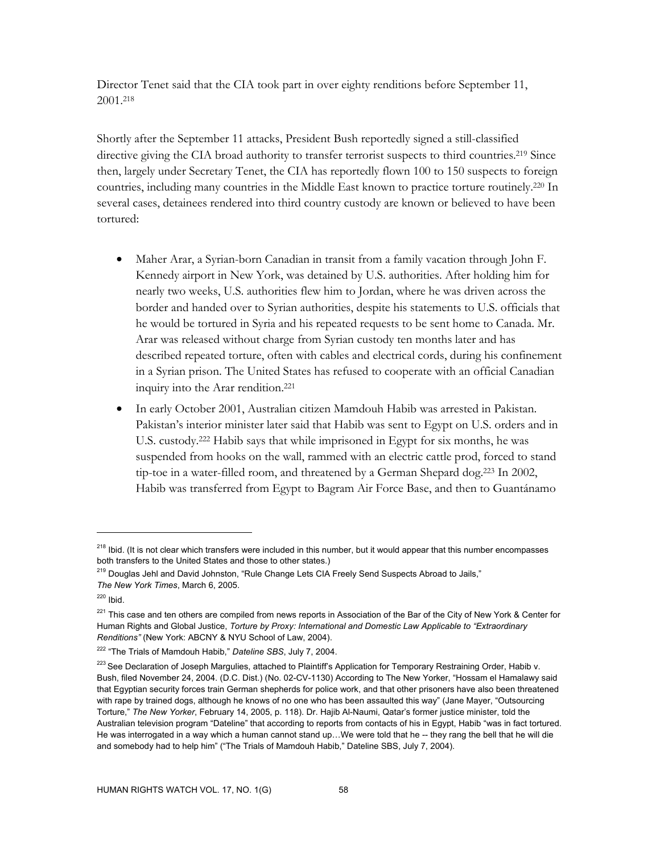Director Tenet said that the CIA took part in over eighty renditions before September 11, 2001.218

Shortly after the September 11 attacks, President Bush reportedly signed a still-classified directive giving the CIA broad authority to transfer terrorist suspects to third countries.<sup>219</sup> Since then, largely under Secretary Tenet, the CIA has reportedly flown 100 to 150 suspects to foreign countries, including many countries in the Middle East known to practice torture routinely.220 In several cases, detainees rendered into third country custody are known or believed to have been tortured:

- Maher Arar, a Syrian-born Canadian in transit from a family vacation through John F. Kennedy airport in New York, was detained by U.S. authorities. After holding him for nearly two weeks, U.S. authorities flew him to Jordan, where he was driven across the border and handed over to Syrian authorities, despite his statements to U.S. officials that he would be tortured in Syria and his repeated requests to be sent home to Canada. Mr. Arar was released without charge from Syrian custody ten months later and has described repeated torture, often with cables and electrical cords, during his confinement in a Syrian prison. The United States has refused to cooperate with an official Canadian inquiry into the Arar rendition.221
- In early October 2001, Australian citizen Mamdouh Habib was arrested in Pakistan. Pakistan's interior minister later said that Habib was sent to Egypt on U.S. orders and in U.S. custody.222 Habib says that while imprisoned in Egypt for six months, he was suspended from hooks on the wall, rammed with an electric cattle prod, forced to stand tip-toe in a water-filled room, and threatened by a German Shepard dog.223 In 2002, Habib was transferred from Egypt to Bagram Air Force Base, and then to Guantánamo

<sup>&</sup>lt;sup>218</sup> Ibid. (It is not clear which transfers were included in this number, but it would appear that this number encompasses both transfers to the United States and those to other states.)

<sup>&</sup>lt;sup>219</sup> Douglas Jehl and David Johnston, "Rule Change Lets CIA Freely Send Suspects Abroad to Jails," *The New York Times*, March 6, 2005.

 $220$  Ibid.

<sup>&</sup>lt;sup>221</sup> This case and ten others are compiled from news reports in Association of the Bar of the City of New York & Center for Human Rights and Global Justice, *Torture by Proxy: International and Domestic Law Applicable to "Extraordinary Renditions"* (New York: ABCNY & NYU School of Law, 2004).

<sup>222 &</sup>quot;The Trials of Mamdouh Habib," *Dateline SBS*, July 7, 2004.

<sup>&</sup>lt;sup>223</sup> See Declaration of Joseph Margulies, attached to Plaintiff's Application for Temporary Restraining Order, Habib v. Bush, filed November 24, 2004. (D.C. Dist.) (No. 02-CV-1130) According to The New Yorker, "Hossam el Hamalawy said that Egyptian security forces train German shepherds for police work, and that other prisoners have also been threatened with rape by trained dogs, although he knows of no one who has been assaulted this way" (Jane Mayer, "Outsourcing Torture," *The New Yorker*, February 14, 2005, p. 118). Dr. Hajib Al-Naumi, Qatar's former justice minister, told the Australian television program "Dateline" that according to reports from contacts of his in Egypt, Habib "was in fact tortured. He was interrogated in a way which a human cannot stand up…We were told that he -- they rang the bell that he will die and somebody had to help him" ("The Trials of Mamdouh Habib," Dateline SBS, July 7, 2004).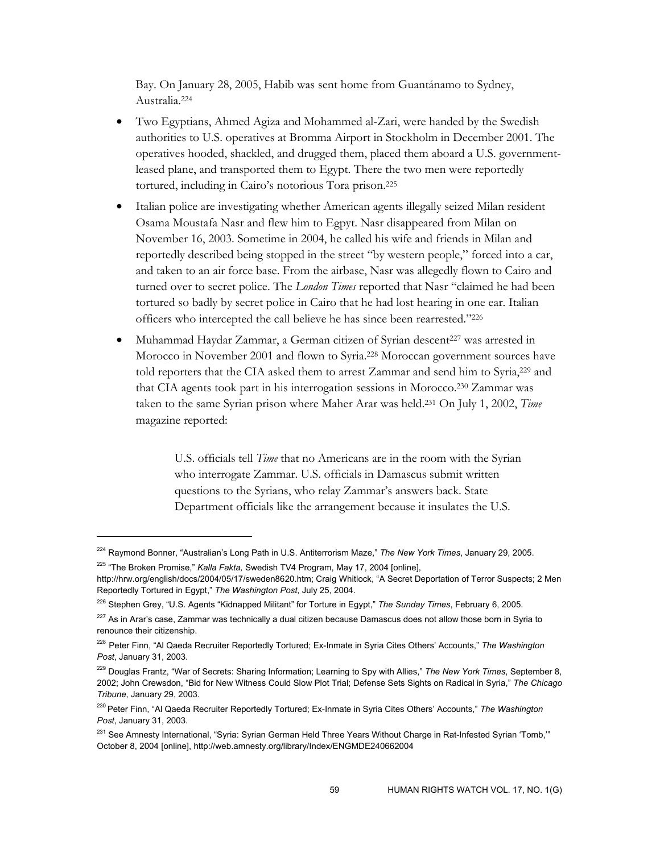Bay. On January 28, 2005, Habib was sent home from Guantánamo to Sydney, Australia.224

- Two Egyptians, Ahmed Agiza and Mohammed al-Zari, were handed by the Swedish authorities to U.S. operatives at Bromma Airport in Stockholm in December 2001. The operatives hooded, shackled, and drugged them, placed them aboard a U.S. governmentleased plane, and transported them to Egypt. There the two men were reportedly tortured, including in Cairo's notorious Tora prison.225
- Italian police are investigating whether American agents illegally seized Milan resident Osama Moustafa Nasr and flew him to Egpyt. Nasr disappeared from Milan on November 16, 2003. Sometime in 2004, he called his wife and friends in Milan and reportedly described being stopped in the street "by western people," forced into a car, and taken to an air force base. From the airbase, Nasr was allegedly flown to Cairo and turned over to secret police. The *London Times* reported that Nasr "claimed he had been tortured so badly by secret police in Cairo that he had lost hearing in one ear. Italian officers who intercepted the call believe he has since been rearrested."226
- Muhammad Haydar Zammar, a German citizen of Syrian descent<sup>227</sup> was arrested in Morocco in November 2001 and flown to Syria.228 Moroccan government sources have told reporters that the CIA asked them to arrest Zammar and send him to Syria,229 and that CIA agents took part in his interrogation sessions in Morocco.230 Zammar was taken to the same Syrian prison where Maher Arar was held.231 On July 1, 2002, *Time* magazine reported:

U.S. officials tell *Time* that no Americans are in the room with the Syrian who interrogate Zammar. U.S. officials in Damascus submit written questions to the Syrians, who relay Zammar's answers back. State Department officials like the arrangement because it insulates the U.S.

<sup>224</sup> Raymond Bonner, "Australian's Long Path in U.S. Antiterrorism Maze," *The New York Times*, January 29, 2005. 225 "The Broken Promise," *Kalla Fakta,* Swedish TV4 Program, May 17, 2004 [online],

http://hrw.org/english/docs/2004/05/17/sweden8620.htm; Craig Whitlock, "A Secret Deportation of Terror Suspects; 2 Men Reportedly Tortured in Egypt," *The Washington Post*, July 25, 2004.

<sup>226</sup> Stephen Grey, "U.S. Agents "Kidnapped Militant" for Torture in Egypt," *The Sunday Times*, February 6, 2005.

<sup>&</sup>lt;sup>227</sup> As in Arar's case, Zammar was technically a dual citizen because Damascus does not allow those born in Syria to renounce their citizenship.

<sup>228</sup> Peter Finn, "Al Qaeda Recruiter Reportedly Tortured; Ex-Inmate in Syria Cites Others' Accounts," *The Washington Post*, January 31, 2003.

<sup>229</sup> Douglas Frantz, "War of Secrets: Sharing Information; Learning to Spy with Allies," *The New York Times*, September 8, 2002; John Crewsdon, "Bid for New Witness Could Slow Plot Trial; Defense Sets Sights on Radical in Syria," *The Chicago Tribune*, January 29, 2003.

<sup>230</sup> Peter Finn, "Al Qaeda Recruiter Reportedly Tortured; Ex-Inmate in Syria Cites Others' Accounts," *The Washington Post*, January 31, 2003.

<sup>&</sup>lt;sup>231</sup> See Amnesty International, "Syria: Syrian German Held Three Years Without Charge in Rat-Infested Syrian 'Tomb," October 8, 2004 [online], http://web.amnesty.org/library/Index/ENGMDE240662004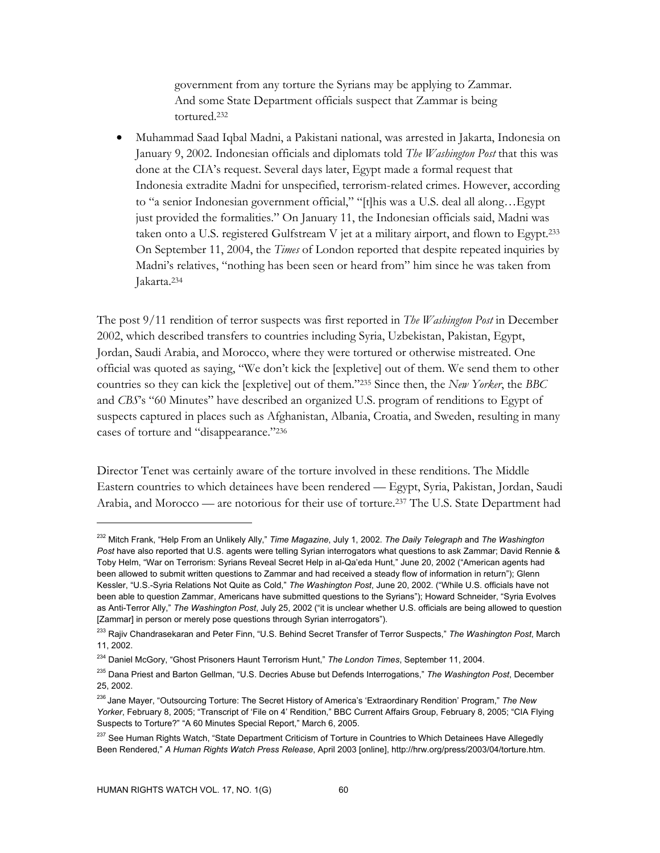government from any torture the Syrians may be applying to Zammar. And some State Department officials suspect that Zammar is being tortured.232

• Muhammad Saad Iqbal Madni, a Pakistani national, was arrested in Jakarta, Indonesia on January 9, 2002. Indonesian officials and diplomats told *The Washington Post* that this was done at the CIA's request. Several days later, Egypt made a formal request that Indonesia extradite Madni for unspecified, terrorism-related crimes. However, according to "a senior Indonesian government official," "[t]his was a U.S. deal all along…Egypt just provided the formalities." On January 11, the Indonesian officials said, Madni was taken onto a U.S. registered Gulfstream V jet at a military airport, and flown to Egypt.233 On September 11, 2004, the *Times* of London reported that despite repeated inquiries by Madni's relatives, "nothing has been seen or heard from" him since he was taken from Jakarta.234

The post 9/11 rendition of terror suspects was first reported in *The Washington Post* in December 2002, which described transfers to countries including Syria, Uzbekistan, Pakistan, Egypt, Jordan, Saudi Arabia, and Morocco, where they were tortured or otherwise mistreated. One official was quoted as saying, "We don't kick the [expletive] out of them. We send them to other countries so they can kick the [expletive] out of them."235 Since then, the *New Yorker*, the *BBC* and *CBS*'s "60 Minutes" have described an organized U.S. program of renditions to Egypt of suspects captured in places such as Afghanistan, Albania, Croatia, and Sweden, resulting in many cases of torture and "disappearance."236

Director Tenet was certainly aware of the torture involved in these renditions. The Middle Eastern countries to which detainees have been rendered — Egypt, Syria, Pakistan, Jordan, Saudi Arabia, and Morocco — are notorious for their use of torture.237 The U.S. State Department had

<sup>232</sup> Mitch Frank, "Help From an Unlikely Ally," *Time Magazine*, July 1, 2002. *The Daily Telegraph* and *The Washington Post* have also reported that U.S. agents were telling Syrian interrogators what questions to ask Zammar; David Rennie & Toby Helm, "War on Terrorism: Syrians Reveal Secret Help in al-Qa'eda Hunt," June 20, 2002 ("American agents had been allowed to submit written questions to Zammar and had received a steady flow of information in return"); Glenn Kessler, "U.S.-Syria Relations Not Quite as Cold," *The Washington Post*, June 20, 2002. ("While U.S. officials have not been able to question Zammar, Americans have submitted questions to the Syrians"); Howard Schneider, "Syria Evolves as Anti-Terror Ally," *The Washington Post*, July 25, 2002 ("it is unclear whether U.S. officials are being allowed to question [Zammar] in person or merely pose questions through Syrian interrogators").

<sup>233</sup> Rajiv Chandrasekaran and Peter Finn, "U.S. Behind Secret Transfer of Terror Suspects," *The Washington Post*, March 11, 2002.

<sup>234</sup> Daniel McGory, "Ghost Prisoners Haunt Terrorism Hunt," *The London Times*, September 11, 2004.

<sup>235</sup> Dana Priest and Barton Gellman, "U.S. Decries Abuse but Defends Interrogations," *The Washington Post*, December 25, 2002.

<sup>236</sup> Jane Mayer, "Outsourcing Torture: The Secret History of America's 'Extraordinary Rendition' Program," *The New Yorker*, February 8, 2005; "Transcript of 'File on 4' Rendition," BBC Current Affairs Group, February 8, 2005; "CIA Flying Suspects to Torture?" "A 60 Minutes Special Report," March 6, 2005.

<sup>&</sup>lt;sup>237</sup> See Human Rights Watch, "State Department Criticism of Torture in Countries to Which Detainees Have Allegedly Been Rendered," *A Human Rights Watch Press Release*, April 2003 [online], http://hrw.org/press/2003/04/torture.htm.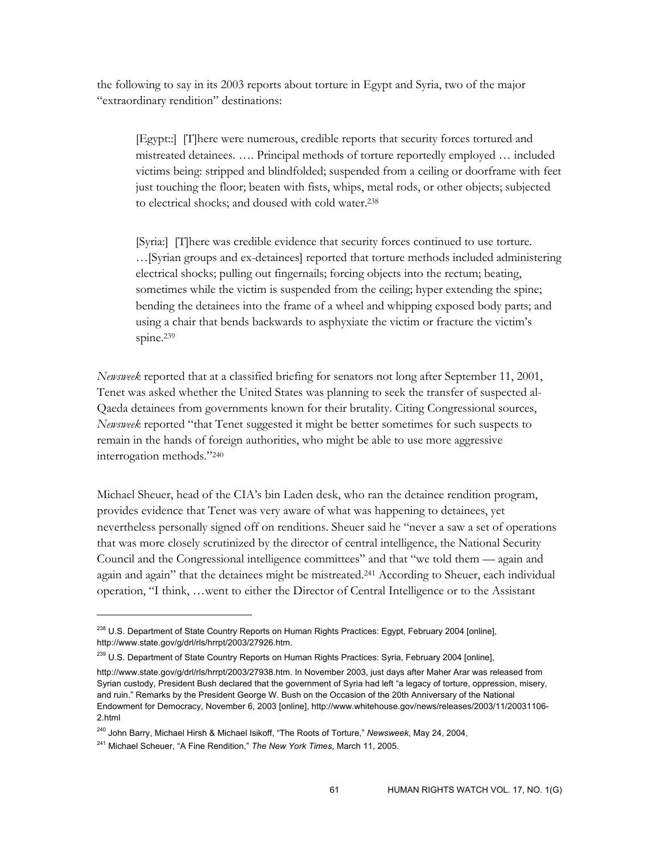the following to say in its 2003 reports about torture in Egypt and Syria, two of the major "extraordinary rendition" destinations:

[Egypt::] [T]here were numerous, credible reports that security forces tortured and mistreated detainees. …. Principal methods of torture reportedly employed … included victims being: stripped and blindfolded; suspended from a ceiling or doorframe with feet just touching the floor; beaten with fists, whips, metal rods, or other objects; subjected to electrical shocks; and doused with cold water.238

[Syria:] [T]here was credible evidence that security forces continued to use torture. …[Syrian groups and ex-detainees] reported that torture methods included administering electrical shocks; pulling out fingernails; forcing objects into the rectum; beating, sometimes while the victim is suspended from the ceiling; hyper extending the spine; bending the detainees into the frame of a wheel and whipping exposed body parts; and using a chair that bends backwards to asphyxiate the victim or fracture the victim's spine.239

*Newsweek* reported that at a classified briefing for senators not long after September 11, 2001, Tenet was asked whether the United States was planning to seek the transfer of suspected al-Qaeda detainees from governments known for their brutality. Citing Congressional sources, *Newsweek* reported "that Tenet suggested it might be better sometimes for such suspects to remain in the hands of foreign authorities, who might be able to use more aggressive interrogation methods."240

Michael Sheuer, head of the CIA's bin Laden desk, who ran the detainee rendition program, provides evidence that Tenet was very aware of what was happening to detainees, yet nevertheless personally signed off on renditions. Sheuer said he "never a saw a set of operations that was more closely scrutinized by the director of central intelligence, the National Security Council and the Congressional intelligence committees" and that "we told them — again and again and again" that the detainees might be mistreated.241 According to Sheuer, each individual operation, "I think, …went to either the Director of Central Intelligence or to the Assistant

<sup>&</sup>lt;sup>238</sup> U.S. Department of State Country Reports on Human Rights Practices: Egypt, February 2004 [online], http://www.state.gov/g/drl/rls/hrrpt/2003/27926.htm.

<sup>&</sup>lt;sup>239</sup> U.S. Department of State Country Reports on Human Rights Practices: Syria, February 2004 [online],

http://www.state.gov/g/drl/rls/hrrpt/2003/27938.htm. In November 2003, just days after Maher Arar was released from Syrian custody, President Bush declared that the government of Syria had left "a legacy of torture, oppression, misery, and ruin." Remarks by the President George W. Bush on the Occasion of the 20th Anniversary of the National Endowment for Democracy, November 6, 2003 [online], http://www.whitehouse.gov/news/releases/2003/11/20031106- 2.html

<sup>240</sup> John Barry, Michael Hirsh & Michael Isikoff, "The Roots of Torture," *Newsweek*, May 24, 2004,

<sup>241</sup> Michael Scheuer, "A Fine Rendition," *The New York Times*, March 11, 2005.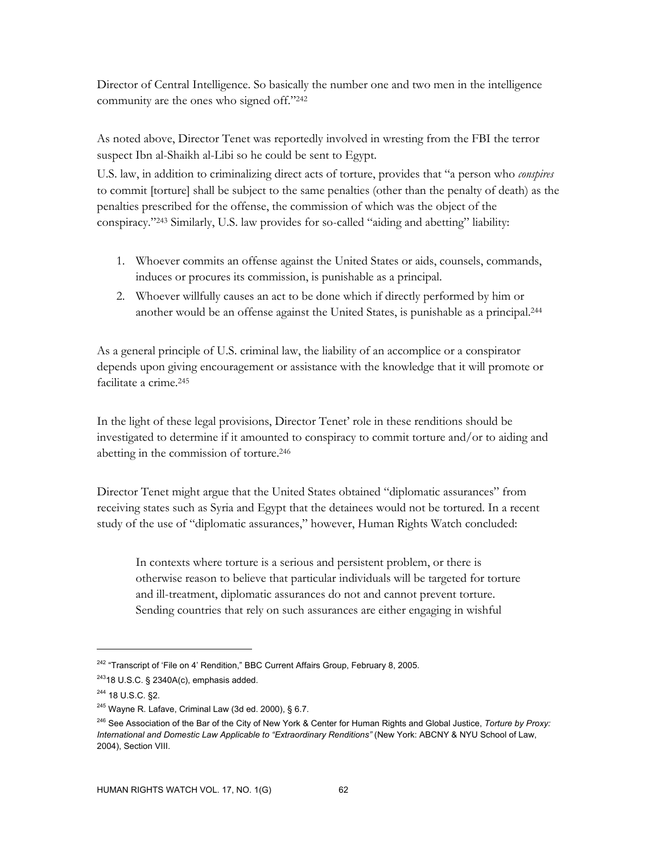Director of Central Intelligence. So basically the number one and two men in the intelligence community are the ones who signed off."242

As noted above, Director Tenet was reportedly involved in wresting from the FBI the terror suspect Ibn al-Shaikh al-Libi so he could be sent to Egypt.

U.S. law, in addition to criminalizing direct acts of torture, provides that "a person who *conspires* to commit [torture] shall be subject to the same penalties (other than the penalty of death) as the penalties prescribed for the offense, the commission of which was the object of the conspiracy."243 Similarly, U.S. law provides for so-called "aiding and abetting" liability:

- 1. Whoever commits an offense against the United States or aids, counsels, commands, induces or procures its commission, is punishable as a principal.
- 2. Whoever willfully causes an act to be done which if directly performed by him or another would be an offense against the United States, is punishable as a principal.244

As a general principle of U.S. criminal law, the liability of an accomplice or a conspirator depends upon giving encouragement or assistance with the knowledge that it will promote or facilitate a crime.245

In the light of these legal provisions, Director Tenet' role in these renditions should be investigated to determine if it amounted to conspiracy to commit torture and/or to aiding and abetting in the commission of torture.246

Director Tenet might argue that the United States obtained "diplomatic assurances" from receiving states such as Syria and Egypt that the detainees would not be tortured. In a recent study of the use of "diplomatic assurances," however, Human Rights Watch concluded:

In contexts where torture is a serious and persistent problem, or there is otherwise reason to believe that particular individuals will be targeted for torture and ill-treatment, diplomatic assurances do not and cannot prevent torture. Sending countries that rely on such assurances are either engaging in wishful

 $242$  "Transcript of 'File on 4' Rendition." BBC Current Affairs Group, February 8, 2005.

 $24318$  U.S.C. § 2340A(c), emphasis added.

<sup>244 18</sup> U.S.C. §2.

 $245$  Wayne R. Lafave, Criminal Law (3d ed. 2000), § 6.7.

<sup>246</sup> See Association of the Bar of the City of New York & Center for Human Rights and Global Justice, *Torture by Proxy: International and Domestic Law Applicable to "Extraordinary Renditions"* (New York: ABCNY & NYU School of Law, 2004), Section VIII.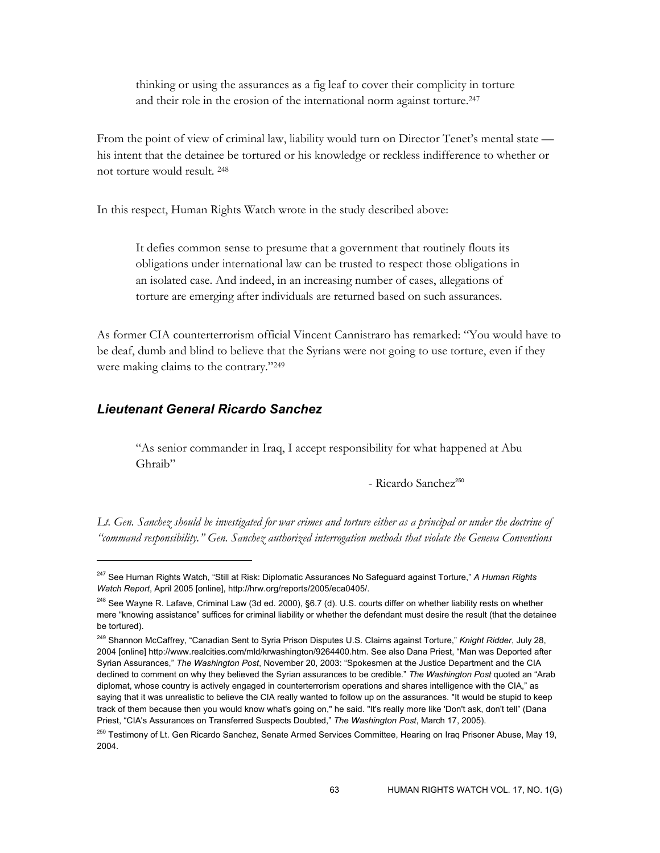thinking or using the assurances as a fig leaf to cover their complicity in torture and their role in the erosion of the international norm against torture.<sup>247</sup>

From the point of view of criminal law, liability would turn on Director Tenet's mental state his intent that the detainee be tortured or his knowledge or reckless indifference to whether or not torture would result. 248

In this respect, Human Rights Watch wrote in the study described above:

It defies common sense to presume that a government that routinely flouts its obligations under international law can be trusted to respect those obligations in an isolated case. And indeed, in an increasing number of cases, allegations of torture are emerging after individuals are returned based on such assurances.

As former CIA counterterrorism official Vincent Cannistraro has remarked: "You would have to be deaf, dumb and blind to believe that the Syrians were not going to use torture, even if they were making claims to the contrary."249

#### *Lieutenant General Ricardo Sanchez*

 $\overline{a}$ 

"As senior commander in Iraq, I accept responsibility for what happened at Abu Ghraib"

- Ricardo Sanchez<sup>250</sup>

*Lt. Gen. Sanchez should be investigated for war crimes and torture either as a principal or under the doctrine of "command responsibility." Gen. Sanchez authorized interrogation methods that violate the Geneva Conventions* 

<sup>247</sup> See Human Rights Watch, "Still at Risk: Diplomatic Assurances No Safeguard against Torture," *A Human Rights Watch Report*, April 2005 [online], http://hrw.org/reports/2005/eca0405/.

<sup>&</sup>lt;sup>248</sup> See Wayne R. Lafave, Criminal Law (3d ed. 2000), §6.7 (d). U.S. courts differ on whether liability rests on whether mere "knowing assistance" suffices for criminal liability or whether the defendant must desire the result (that the detainee be tortured).

<sup>249</sup> Shannon McCaffrey, "Canadian Sent to Syria Prison Disputes U.S. Claims against Torture," *Knight Ridder*, July 28, 2004 [online] http://www.realcities.com/mld/krwashington/9264400.htm. See also Dana Priest, "Man was Deported after Syrian Assurances," *The Washington Post*, November 20, 2003: "Spokesmen at the Justice Department and the CIA declined to comment on why they believed the Syrian assurances to be credible." *The Washington Post* quoted an "Arab diplomat, whose country is actively engaged in counterterrorism operations and shares intelligence with the CIA," as saying that it was unrealistic to believe the CIA really wanted to follow up on the assurances. "It would be stupid to keep track of them because then you would know what's going on," he said. "It's really more like 'Don't ask, don't tell" (Dana Priest, "CIA's Assurances on Transferred Suspects Doubted," *The Washington Post*, March 17, 2005).

<sup>&</sup>lt;sup>250</sup> Testimony of Lt. Gen Ricardo Sanchez, Senate Armed Services Committee, Hearing on Iraq Prisoner Abuse, May 19, 2004.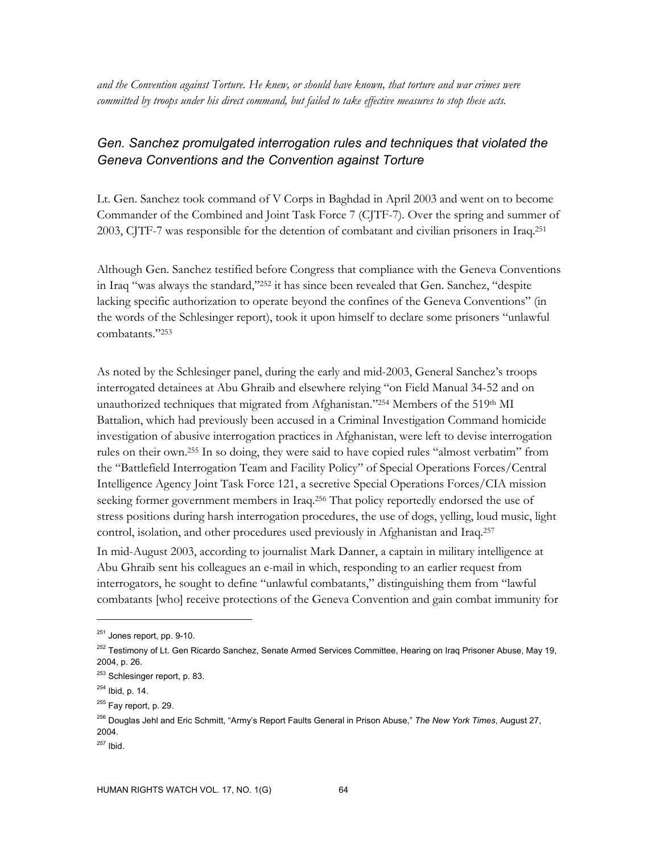*and the Convention against Torture. He knew, or should have known, that torture and war crimes were committed by troops under his direct command, but failed to take effective measures to stop these acts.* 

## *Gen. Sanchez promulgated interrogation rules and techniques that violated the Geneva Conventions and the Convention against Torture*

Lt. Gen. Sanchez took command of V Corps in Baghdad in April 2003 and went on to become Commander of the Combined and Joint Task Force 7 (CJTF-7). Over the spring and summer of 2003, CJTF-7 was responsible for the detention of combatant and civilian prisoners in Iraq.251

Although Gen. Sanchez testified before Congress that compliance with the Geneva Conventions in Iraq "was always the standard,"252 it has since been revealed that Gen. Sanchez, "despite lacking specific authorization to operate beyond the confines of the Geneva Conventions" (in the words of the Schlesinger report), took it upon himself to declare some prisoners "unlawful combatants."253

As noted by the Schlesinger panel, during the early and mid-2003, General Sanchez's troops interrogated detainees at Abu Ghraib and elsewhere relying "on Field Manual 34-52 and on unauthorized techniques that migrated from Afghanistan."<sup>254</sup> Members of the 519<sup>th</sup> MI Battalion, which had previously been accused in a Criminal Investigation Command homicide investigation of abusive interrogation practices in Afghanistan, were left to devise interrogation rules on their own.255 In so doing, they were said to have copied rules "almost verbatim" from the "Battlefield Interrogation Team and Facility Policy" of Special Operations Forces/Central Intelligence Agency Joint Task Force 121, a secretive Special Operations Forces/CIA mission seeking former government members in Iraq.<sup>256</sup> That policy reportedly endorsed the use of stress positions during harsh interrogation procedures, the use of dogs, yelling, loud music, light control, isolation, and other procedures used previously in Afghanistan and Iraq.257 In mid-August 2003, according to journalist Mark Danner, a captain in military intelligence at Abu Ghraib sent his colleagues an e-mail in which, responding to an earlier request from interrogators, he sought to define "unlawful combatants," distinguishing them from "lawful combatants [who] receive protections of the Geneva Convention and gain combat immunity for

 $\ddot{\phantom{a}}$ 

<sup>&</sup>lt;sup>251</sup> Jones report, pp. 9-10.

<sup>&</sup>lt;sup>252</sup> Testimony of Lt. Gen Ricardo Sanchez, Senate Armed Services Committee, Hearing on Iraq Prisoner Abuse, May 19, 2004, p. 26.

<sup>&</sup>lt;sup>253</sup> Schlesinger report, p. 83.

<sup>254</sup> Ibid, p. 14.

 $255$  Fay report, p. 29.

<sup>256</sup> Douglas Jehl and Eric Schmitt, "Army's Report Faults General in Prison Abuse," *The New York Times*, August 27, 2004.

 $257$  Ibid.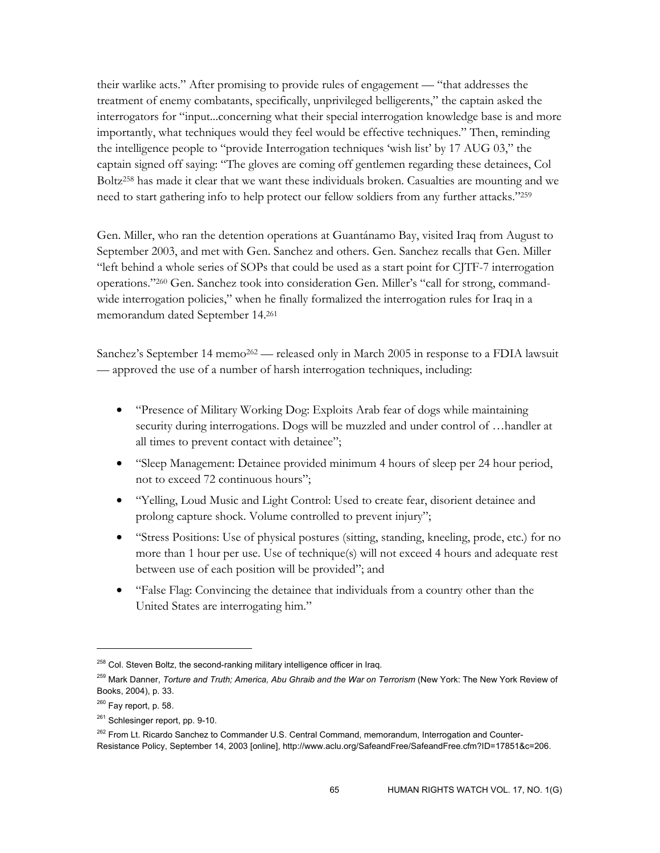their warlike acts." After promising to provide rules of engagement — "that addresses the treatment of enemy combatants, specifically, unprivileged belligerents," the captain asked the interrogators for "input...concerning what their special interrogation knowledge base is and more importantly, what techniques would they feel would be effective techniques." Then, reminding the intelligence people to "provide Interrogation techniques 'wish list' by 17 AUG 03," the captain signed off saying: "The gloves are coming off gentlemen regarding these detainees, Col Boltz258 has made it clear that we want these individuals broken. Casualties are mounting and we need to start gathering info to help protect our fellow soldiers from any further attacks."259

Gen. Miller, who ran the detention operations at Guantánamo Bay, visited Iraq from August to September 2003, and met with Gen. Sanchez and others. Gen. Sanchez recalls that Gen. Miller "left behind a whole series of SOPs that could be used as a start point for CJTF-7 interrogation operations."260 Gen. Sanchez took into consideration Gen. Miller's "call for strong, commandwide interrogation policies," when he finally formalized the interrogation rules for Iraq in a memorandum dated September 14.261

Sanchez's September 14 memo<sup>262</sup> — released only in March 2005 in response to a FDIA lawsuit — approved the use of a number of harsh interrogation techniques, including:

- "Presence of Military Working Dog: Exploits Arab fear of dogs while maintaining security during interrogations. Dogs will be muzzled and under control of …handler at all times to prevent contact with detainee";
- "Sleep Management: Detainee provided minimum 4 hours of sleep per 24 hour period, not to exceed 72 continuous hours";
- "Yelling, Loud Music and Light Control: Used to create fear, disorient detainee and prolong capture shock. Volume controlled to prevent injury";
- "Stress Positions: Use of physical postures (sitting, standing, kneeling, prode, etc.) for no more than 1 hour per use. Use of technique(s) will not exceed 4 hours and adequate rest between use of each position will be provided"; and
- "False Flag: Convincing the detainee that individuals from a country other than the United States are interrogating him."

<sup>&</sup>lt;sup>258</sup> Col. Steven Boltz, the second-ranking military intelligence officer in Iraq.

<sup>&</sup>lt;sup>259</sup> Mark Danner, *Torture and Truth; America, Abu Ghraib and the War on Terrorism* (New York: The New York Review of Books, 2004), p. 33.

 $260$  Fay report, p. 58.

<sup>&</sup>lt;sup>261</sup> Schlesinger report, pp. 9-10.

<sup>&</sup>lt;sup>262</sup> From Lt. Ricardo Sanchez to Commander U.S. Central Command, memorandum, Interrogation and Counter-Resistance Policy, September 14, 2003 [online], http://www.aclu.org/SafeandFree/SafeandFree.cfm?ID=17851&c=206.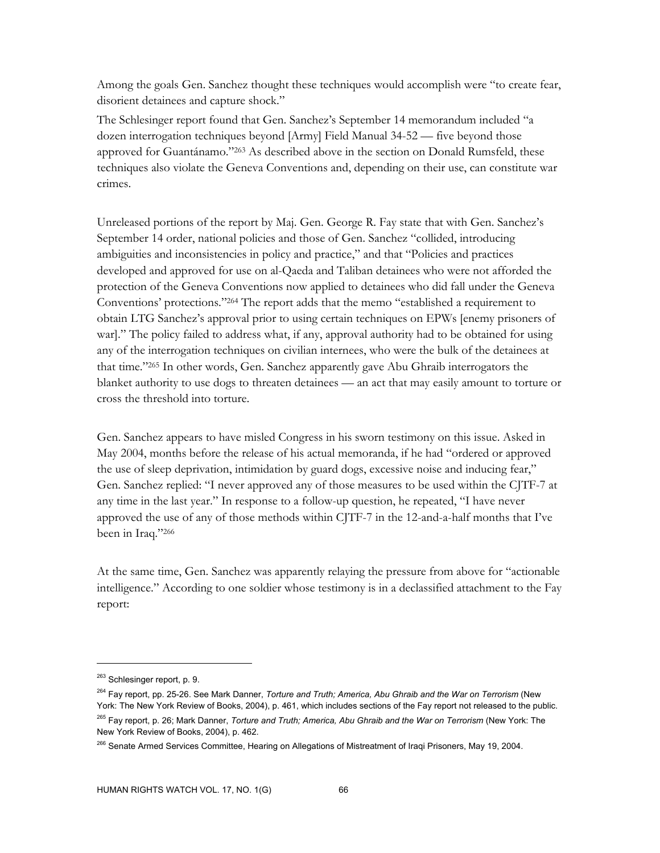Among the goals Gen. Sanchez thought these techniques would accomplish were "to create fear, disorient detainees and capture shock."

The Schlesinger report found that Gen. Sanchez's September 14 memorandum included "a dozen interrogation techniques beyond [Army] Field Manual 34-52 — five beyond those approved for Guantánamo."263 As described above in the section on Donald Rumsfeld, these techniques also violate the Geneva Conventions and, depending on their use, can constitute war crimes.

Unreleased portions of the report by Maj. Gen. George R. Fay state that with Gen. Sanchez's September 14 order, national policies and those of Gen. Sanchez "collided, introducing ambiguities and inconsistencies in policy and practice," and that "Policies and practices developed and approved for use on al-Qaeda and Taliban detainees who were not afforded the protection of the Geneva Conventions now applied to detainees who did fall under the Geneva Conventions' protections."264 The report adds that the memo "established a requirement to obtain LTG Sanchez's approval prior to using certain techniques on EPWs [enemy prisoners of war]." The policy failed to address what, if any, approval authority had to be obtained for using any of the interrogation techniques on civilian internees, who were the bulk of the detainees at that time."265 In other words, Gen. Sanchez apparently gave Abu Ghraib interrogators the blanket authority to use dogs to threaten detainees — an act that may easily amount to torture or cross the threshold into torture.

Gen. Sanchez appears to have misled Congress in his sworn testimony on this issue. Asked in May 2004, months before the release of his actual memoranda, if he had "ordered or approved the use of sleep deprivation, intimidation by guard dogs, excessive noise and inducing fear," Gen. Sanchez replied: "I never approved any of those measures to be used within the CJTF-7 at any time in the last year." In response to a follow-up question, he repeated, "I have never approved the use of any of those methods within CJTF-7 in the 12-and-a-half months that I've been in Iraq."266

At the same time, Gen. Sanchez was apparently relaying the pressure from above for "actionable intelligence." According to one soldier whose testimony is in a declassified attachment to the Fay report:

<sup>&</sup>lt;sup>263</sup> Schlesinger report, p. 9.

<sup>264</sup> Fay report, pp. 25-26. See Mark Danner, *Torture and Truth; America, Abu Ghraib and the War on Terrorism* (New York: The New York Review of Books, 2004), p. 461, which includes sections of the Fay report not released to the public.

<sup>265</sup> Fay report, p. 26; Mark Danner, *Torture and Truth; America, Abu Ghraib and the War on Terrorism* (New York: The New York Review of Books, 2004), p. 462.

<sup>&</sup>lt;sup>266</sup> Senate Armed Services Committee, Hearing on Allegations of Mistreatment of Iraqi Prisoners, May 19, 2004.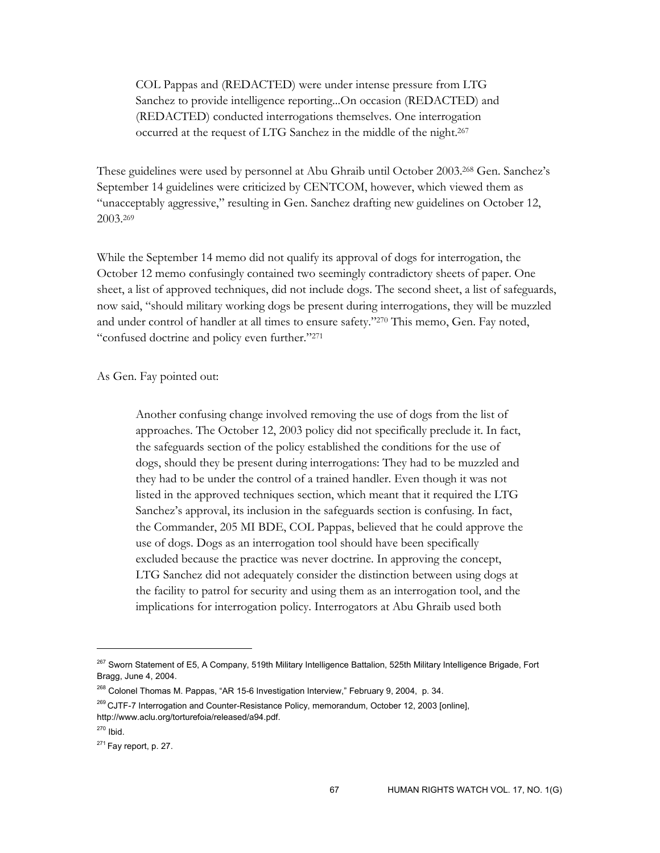COL Pappas and (REDACTED) were under intense pressure from LTG Sanchez to provide intelligence reporting...On occasion (REDACTED) and (REDACTED) conducted interrogations themselves. One interrogation occurred at the request of LTG Sanchez in the middle of the night.267

These guidelines were used by personnel at Abu Ghraib until October 2003.268 Gen. Sanchez's September 14 guidelines were criticized by CENTCOM, however, which viewed them as "unacceptably aggressive," resulting in Gen. Sanchez drafting new guidelines on October 12, 2003.269

While the September 14 memo did not qualify its approval of dogs for interrogation, the October 12 memo confusingly contained two seemingly contradictory sheets of paper. One sheet, a list of approved techniques, did not include dogs. The second sheet, a list of safeguards, now said, "should military working dogs be present during interrogations, they will be muzzled and under control of handler at all times to ensure safety."270 This memo, Gen. Fay noted, "confused doctrine and policy even further."271

#### As Gen. Fay pointed out:

Another confusing change involved removing the use of dogs from the list of approaches. The October 12, 2003 policy did not specifically preclude it. In fact, the safeguards section of the policy established the conditions for the use of dogs, should they be present during interrogations: They had to be muzzled and they had to be under the control of a trained handler. Even though it was not listed in the approved techniques section, which meant that it required the LTG Sanchez's approval, its inclusion in the safeguards section is confusing. In fact, the Commander, 205 MI BDE, COL Pappas, believed that he could approve the use of dogs. Dogs as an interrogation tool should have been specifically excluded because the practice was never doctrine. In approving the concept, LTG Sanchez did not adequately consider the distinction between using dogs at the facility to patrol for security and using them as an interrogation tool, and the implications for interrogation policy. Interrogators at Abu Ghraib used both

<sup>&</sup>lt;sup>267</sup> Sworn Statement of E5, A Company, 519th Military Intelligence Battalion, 525th Military Intelligence Brigade, Fort Bragg, June 4, 2004.

<sup>&</sup>lt;sup>268</sup> Colonel Thomas M. Pappas, "AR 15-6 Investigation Interview," February 9, 2004, p. 34.

 $269$  CJTF-7 Interrogation and Counter-Resistance Policy, memorandum, October 12, 2003 [online], http://www.aclu.org/torturefoia/released/a94.pdf.

<sup>270</sup> Ibid.

 $271$  Fay report, p. 27.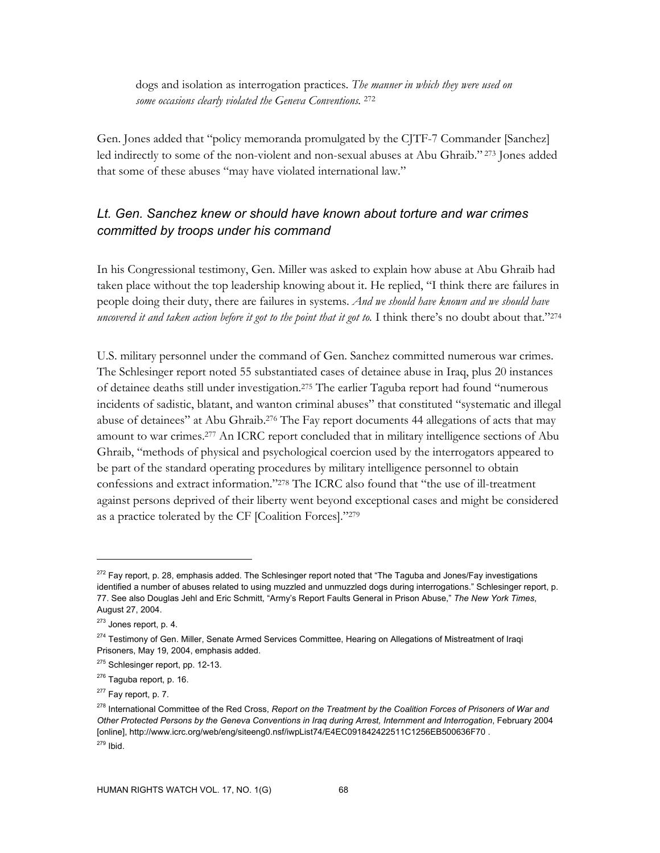dogs and isolation as interrogation practices. *The manner in which they were used on some occasions clearly violated the Geneva Conventions.* 272

Gen. Jones added that "policy memoranda promulgated by the CJTF-7 Commander [Sanchez] led indirectly to some of the non-violent and non-sexual abuses at Abu Ghraib." 273 Jones added that some of these abuses "may have violated international law."

### *Lt. Gen. Sanchez knew or should have known about torture and war crimes committed by troops under his command*

In his Congressional testimony, Gen. Miller was asked to explain how abuse at Abu Ghraib had taken place without the top leadership knowing about it. He replied, "I think there are failures in people doing their duty, there are failures in systems. *And we should have known and we should have uncovered it and taken action before it got to the point that it got to.* I think there's no doubt about that."274

U.S. military personnel under the command of Gen. Sanchez committed numerous war crimes. The Schlesinger report noted 55 substantiated cases of detainee abuse in Iraq, plus 20 instances of detainee deaths still under investigation.275 The earlier Taguba report had found "numerous incidents of sadistic, blatant, and wanton criminal abuses" that constituted "systematic and illegal abuse of detainees" at Abu Ghraib.276 The Fay report documents 44 allegations of acts that may amount to war crimes.277 An ICRC report concluded that in military intelligence sections of Abu Ghraib, "methods of physical and psychological coercion used by the interrogators appeared to be part of the standard operating procedures by military intelligence personnel to obtain confessions and extract information."278 The ICRC also found that "the use of ill-treatment against persons deprived of their liberty went beyond exceptional cases and might be considered as a practice tolerated by the CF [Coalition Forces]."279

 $272$  Fay report, p. 28, emphasis added. The Schlesinger report noted that "The Taguba and Jones/Fay investigations identified a number of abuses related to using muzzled and unmuzzled dogs during interrogations." Schlesinger report, p. 77. See also Douglas Jehl and Eric Schmitt, "Army's Report Faults General in Prison Abuse," *The New York Times*, August 27, 2004.

<sup>273</sup> Jones report, p. 4.

<sup>&</sup>lt;sup>274</sup> Testimony of Gen. Miller, Senate Armed Services Committee, Hearing on Allegations of Mistreatment of Iraqi Prisoners, May 19, 2004, emphasis added.

<sup>&</sup>lt;sup>275</sup> Schlesinger report, pp. 12-13.

 $276$  Taguba report, p. 16.

 $277$  Fav report, p. 7.

<sup>278</sup> International Committee of the Red Cross, *Report on the Treatment by the Coalition Forces of Prisoners of War and Other Protected Persons by the Geneva Conventions in Iraq during Arrest, Internment and Interrogation*, February 2004 [online], http://www.icrc.org/web/eng/siteeng0.nsf/iwpList74/E4EC091842422511C1256EB500636F70 .  $279$  Ibid.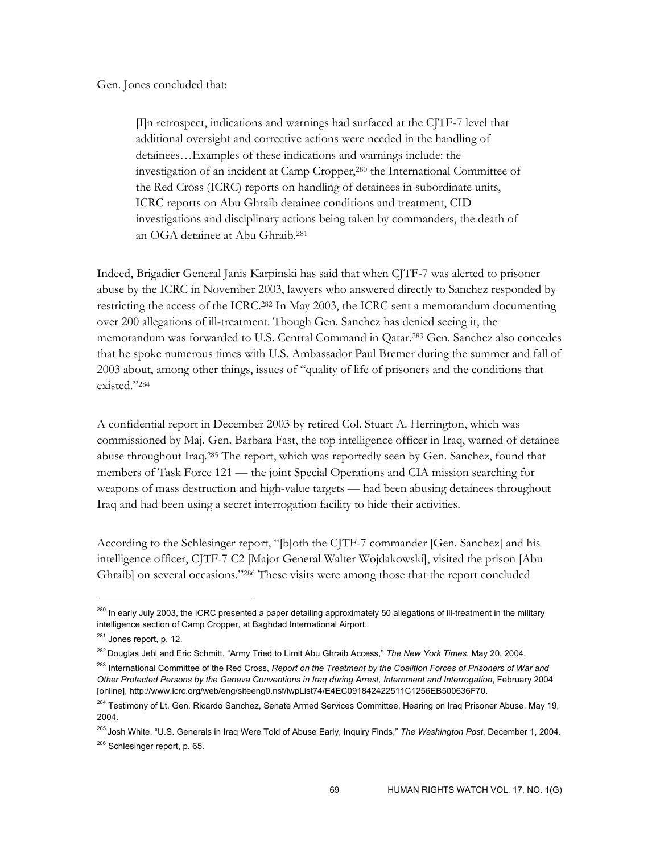Gen. Jones concluded that:

[I]n retrospect, indications and warnings had surfaced at the CJTF-7 level that additional oversight and corrective actions were needed in the handling of detainees…Examples of these indications and warnings include: the investigation of an incident at Camp Cropper,280 the International Committee of the Red Cross (ICRC) reports on handling of detainees in subordinate units, ICRC reports on Abu Ghraib detainee conditions and treatment, CID investigations and disciplinary actions being taken by commanders, the death of an OGA detainee at Abu Ghraib.281

Indeed, Brigadier General Janis Karpinski has said that when CJTF-7 was alerted to prisoner abuse by the ICRC in November 2003, lawyers who answered directly to Sanchez responded by restricting the access of the ICRC.282 In May 2003, the ICRC sent a memorandum documenting over 200 allegations of ill-treatment. Though Gen. Sanchez has denied seeing it, the memorandum was forwarded to U.S. Central Command in Qatar.283 Gen. Sanchez also concedes that he spoke numerous times with U.S. Ambassador Paul Bremer during the summer and fall of 2003 about, among other things, issues of "quality of life of prisoners and the conditions that existed."284

A confidential report in December 2003 by retired Col. Stuart A. Herrington, which was commissioned by Maj. Gen. Barbara Fast, the top intelligence officer in Iraq, warned of detainee abuse throughout Iraq.285 The report, which was reportedly seen by Gen. Sanchez, found that members of Task Force 121 — the joint Special Operations and CIA mission searching for weapons of mass destruction and high-value targets — had been abusing detainees throughout Iraq and had been using a secret interrogation facility to hide their activities.

According to the Schlesinger report, "[b]oth the CJTF-7 commander [Gen. Sanchez] and his intelligence officer, CJTF-7 C2 [Major General Walter Wojdakowski], visited the prison [Abu Ghraib] on several occasions."286 These visits were among those that the report concluded

<sup>&</sup>lt;sup>280</sup> In early July 2003, the ICRC presented a paper detailing approximately 50 allegations of ill-treatment in the military intelligence section of Camp Cropper, at Baghdad International Airport.

<sup>&</sup>lt;sup>281</sup> Jones report, p. 12.

<sup>282</sup> Douglas Jehl and Eric Schmitt, "Army Tried to Limit Abu Ghraib Access," *The New York Times*, May 20, 2004.

<sup>283</sup> International Committee of the Red Cross, *Report on the Treatment by the Coalition Forces of Prisoners of War and Other Protected Persons by the Geneva Conventions in Iraq during Arrest, Internment and Interrogation*, February 2004 [online], http://www.icrc.org/web/eng/siteeng0.nsf/iwpList74/E4EC091842422511C1256EB500636F70.

<sup>&</sup>lt;sup>284</sup> Testimonv of Lt. Gen. Ricardo Sanchez, Senate Armed Services Committee, Hearing on Iraq Prisoner Abuse, May 19, 2004.

<sup>285</sup> Josh White, "U.S. Generals in Iraq Were Told of Abuse Early, Inquiry Finds," *The Washington Post*, December 1, 2004. 286 Schlesinger report, p. 65.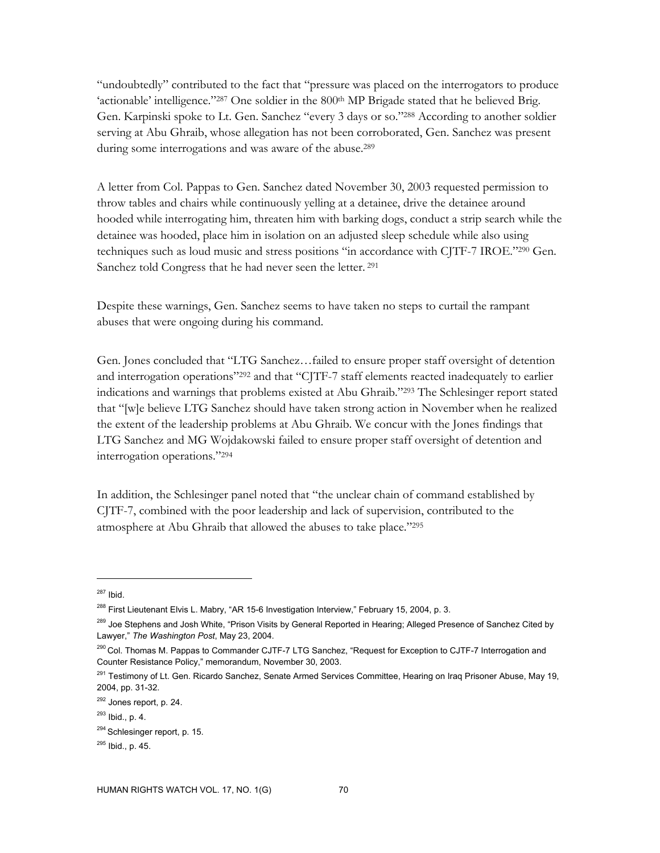"undoubtedly" contributed to the fact that "pressure was placed on the interrogators to produce 'actionable' intelligence."287 One soldier in the 800<sup>th</sup> MP Brigade stated that he believed Brig. Gen. Karpinski spoke to Lt. Gen. Sanchez "every 3 days or so."288 According to another soldier serving at Abu Ghraib, whose allegation has not been corroborated, Gen. Sanchez was present during some interrogations and was aware of the abuse.<sup>289</sup>

A letter from Col. Pappas to Gen. Sanchez dated November 30, 2003 requested permission to throw tables and chairs while continuously yelling at a detainee, drive the detainee around hooded while interrogating him, threaten him with barking dogs, conduct a strip search while the detainee was hooded, place him in isolation on an adjusted sleep schedule while also using techniques such as loud music and stress positions "in accordance with CJTF-7 IROE."290 Gen. Sanchez told Congress that he had never seen the letter. 291

Despite these warnings, Gen. Sanchez seems to have taken no steps to curtail the rampant abuses that were ongoing during his command.

Gen. Jones concluded that "LTG Sanchez…failed to ensure proper staff oversight of detention and interrogation operations"292 and that "CJTF-7 staff elements reacted inadequately to earlier indications and warnings that problems existed at Abu Ghraib."293 The Schlesinger report stated that "[w]e believe LTG Sanchez should have taken strong action in November when he realized the extent of the leadership problems at Abu Ghraib. We concur with the Jones findings that LTG Sanchez and MG Wojdakowski failed to ensure proper staff oversight of detention and interrogation operations."294

In addition, the Schlesinger panel noted that "the unclear chain of command established by CJTF-7, combined with the poor leadership and lack of supervision, contributed to the atmosphere at Abu Ghraib that allowed the abuses to take place."295

 $287$  Ibid.

<sup>&</sup>lt;sup>288</sup> First Lieutenant Elvis L. Mabry, "AR 15-6 Investigation Interview," February 15, 2004, p. 3.

<sup>&</sup>lt;sup>289</sup> Joe Stephens and Josh White, "Prison Visits by General Reported in Hearing; Alleged Presence of Sanchez Cited by Lawyer," *The Washington Post*, May 23, 2004.

<sup>290</sup> Col. Thomas M. Pappas to Commander CJTF-7 LTG Sanchez, "Request for Exception to CJTF-7 Interrogation and Counter Resistance Policy," memorandum, November 30, 2003.

<sup>&</sup>lt;sup>291</sup> Testimony of Lt. Gen. Ricardo Sanchez, Senate Armed Services Committee, Hearing on Iraq Prisoner Abuse, May 19, 2004, pp. 31-32.

<sup>292</sup> Jones report, p. 24.

 $293$  Ibid., p. 4.

<sup>&</sup>lt;sup>294</sup> Schlesinger report, p. 15.

 $^{295}$  Ibid., p. 45.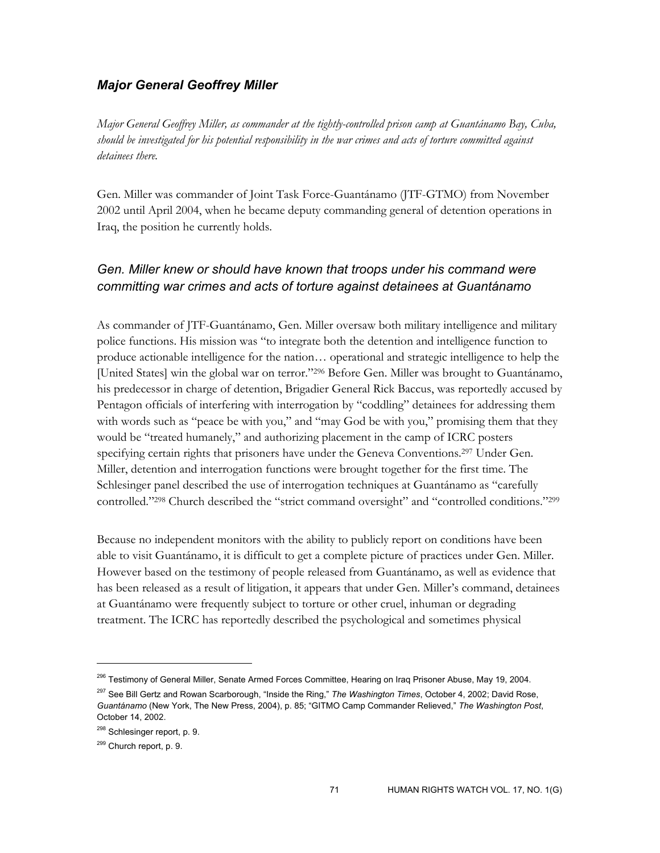### *Major General Geoffrey Miller*

*Major General Geoffrey Miller, as commander at the tightly-controlled prison camp at Guantánamo Bay, Cuba, should be investigated for his potential responsibility in the war crimes and acts of torture committed against detainees there.* 

Gen. Miller was commander of Joint Task Force-Guantánamo (JTF-GTMO) from November 2002 until April 2004, when he became deputy commanding general of detention operations in Iraq, the position he currently holds.

# *Gen. Miller knew or should have known that troops under his command were committing war crimes and acts of torture against detainees at Guantánamo*

As commander of JTF-Guantánamo, Gen. Miller oversaw both military intelligence and military police functions. His mission was "to integrate both the detention and intelligence function to produce actionable intelligence for the nation… operational and strategic intelligence to help the [United States] win the global war on terror."296 Before Gen. Miller was brought to Guantánamo, his predecessor in charge of detention, Brigadier General Rick Baccus, was reportedly accused by Pentagon officials of interfering with interrogation by "coddling" detainees for addressing them with words such as "peace be with you," and "may God be with you," promising them that they would be "treated humanely," and authorizing placement in the camp of ICRC posters specifying certain rights that prisoners have under the Geneva Conventions.297 Under Gen. Miller, detention and interrogation functions were brought together for the first time. The Schlesinger panel described the use of interrogation techniques at Guantánamo as "carefully controlled."298 Church described the "strict command oversight" and "controlled conditions."299

Because no independent monitors with the ability to publicly report on conditions have been able to visit Guantánamo, it is difficult to get a complete picture of practices under Gen. Miller. However based on the testimony of people released from Guantánamo, as well as evidence that has been released as a result of litigation, it appears that under Gen. Miller's command, detainees at Guantánamo were frequently subject to torture or other cruel, inhuman or degrading treatment. The ICRC has reportedly described the psychological and sometimes physical

<sup>&</sup>lt;sup>296</sup> Testimony of General Miller, Senate Armed Forces Committee, Hearing on Iraq Prisoner Abuse, May 19, 2004.

<sup>297</sup> See Bill Gertz and Rowan Scarborough, "Inside the Ring," *The Washington Times*, October 4, 2002; David Rose, *Guantánamo* (New York, The New Press, 2004), p. 85; "GITMO Camp Commander Relieved," *The Washington Post*, October 14, 2002.

<sup>298</sup> Schlesinger report, p. 9.

<sup>&</sup>lt;sup>299</sup> Church report, p. 9.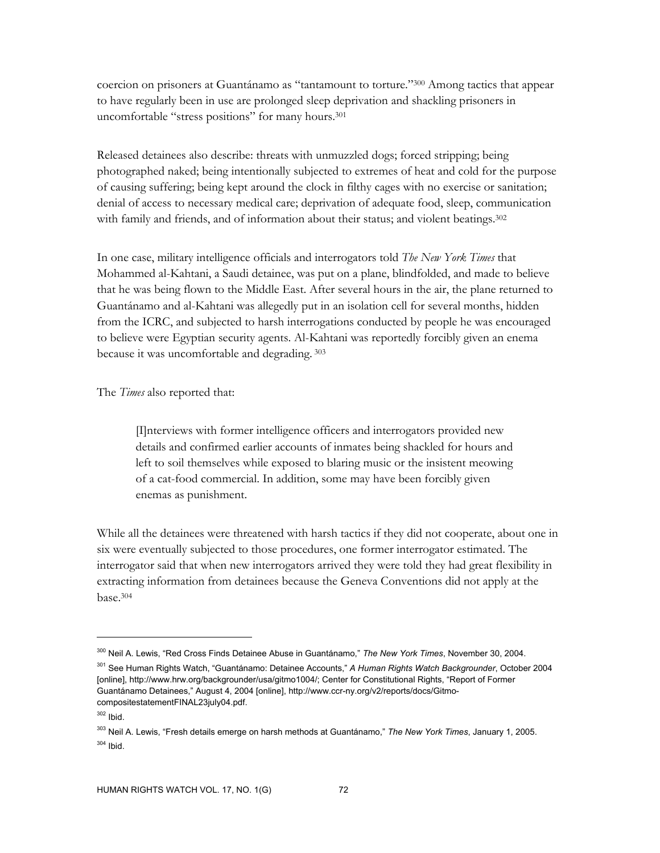coercion on prisoners at Guantánamo as "tantamount to torture."300 Among tactics that appear to have regularly been in use are prolonged sleep deprivation and shackling prisoners in uncomfortable "stress positions" for many hours.301

Released detainees also describe: threats with unmuzzled dogs; forced stripping; being photographed naked; being intentionally subjected to extremes of heat and cold for the purpose of causing suffering; being kept around the clock in filthy cages with no exercise or sanitation; denial of access to necessary medical care; deprivation of adequate food, sleep, communication with family and friends, and of information about their status; and violent beatings.<sup>302</sup>

In one case, military intelligence officials and interrogators told *The New York Times* that Mohammed al-Kahtani, a Saudi detainee, was put on a plane, blindfolded, and made to believe that he was being flown to the Middle East. After several hours in the air, the plane returned to Guantánamo and al-Kahtani was allegedly put in an isolation cell for several months, hidden from the ICRC, and subjected to harsh interrogations conducted by people he was encouraged to believe were Egyptian security agents. Al-Kahtani was reportedly forcibly given an enema because it was uncomfortable and degrading. 303

The *Times* also reported that:

[I]nterviews with former intelligence officers and interrogators provided new details and confirmed earlier accounts of inmates being shackled for hours and left to soil themselves while exposed to blaring music or the insistent meowing of a cat-food commercial. In addition, some may have been forcibly given enemas as punishment.

While all the detainees were threatened with harsh tactics if they did not cooperate, about one in six were eventually subjected to those procedures, one former interrogator estimated. The interrogator said that when new interrogators arrived they were told they had great flexibility in extracting information from detainees because the Geneva Conventions did not apply at the base.304

<sup>300</sup> Neil A. Lewis, "Red Cross Finds Detainee Abuse in Guantánamo," *The New York Times*, November 30, 2004.

<sup>301</sup> See Human Rights Watch, "Guantánamo: Detainee Accounts," *A Human Rights Watch Backgrounder*, October 2004 [online], http://www.hrw.org/backgrounder/usa/gitmo1004/; Center for Constitutional Rights, "Report of Former Guantánamo Detainees," August 4, 2004 [online], http://www.ccr-ny.org/v2/reports/docs/GitmocompositestatementFINAL23july04.pdf.

 $302$  Ibid.

<sup>303</sup> Neil A. Lewis, "Fresh details emerge on harsh methods at Guantánamo," *The New York Times*, January 1, 2005.  $304$  Ibid.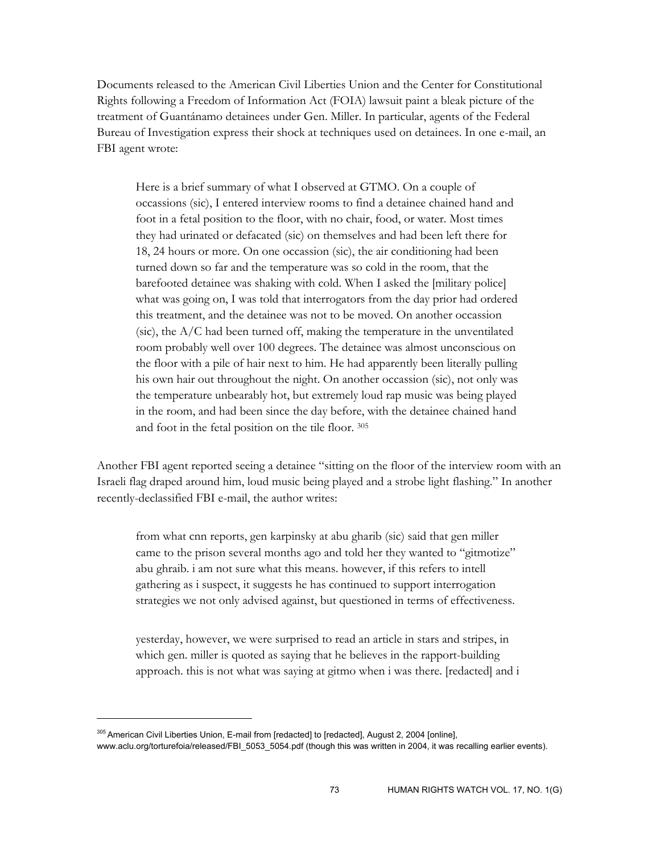Documents released to the American Civil Liberties Union and the Center for Constitutional Rights following a Freedom of Information Act (FOIA) lawsuit paint a bleak picture of the treatment of Guantánamo detainees under Gen. Miller. In particular, agents of the Federal Bureau of Investigation express their shock at techniques used on detainees. In one e-mail, an FBI agent wrote:

Here is a brief summary of what I observed at GTMO. On a couple of occassions (sic), I entered interview rooms to find a detainee chained hand and foot in a fetal position to the floor, with no chair, food, or water. Most times they had urinated or defacated (sic) on themselves and had been left there for 18, 24 hours or more. On one occassion (sic), the air conditioning had been turned down so far and the temperature was so cold in the room, that the barefooted detainee was shaking with cold. When I asked the [military police] what was going on, I was told that interrogators from the day prior had ordered this treatment, and the detainee was not to be moved. On another occassion (sic), the A/C had been turned off, making the temperature in the unventilated room probably well over 100 degrees. The detainee was almost unconscious on the floor with a pile of hair next to him. He had apparently been literally pulling his own hair out throughout the night. On another occassion (sic), not only was the temperature unbearably hot, but extremely loud rap music was being played in the room, and had been since the day before, with the detainee chained hand and foot in the fetal position on the tile floor. 305

Another FBI agent reported seeing a detainee "sitting on the floor of the interview room with an Israeli flag draped around him, loud music being played and a strobe light flashing." In another recently-declassified FBI e-mail, the author writes:

from what cnn reports, gen karpinsky at abu gharib (sic) said that gen miller came to the prison several months ago and told her they wanted to "gitmotize" abu ghraib. i am not sure what this means. however, if this refers to intell gathering as i suspect, it suggests he has continued to support interrogation strategies we not only advised against, but questioned in terms of effectiveness.

yesterday, however, we were surprised to read an article in stars and stripes, in which gen. miller is quoted as saying that he believes in the rapport-building approach. this is not what was saying at gitmo when i was there. [redacted] and i

<sup>305</sup> American Civil Liberties Union, E-mail from [redacted] to [redacted], August 2, 2004 [online], www.aclu.org/torturefoia/released/FBI\_5053\_5054.pdf (though this was written in 2004, it was recalling earlier events).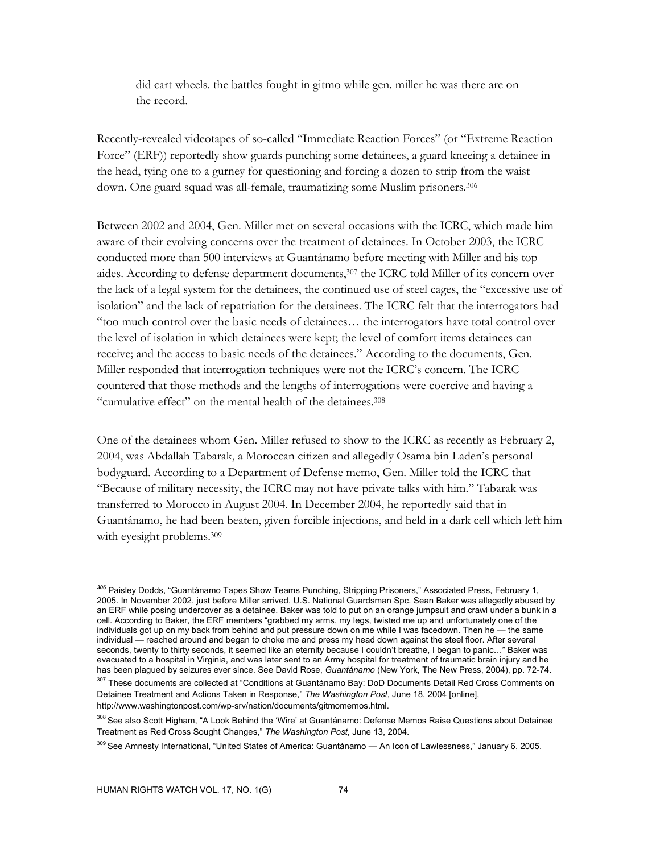did cart wheels. the battles fought in gitmo while gen. miller he was there are on the record.

Recently-revealed videotapes of so-called "Immediate Reaction Forces" (or "Extreme Reaction Force" (ERF)) reportedly show guards punching some detainees, a guard kneeing a detainee in the head, tying one to a gurney for questioning and forcing a dozen to strip from the waist down. One guard squad was all-female, traumatizing some Muslim prisoners.<sup>306</sup>

Between 2002 and 2004, Gen. Miller met on several occasions with the ICRC, which made him aware of their evolving concerns over the treatment of detainees. In October 2003, the ICRC conducted more than 500 interviews at Guantánamo before meeting with Miller and his top aides. According to defense department documents,307 the ICRC told Miller of its concern over the lack of a legal system for the detainees, the continued use of steel cages, the "excessive use of isolation" and the lack of repatriation for the detainees. The ICRC felt that the interrogators had "too much control over the basic needs of detainees… the interrogators have total control over the level of isolation in which detainees were kept; the level of comfort items detainees can receive; and the access to basic needs of the detainees." According to the documents, Gen. Miller responded that interrogation techniques were not the ICRC's concern. The ICRC countered that those methods and the lengths of interrogations were coercive and having a "cumulative effect" on the mental health of the detainees.308

One of the detainees whom Gen. Miller refused to show to the ICRC as recently as February 2, 2004, was Abdallah Tabarak, a Moroccan citizen and allegedly Osama bin Laden's personal bodyguard. According to a Department of Defense memo, Gen. Miller told the ICRC that "Because of military necessity, the ICRC may not have private talks with him." Tabarak was transferred to Morocco in August 2004. In December 2004, he reportedly said that in Guantánamo, he had been beaten, given forcible injections, and held in a dark cell which left him with eyesight problems.<sup>309</sup>

-

*<sup>306</sup>* Paisley Dodds, "Guantánamo Tapes Show Teams Punching, Stripping Prisoners," Associated Press, February 1, 2005. In November 2002, just before Miller arrived, U.S. National Guardsman Spc. Sean Baker was allegedly abused by an ERF while posing undercover as a detainee. Baker was told to put on an orange jumpsuit and crawl under a bunk in a cell. According to Baker, the ERF members "grabbed my arms, my legs, twisted me up and unfortunately one of the individuals got up on my back from behind and put pressure down on me while I was facedown. Then he — the same individual — reached around and began to choke me and press my head down against the steel floor. After several seconds, twenty to thirty seconds, it seemed like an eternity because I couldn't breathe, I began to panic..." Baker was evacuated to a hospital in Virginia, and was later sent to an Army hospital for treatment of traumatic brain injury and he has been plagued by seizures ever since. See David Rose, *Guantánamo* (New York, The New Press, 2004), pp. 72-74. <sup>307</sup> These documents are collected at "Conditions at Guantánamo Bay: DoD Documents Detail Red Cross Comments on

Detainee Treatment and Actions Taken in Response," *The Washington Post*, June 18, 2004 [online], http://www.washingtonpost.com/wp-srv/nation/documents/gitmomemos.html.

<sup>&</sup>lt;sup>308</sup> See also Scott Higham, "A Look Behind the 'Wire' at Guantánamo: Defense Memos Raise Questions about Detainee Treatment as Red Cross Sought Changes," *The Washington Post*, June 13, 2004.

<sup>309</sup> See Amnesty International, "United States of America: Guantánamo — An Icon of Lawlessness," January 6, 2005.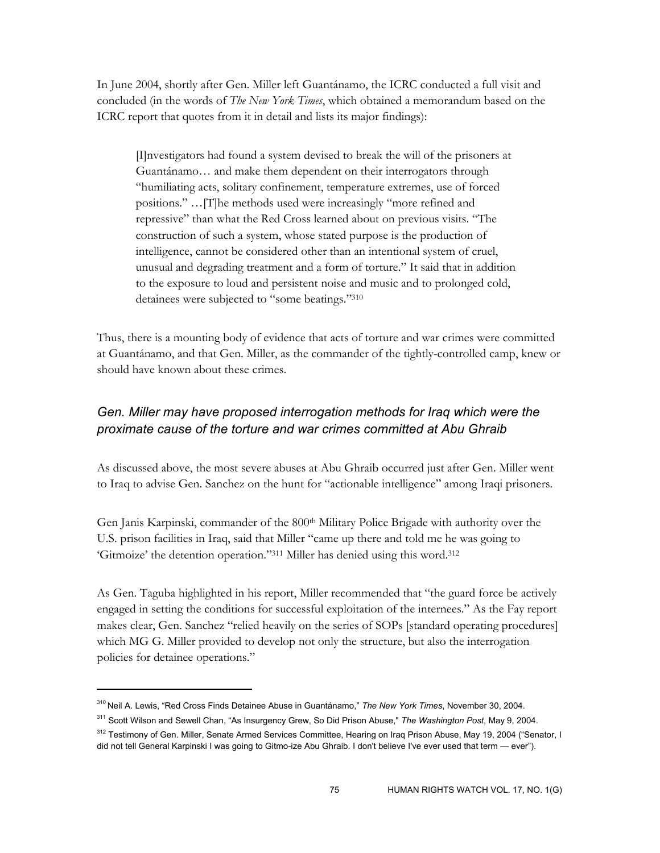In June 2004, shortly after Gen. Miller left Guantánamo, the ICRC conducted a full visit and concluded (in the words of *The New York Times*, which obtained a memorandum based on the ICRC report that quotes from it in detail and lists its major findings):

[I]nvestigators had found a system devised to break the will of the prisoners at Guantánamo… and make them dependent on their interrogators through "humiliating acts, solitary confinement, temperature extremes, use of forced positions." …[T]he methods used were increasingly "more refined and repressive" than what the Red Cross learned about on previous visits. "The construction of such a system, whose stated purpose is the production of intelligence, cannot be considered other than an intentional system of cruel, unusual and degrading treatment and a form of torture." It said that in addition to the exposure to loud and persistent noise and music and to prolonged cold, detainees were subjected to "some beatings."310

Thus, there is a mounting body of evidence that acts of torture and war crimes were committed at Guantánamo, and that Gen. Miller, as the commander of the tightly-controlled camp, knew or should have known about these crimes.

# *Gen. Miller may have proposed interrogation methods for Iraq which were the proximate cause of the torture and war crimes committed at Abu Ghraib*

As discussed above, the most severe abuses at Abu Ghraib occurred just after Gen. Miller went to Iraq to advise Gen. Sanchez on the hunt for "actionable intelligence" among Iraqi prisoners.

Gen Janis Karpinski, commander of the 800<sup>th</sup> Military Police Brigade with authority over the U.S. prison facilities in Iraq, said that Miller "came up there and told me he was going to 'Gitmoize' the detention operation."311 Miller has denied using this word.312

As Gen. Taguba highlighted in his report, Miller recommended that "the guard force be actively engaged in setting the conditions for successful exploitation of the internees." As the Fay report makes clear, Gen. Sanchez "relied heavily on the series of SOPs [standard operating procedures] which MG G. Miller provided to develop not only the structure, but also the interrogation policies for detainee operations."

<sup>310</sup> Neil A. Lewis, "Red Cross Finds Detainee Abuse in Guantánamo," *The New York Times*, November 30, 2004.

<sup>311</sup> Scott Wilson and Sewell Chan, "As Insurgency Grew, So Did Prison Abuse," *The Washington Post*, May 9, 2004.

<sup>312</sup> Testimony of Gen. Miller, Senate Armed Services Committee, Hearing on Iraq Prison Abuse, May 19, 2004 ("Senator, I did not tell General Karpinski I was going to Gitmo-ize Abu Ghraib. I don't believe I've ever used that term — ever").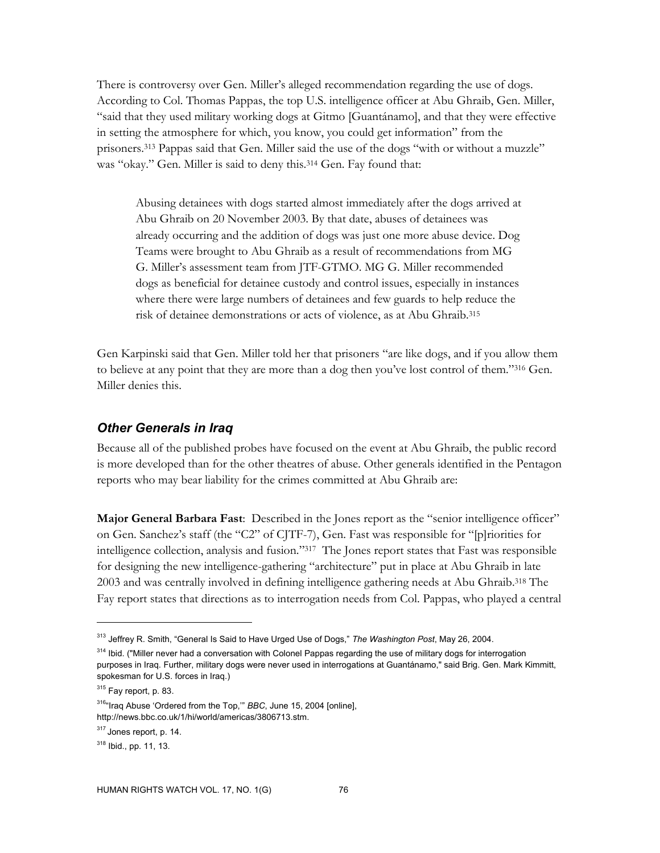There is controversy over Gen. Miller's alleged recommendation regarding the use of dogs. According to Col. Thomas Pappas, the top U.S. intelligence officer at Abu Ghraib, Gen. Miller, "said that they used military working dogs at Gitmo [Guantánamo], and that they were effective in setting the atmosphere for which, you know, you could get information" from the prisoners.313 Pappas said that Gen. Miller said the use of the dogs "with or without a muzzle" was "okay." Gen. Miller is said to deny this.<sup>314</sup> Gen. Fay found that:

Abusing detainees with dogs started almost immediately after the dogs arrived at Abu Ghraib on 20 November 2003. By that date, abuses of detainees was already occurring and the addition of dogs was just one more abuse device. Dog Teams were brought to Abu Ghraib as a result of recommendations from MG G. Miller's assessment team from JTF-GTMO. MG G. Miller recommended dogs as beneficial for detainee custody and control issues, especially in instances where there were large numbers of detainees and few guards to help reduce the risk of detainee demonstrations or acts of violence, as at Abu Ghraib.315

Gen Karpinski said that Gen. Miller told her that prisoners "are like dogs, and if you allow them to believe at any point that they are more than a dog then you've lost control of them."316 Gen. Miller denies this.

### *Other Generals in Iraq*

Because all of the published probes have focused on the event at Abu Ghraib, the public record is more developed than for the other theatres of abuse. Other generals identified in the Pentagon reports who may bear liability for the crimes committed at Abu Ghraib are:

**Major General Barbara Fast**: Described in the Jones report as the "senior intelligence officer" on Gen. Sanchez's staff (the "C2" of CJTF-7), Gen. Fast was responsible for "[p]riorities for intelligence collection, analysis and fusion."317 The Jones report states that Fast was responsible for designing the new intelligence-gathering "architecture" put in place at Abu Ghraib in late 2003 and was centrally involved in defining intelligence gathering needs at Abu Ghraib.318 The Fay report states that directions as to interrogation needs from Col. Pappas, who played a central

<sup>313</sup> Jeffrey R. Smith, "General Is Said to Have Urged Use of Dogs," *The Washington Post*, May 26, 2004.

<sup>&</sup>lt;sup>314</sup> Ibid. ("Miller never had a conversation with Colonel Pappas regarding the use of military dogs for interrogation purposes in Iraq. Further, military dogs were never used in interrogations at Guantánamo," said Brig. Gen. Mark Kimmitt, spokesman for U.S. forces in Iraq.)

<sup>&</sup>lt;sup>315</sup> Fav report, p. 83.

<sup>316&</sup>quot;Iraq Abuse 'Ordered from the Top,'" *BBC*, June 15, 2004 [online], http://news.bbc.co.uk/1/hi/world/americas/3806713.stm.

<sup>317</sup> Jones report, p. 14.

<sup>318</sup> Ibid., pp. 11, 13.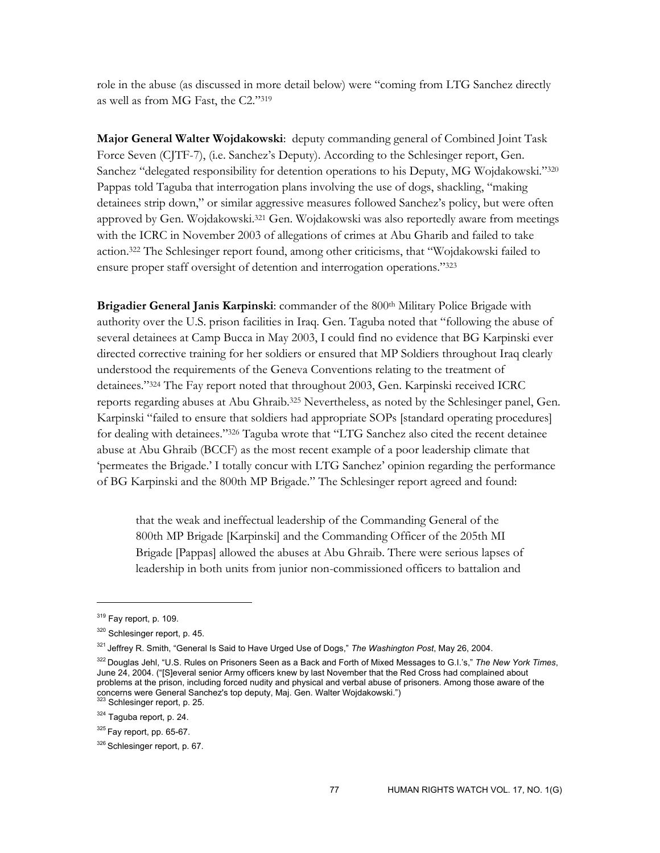role in the abuse (as discussed in more detail below) were "coming from LTG Sanchez directly as well as from MG Fast, the C2."319

**Major General Walter Wojdakowski**: deputy commanding general of Combined Joint Task Force Seven (CJTF-7), (i.e. Sanchez's Deputy). According to the Schlesinger report, Gen. Sanchez "delegated responsibility for detention operations to his Deputy, MG Wojdakowski."320 Pappas told Taguba that interrogation plans involving the use of dogs, shackling, "making detainees strip down," or similar aggressive measures followed Sanchez's policy, but were often approved by Gen. Wojdakowski.321 Gen. Wojdakowski was also reportedly aware from meetings with the ICRC in November 2003 of allegations of crimes at Abu Gharib and failed to take action.322 The Schlesinger report found, among other criticisms, that "Wojdakowski failed to ensure proper staff oversight of detention and interrogation operations."323

**Brigadier General Janis Karpinski:** commander of the 800<sup>th</sup> Military Police Brigade with authority over the U.S. prison facilities in Iraq. Gen. Taguba noted that "following the abuse of several detainees at Camp Bucca in May 2003, I could find no evidence that BG Karpinski ever directed corrective training for her soldiers or ensured that MP Soldiers throughout Iraq clearly understood the requirements of the Geneva Conventions relating to the treatment of detainees."324 The Fay report noted that throughout 2003, Gen. Karpinski received ICRC reports regarding abuses at Abu Ghraib.325 Nevertheless, as noted by the Schlesinger panel, Gen. Karpinski "failed to ensure that soldiers had appropriate SOPs [standard operating procedures] for dealing with detainees."326 Taguba wrote that "LTG Sanchez also cited the recent detainee abuse at Abu Ghraib (BCCF) as the most recent example of a poor leadership climate that 'permeates the Brigade.' I totally concur with LTG Sanchez' opinion regarding the performance of BG Karpinski and the 800th MP Brigade." The Schlesinger report agreed and found:

that the weak and ineffectual leadership of the Commanding General of the 800th MP Brigade [Karpinski] and the Commanding Officer of the 205th MI Brigade [Pappas] allowed the abuses at Abu Ghraib. There were serious lapses of leadership in both units from junior non-commissioned officers to battalion and

-

 $319$  Fay report, p. 109.

<sup>320</sup> Schlesinger report, p. 45.

<sup>321</sup> Jeffrey R. Smith, "General Is Said to Have Urged Use of Dogs," *The Washington Post*, May 26, 2004.

<sup>322</sup> Douglas Jehl, "U.S. Rules on Prisoners Seen as a Back and Forth of Mixed Messages to G.I.'s," *The New York Times*, June 24, 2004. ("[S]everal senior Army officers knew by last November that the Red Cross had complained about problems at the prison, including forced nudity and physical and verbal abuse of prisoners. Among those aware of the concerns were General Sanchez's top deputy, Maj. Gen. Walter Wojdakowski.")<br>
<sup>323</sup> Schlesinger report, p. 25.

<sup>324</sup> Taguba report, p. 24.

 $325$  Fay report, pp. 65-67.

<sup>326</sup> Schlesinger report, p. 67.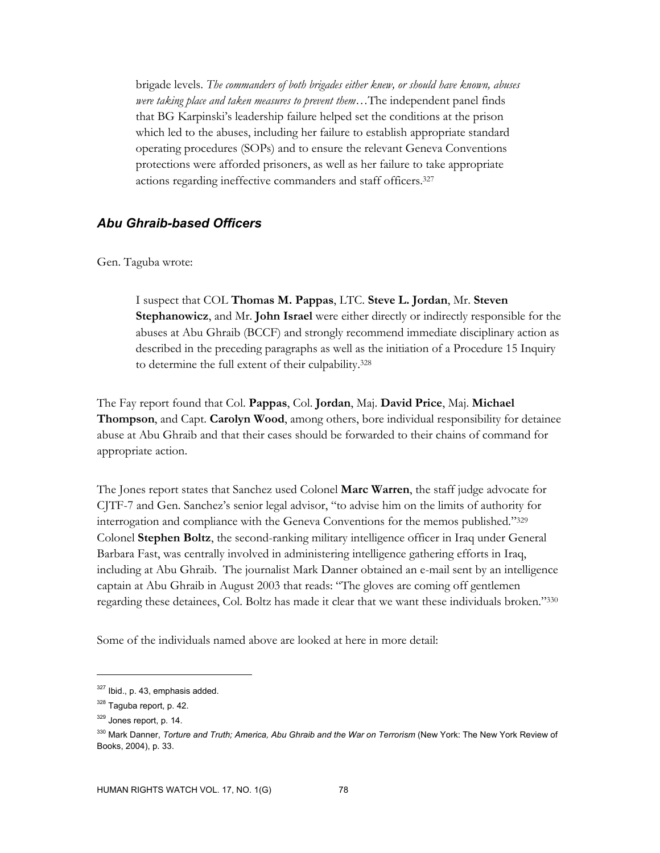brigade levels. *The commanders of both brigades either knew, or should have known, abuses were taking place and taken measures to prevent them…*The independent panel finds that BG Karpinski's leadership failure helped set the conditions at the prison which led to the abuses, including her failure to establish appropriate standard operating procedures (SOPs) and to ensure the relevant Geneva Conventions protections were afforded prisoners, as well as her failure to take appropriate actions regarding ineffective commanders and staff officers.327

#### *Abu Ghraib-based Officers*

Gen. Taguba wrote:

I suspect that COL **Thomas M. Pappas**, LTC. **Steve L. Jordan**, Mr. **Steven Stephanowicz**, and Mr. **John Israel** were either directly or indirectly responsible for the abuses at Abu Ghraib (BCCF) and strongly recommend immediate disciplinary action as described in the preceding paragraphs as well as the initiation of a Procedure 15 Inquiry to determine the full extent of their culpability.328

The Fay report found that Col. **Pappas**, Col. **Jordan**, Maj. **David Price**, Maj. **Michael Thompson**, and Capt. **Carolyn Wood**, among others, bore individual responsibility for detainee abuse at Abu Ghraib and that their cases should be forwarded to their chains of command for appropriate action.

The Jones report states that Sanchez used Colonel **Marc Warren**, the staff judge advocate for CJTF-7 and Gen. Sanchez's senior legal advisor, "to advise him on the limits of authority for interrogation and compliance with the Geneva Conventions for the memos published."329 Colonel **Stephen Boltz**, the second-ranking military intelligence officer in Iraq under General Barbara Fast, was centrally involved in administering intelligence gathering efforts in Iraq, including at Abu Ghraib. The journalist Mark Danner obtained an e-mail sent by an intelligence captain at Abu Ghraib in August 2003 that reads: "The gloves are coming off gentlemen regarding these detainees, Col. Boltz has made it clear that we want these individuals broken."330

Some of the individuals named above are looked at here in more detail:

<sup>327</sup> Ibid., p. 43, emphasis added.

<sup>328</sup> Taguba report, p. 42.

 $329$  Jones report, p. 14.

<sup>330</sup> Mark Danner, *Torture and Truth; America, Abu Ghraib and the War on Terrorism* (New York: The New York Review of Books, 2004), p. 33.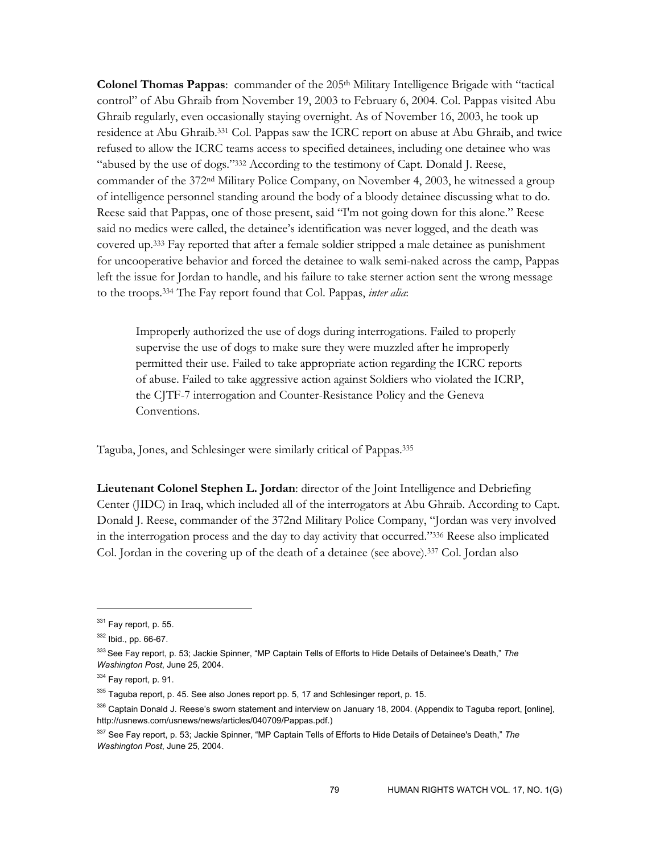**Colonel Thomas Pappas**: commander of the 205th Military Intelligence Brigade with "tactical control" of Abu Ghraib from November 19, 2003 to February 6, 2004. Col. Pappas visited Abu Ghraib regularly, even occasionally staying overnight. As of November 16, 2003, he took up residence at Abu Ghraib.331 Col. Pappas saw the ICRC report on abuse at Abu Ghraib, and twice refused to allow the ICRC teams access to specified detainees, including one detainee who was "abused by the use of dogs."332 According to the testimony of Capt. Donald J. Reese, commander of the 372nd Military Police Company, on November 4, 2003, he witnessed a group of intelligence personnel standing around the body of a bloody detainee discussing what to do. Reese said that Pappas, one of those present, said "I'm not going down for this alone." Reese said no medics were called, the detainee's identification was never logged, and the death was covered up.333 Fay reported that after a female soldier stripped a male detainee as punishment for uncooperative behavior and forced the detainee to walk semi-naked across the camp, Pappas left the issue for Jordan to handle, and his failure to take sterner action sent the wrong message to the troops.334 The Fay report found that Col. Pappas, *inter alia*:

Improperly authorized the use of dogs during interrogations. Failed to properly supervise the use of dogs to make sure they were muzzled after he improperly permitted their use. Failed to take appropriate action regarding the ICRC reports of abuse. Failed to take aggressive action against Soldiers who violated the ICRP, the CJTF-7 interrogation and Counter-Resistance Policy and the Geneva Conventions.

Taguba, Jones, and Schlesinger were similarly critical of Pappas.335

**Lieutenant Colonel Stephen L. Jordan**: director of the Joint Intelligence and Debriefing Center (JIDC) in Iraq, which included all of the interrogators at Abu Ghraib. According to Capt. Donald J. Reese, commander of the 372nd Military Police Company, "Jordan was very involved in the interrogation process and the day to day activity that occurred."336 Reese also implicated Col. Jordan in the covering up of the death of a detainee (see above).337 Col. Jordan also

<sup>331</sup> Fay report, p. 55.

<sup>332</sup> Ibid., pp. 66-67.

<sup>333</sup> See Fay report, p. 53; Jackie Spinner, "MP Captain Tells of Efforts to Hide Details of Detainee's Death," *The Washington Post*, June 25, 2004.

<sup>334</sup> Fay report, p. 91.

<sup>335</sup> Taguba report, p. 45. See also Jones report pp. 5, 17 and Schlesinger report, p. 15.

<sup>&</sup>lt;sup>336</sup> Captain Donald J. Reese's sworn statement and interview on January 18, 2004. (Appendix to Taguba report, [online], http://usnews.com/usnews/news/articles/040709/Pappas.pdf.)

<sup>337</sup> See Fay report, p. 53; Jackie Spinner, "MP Captain Tells of Efforts to Hide Details of Detainee's Death," *The Washington Post*, June 25, 2004.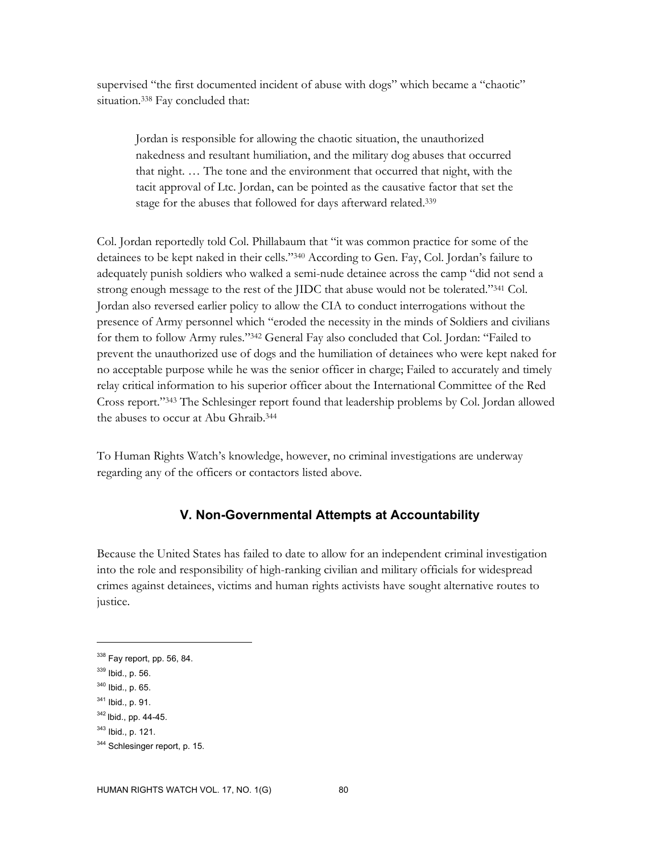supervised "the first documented incident of abuse with dogs" which became a "chaotic" situation.338 Fay concluded that:

Jordan is responsible for allowing the chaotic situation, the unauthorized nakedness and resultant humiliation, and the military dog abuses that occurred that night. … The tone and the environment that occurred that night, with the tacit approval of Ltc. Jordan, can be pointed as the causative factor that set the stage for the abuses that followed for days afterward related.339

Col. Jordan reportedly told Col. Phillabaum that "it was common practice for some of the detainees to be kept naked in their cells."340 According to Gen. Fay, Col. Jordan's failure to adequately punish soldiers who walked a semi-nude detainee across the camp "did not send a strong enough message to the rest of the JIDC that abuse would not be tolerated."341 Col. Jordan also reversed earlier policy to allow the CIA to conduct interrogations without the presence of Army personnel which "eroded the necessity in the minds of Soldiers and civilians for them to follow Army rules."342 General Fay also concluded that Col. Jordan: "Failed to prevent the unauthorized use of dogs and the humiliation of detainees who were kept naked for no acceptable purpose while he was the senior officer in charge; Failed to accurately and timely relay critical information to his superior officer about the International Committee of the Red Cross report."343 The Schlesinger report found that leadership problems by Col. Jordan allowed the abuses to occur at Abu Ghraib.344

To Human Rights Watch's knowledge, however, no criminal investigations are underway regarding any of the officers or contactors listed above.

### **V. Non-Governmental Attempts at Accountability**

Because the United States has failed to date to allow for an independent criminal investigation into the role and responsibility of high-ranking civilian and military officials for widespread crimes against detainees, victims and human rights activists have sought alternative routes to justice.

<sup>338</sup> Fay report, pp. 56, 84.

<sup>339</sup> Ibid., p. 56.

<sup>340</sup> Ibid., p. 65.

<sup>341</sup> Ibid., p. 91.

<sup>342</sup> Ibid., pp. 44-45.

<sup>343</sup> Ibid., p. 121.

<sup>344</sup> Schlesinger report, p. 15.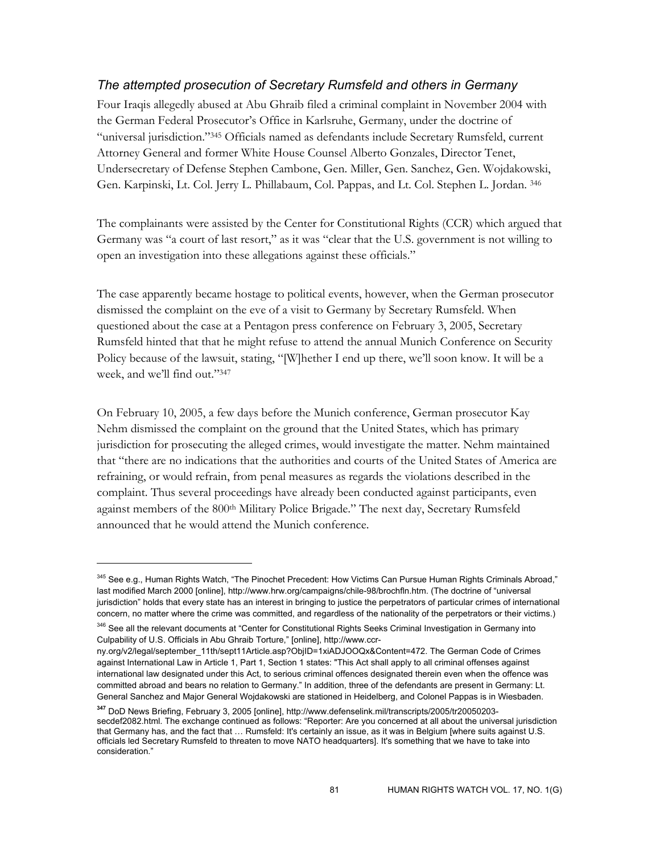### *The attempted prosecution of Secretary Rumsfeld and others in Germany*

Four Iraqis allegedly abused at Abu Ghraib filed a criminal complaint in November 2004 with the German Federal Prosecutor's Office in Karlsruhe, Germany, under the doctrine of "universal jurisdiction."345 Officials named as defendants include Secretary Rumsfeld, current Attorney General and former White House Counsel Alberto Gonzales, Director Tenet, Undersecretary of Defense Stephen Cambone, Gen. Miller, Gen. Sanchez, Gen. Wojdakowski, Gen. Karpinski, Lt. Col. Jerry L. Phillabaum, Col. Pappas, and Lt. Col. Stephen L. Jordan. 346

The complainants were assisted by the Center for Constitutional Rights (CCR) which argued that Germany was "a court of last resort," as it was "clear that the U.S. government is not willing to open an investigation into these allegations against these officials."

The case apparently became hostage to political events, however, when the German prosecutor dismissed the complaint on the eve of a visit to Germany by Secretary Rumsfeld. When questioned about the case at a Pentagon press conference on February 3, 2005, Secretary Rumsfeld hinted that that he might refuse to attend the annual Munich Conference on Security Policy because of the lawsuit, stating, "[W]hether I end up there, we'll soon know. It will be a week, and we'll find out."347

On February 10, 2005, a few days before the Munich conference, German prosecutor Kay Nehm dismissed the complaint on the ground that the United States, which has primary jurisdiction for prosecuting the alleged crimes, would investigate the matter. Nehm maintained that "there are no indications that the authorities and courts of the United States of America are refraining, or would refrain, from penal measures as regards the violations described in the complaint. Thus several proceedings have already been conducted against participants, even against members of the 800<sup>th</sup> Military Police Brigade." The next day, Secretary Rumsfeld announced that he would attend the Munich conference.

<sup>345</sup> See e.g., Human Rights Watch, "The Pinochet Precedent: How Victims Can Pursue Human Rights Criminals Abroad," last modified March 2000 [online], http://www.hrw.org/campaigns/chile-98/brochfln.htm. (The doctrine of "universal jurisdiction" holds that every state has an interest in bringing to justice the perpetrators of particular crimes of international concern, no matter where the crime was committed, and regardless of the nationality of the perpetrators or their victims.)

<sup>346</sup> See all the relevant documents at "Center for Constitutional Rights Seeks Criminal Investigation in Germany into Culpability of U.S. Officials in Abu Ghraib Torture," [online], http://www.ccr-

ny.org/v2/legal/september\_11th/sept11Article.asp?ObjID=1xiADJOOQx&Content=472. The German Code of Crimes against International Law in Article 1, Part 1, Section 1 states: "This Act shall apply to all criminal offenses against international law designated under this Act, to serious criminal offences designated therein even when the offence was committed abroad and bears no relation to Germany." In addition, three of the defendants are present in Germany: Lt. General Sanchez and Major General Wojdakowski are stationed in Heidelberg, and Colonel Pappas is in Wiesbaden.

**<sup>347</sup>** DoD News Briefing, February 3, 2005 [online], http://www.defenselink.mil/transcripts/2005/tr20050203 secdef2082.html. The exchange continued as follows: "Reporter: Are you concerned at all about the universal jurisdiction that Germany has, and the fact that … Rumsfeld: It's certainly an issue, as it was in Belgium [where suits against U.S. officials led Secretary Rumsfeld to threaten to move NATO headquarters]. It's something that we have to take into consideration."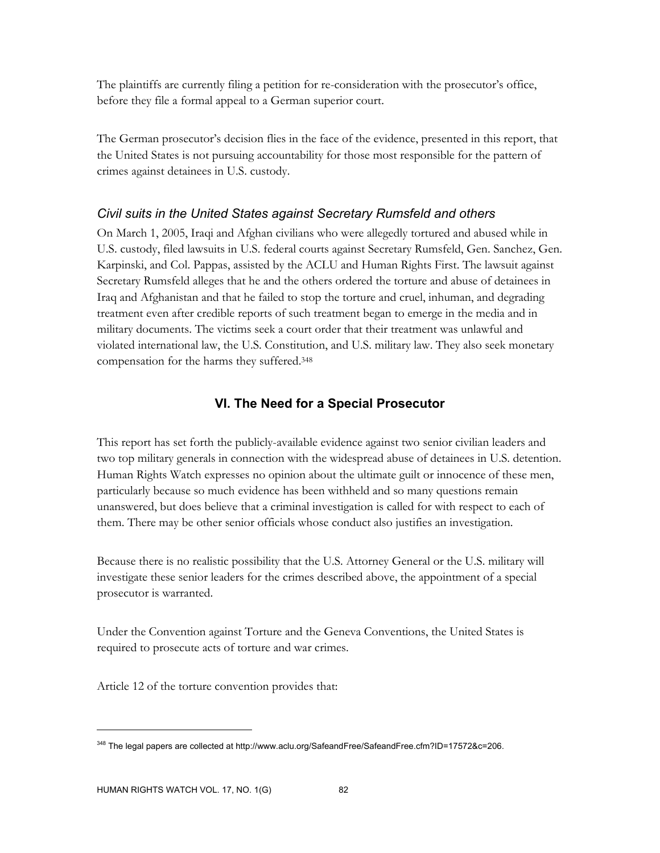The plaintiffs are currently filing a petition for re-consideration with the prosecutor's office, before they file a formal appeal to a German superior court.

The German prosecutor's decision flies in the face of the evidence, presented in this report, that the United States is not pursuing accountability for those most responsible for the pattern of crimes against detainees in U.S. custody.

## *Civil suits in the United States against Secretary Rumsfeld and others*

On March 1, 2005, Iraqi and Afghan civilians who were allegedly tortured and abused while in U.S. custody, filed lawsuits in U.S. federal courts against Secretary Rumsfeld, Gen. Sanchez, Gen. Karpinski, and Col. Pappas, assisted by the ACLU and Human Rights First. The lawsuit against Secretary Rumsfeld alleges that he and the others ordered the torture and abuse of detainees in Iraq and Afghanistan and that he failed to stop the torture and cruel, inhuman, and degrading treatment even after credible reports of such treatment began to emerge in the media and in military documents. The victims seek a court order that their treatment was unlawful and violated international law, the U.S. Constitution, and U.S. military law. They also seek monetary compensation for the harms they suffered.348

# **VI. The Need for a Special Prosecutor**

This report has set forth the publicly-available evidence against two senior civilian leaders and two top military generals in connection with the widespread abuse of detainees in U.S. detention. Human Rights Watch expresses no opinion about the ultimate guilt or innocence of these men, particularly because so much evidence has been withheld and so many questions remain unanswered, but does believe that a criminal investigation is called for with respect to each of them. There may be other senior officials whose conduct also justifies an investigation.

Because there is no realistic possibility that the U.S. Attorney General or the U.S. military will investigate these senior leaders for the crimes described above, the appointment of a special prosecutor is warranted.

Under the Convention against Torture and the Geneva Conventions, the United States is required to prosecute acts of torture and war crimes.

Article 12 of the torture convention provides that:

<sup>&</sup>lt;sup>348</sup> The legal papers are collected at http://www.aclu.org/SafeandFree/SafeandFree.cfm?ID=17572&c=206.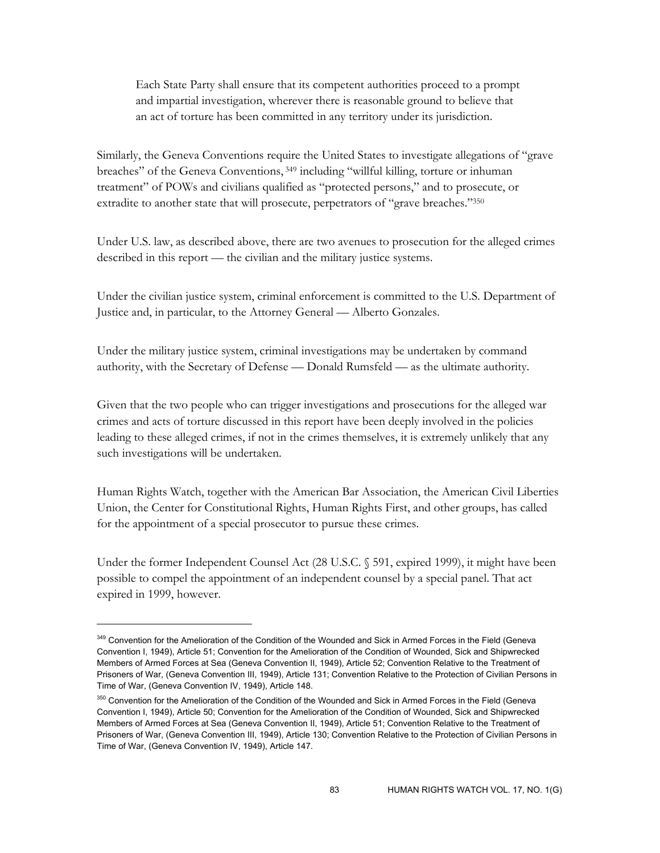Each State Party shall ensure that its competent authorities proceed to a prompt and impartial investigation, wherever there is reasonable ground to believe that an act of torture has been committed in any territory under its jurisdiction.

Similarly, the Geneva Conventions require the United States to investigate allegations of "grave breaches" of the Geneva Conventions, 349 including "willful killing, torture or inhuman treatment" of POWs and civilians qualified as "protected persons," and to prosecute, or extradite to another state that will prosecute, perpetrators of "grave breaches."350

Under U.S. law, as described above, there are two avenues to prosecution for the alleged crimes described in this report — the civilian and the military justice systems.

Under the civilian justice system, criminal enforcement is committed to the U.S. Department of Justice and, in particular, to the Attorney General — Alberto Gonzales.

Under the military justice system, criminal investigations may be undertaken by command authority, with the Secretary of Defense — Donald Rumsfeld — as the ultimate authority.

Given that the two people who can trigger investigations and prosecutions for the alleged war crimes and acts of torture discussed in this report have been deeply involved in the policies leading to these alleged crimes, if not in the crimes themselves, it is extremely unlikely that any such investigations will be undertaken.

Human Rights Watch, together with the American Bar Association, the American Civil Liberties Union, the Center for Constitutional Rights, Human Rights First, and other groups, has called for the appointment of a special prosecutor to pursue these crimes.

Under the former Independent Counsel Act (28 U.S.C. § 591, expired 1999), it might have been possible to compel the appointment of an independent counsel by a special panel. That act expired in 1999, however.

<sup>349</sup> Convention for the Amelioration of the Condition of the Wounded and Sick in Armed Forces in the Field (Geneva Convention I, 1949), Article 51; Convention for the Amelioration of the Condition of Wounded, Sick and Shipwrecked Members of Armed Forces at Sea (Geneva Convention II, 1949), Article 52; Convention Relative to the Treatment of Prisoners of War, (Geneva Convention III, 1949), Article 131; Convention Relative to the Protection of Civilian Persons in Time of War, (Geneva Convention IV, 1949), Article 148.

<sup>&</sup>lt;sup>350</sup> Convention for the Amelioration of the Condition of the Wounded and Sick in Armed Forces in the Field (Geneva Convention I, 1949), Article 50; Convention for the Amelioration of the Condition of Wounded, Sick and Shipwrecked Members of Armed Forces at Sea (Geneva Convention II, 1949), Article 51; Convention Relative to the Treatment of Prisoners of War, (Geneva Convention III, 1949), Article 130; Convention Relative to the Protection of Civilian Persons in Time of War, (Geneva Convention IV, 1949), Article 147.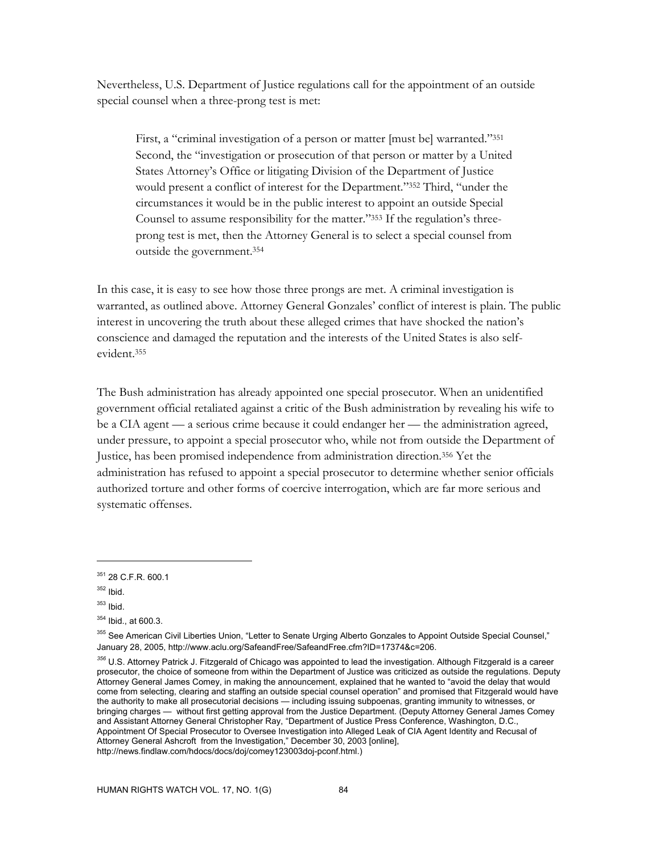Nevertheless, U.S. Department of Justice regulations call for the appointment of an outside special counsel when a three-prong test is met:

First, a "criminal investigation of a person or matter [must be] warranted."351 Second, the "investigation or prosecution of that person or matter by a United States Attorney's Office or litigating Division of the Department of Justice would present a conflict of interest for the Department."352 Third, "under the circumstances it would be in the public interest to appoint an outside Special Counsel to assume responsibility for the matter."353 If the regulation's threeprong test is met, then the Attorney General is to select a special counsel from outside the government.354

In this case, it is easy to see how those three prongs are met. A criminal investigation is warranted, as outlined above. Attorney General Gonzales' conflict of interest is plain. The public interest in uncovering the truth about these alleged crimes that have shocked the nation's conscience and damaged the reputation and the interests of the United States is also selfevident.355

The Bush administration has already appointed one special prosecutor. When an unidentified government official retaliated against a critic of the Bush administration by revealing his wife to be a CIA agent — a serious crime because it could endanger her — the administration agreed, under pressure, to appoint a special prosecutor who, while not from outside the Department of Justice, has been promised independence from administration direction.356 Yet the administration has refused to appoint a special prosecutor to determine whether senior officials authorized torture and other forms of coercive interrogation, which are far more serious and systematic offenses.

 $352$  Ibid.

-

<sup>351 28</sup> C.F.R. 600.1

<sup>353</sup> Ibid.

<sup>354</sup> Ibid., at 600.3.

<sup>&</sup>lt;sup>355</sup> See American Civil Liberties Union, "Letter to Senate Urging Alberto Gonzales to Appoint Outside Special Counsel," January 28, 2005, http://www.aclu.org/SafeandFree/SafeandFree.cfm?ID=17374&c=206.

*<sup>356</sup>* U.S. Attorney Patrick J. Fitzgerald of Chicago was appointed to lead the investigation. Although Fitzgerald is a career prosecutor, the choice of someone from within the Department of Justice was criticized as outside the regulations. Deputy Attorney General James Comey, in making the announcement, explained that he wanted to "avoid the delay that would come from selecting, clearing and staffing an outside special counsel operation" and promised that Fitzgerald would have the authority to make all prosecutorial decisions — including issuing subpoenas, granting immunity to witnesses, or bringing charges — without first getting approval from the Justice Department. (Deputy Attorney General James Comey and Assistant Attorney General Christopher Ray, "Department of Justice Press Conference, Washington, D.C., Appointment Of Special Prosecutor to Oversee Investigation into Alleged Leak of CIA Agent Identity and Recusal of Attorney General Ashcroft from the Investigation," December 30, 2003 [online], http://news.findlaw.com/hdocs/docs/doj/comey123003doj-pconf.html.)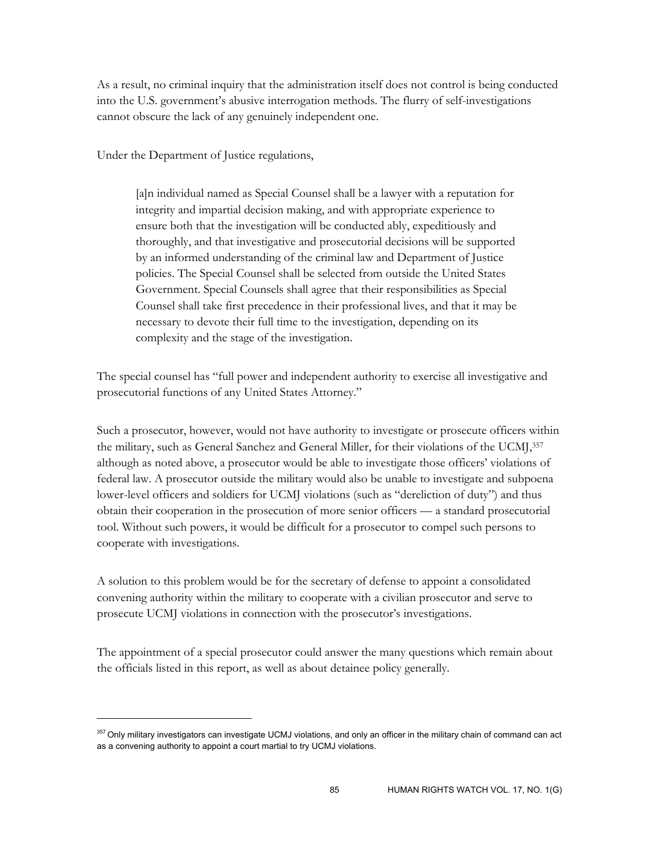As a result, no criminal inquiry that the administration itself does not control is being conducted into the U.S. government's abusive interrogation methods. The flurry of self-investigations cannot obscure the lack of any genuinely independent one.

Under the Department of Justice regulations,

-

[a]n individual named as Special Counsel shall be a lawyer with a reputation for integrity and impartial decision making, and with appropriate experience to ensure both that the investigation will be conducted ably, expeditiously and thoroughly, and that investigative and prosecutorial decisions will be supported by an informed understanding of the criminal law and Department of Justice policies. The Special Counsel shall be selected from outside the United States Government. Special Counsels shall agree that their responsibilities as Special Counsel shall take first precedence in their professional lives, and that it may be necessary to devote their full time to the investigation, depending on its complexity and the stage of the investigation.

The special counsel has "full power and independent authority to exercise all investigative and prosecutorial functions of any United States Attorney."

Such a prosecutor, however, would not have authority to investigate or prosecute officers within the military, such as General Sanchez and General Miller, for their violations of the UCMJ,357 although as noted above, a prosecutor would be able to investigate those officers' violations of federal law. A prosecutor outside the military would also be unable to investigate and subpoena lower-level officers and soldiers for UCMJ violations (such as "dereliction of duty") and thus obtain their cooperation in the prosecution of more senior officers — a standard prosecutorial tool. Without such powers, it would be difficult for a prosecutor to compel such persons to cooperate with investigations.

A solution to this problem would be for the secretary of defense to appoint a consolidated convening authority within the military to cooperate with a civilian prosecutor and serve to prosecute UCMJ violations in connection with the prosecutor's investigations.

The appointment of a special prosecutor could answer the many questions which remain about the officials listed in this report, as well as about detainee policy generally.

<sup>&</sup>lt;sup>357</sup> Only military investigators can investigate UCMJ violations, and only an officer in the military chain of command can act as a convening authority to appoint a court martial to try UCMJ violations.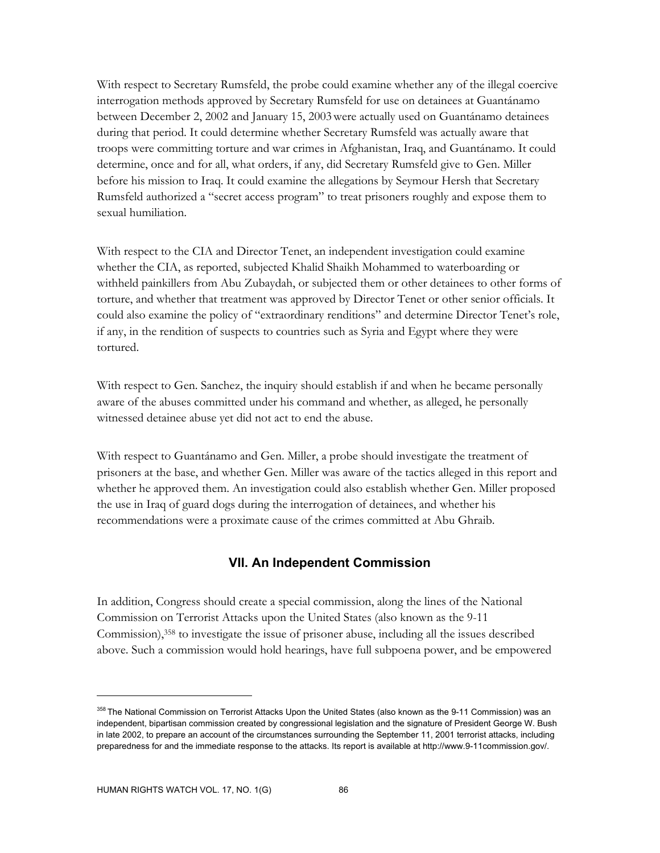With respect to Secretary Rumsfeld, the probe could examine whether any of the illegal coercive interrogation methods approved by Secretary Rumsfeld for use on detainees at Guantánamo between December 2, 2002 and January 15, 2003were actually used on Guantánamo detainees during that period. It could determine whether Secretary Rumsfeld was actually aware that troops were committing torture and war crimes in Afghanistan, Iraq, and Guantánamo. It could determine, once and for all, what orders, if any, did Secretary Rumsfeld give to Gen. Miller before his mission to Iraq. It could examine the allegations by Seymour Hersh that Secretary Rumsfeld authorized a "secret access program" to treat prisoners roughly and expose them to sexual humiliation.

With respect to the CIA and Director Tenet, an independent investigation could examine whether the CIA, as reported, subjected Khalid Shaikh Mohammed to waterboarding or withheld painkillers from Abu Zubaydah, or subjected them or other detainees to other forms of torture, and whether that treatment was approved by Director Tenet or other senior officials. It could also examine the policy of "extraordinary renditions" and determine Director Tenet's role, if any, in the rendition of suspects to countries such as Syria and Egypt where they were tortured.

With respect to Gen. Sanchez, the inquiry should establish if and when he became personally aware of the abuses committed under his command and whether, as alleged, he personally witnessed detainee abuse yet did not act to end the abuse.

With respect to Guantánamo and Gen. Miller, a probe should investigate the treatment of prisoners at the base, and whether Gen. Miller was aware of the tactics alleged in this report and whether he approved them. An investigation could also establish whether Gen. Miller proposed the use in Iraq of guard dogs during the interrogation of detainees, and whether his recommendations were a proximate cause of the crimes committed at Abu Ghraib.

### **VII. An Independent Commission**

In addition, Congress should create a special commission, along the lines of the National Commission on Terrorist Attacks upon the United States (also known as the 9-11 Commission),358 to investigate the issue of prisoner abuse, including all the issues described above. Such a commission would hold hearings, have full subpoena power, and be empowered

<sup>&</sup>lt;sup>358</sup> The National Commission on Terrorist Attacks Upon the United States (also known as the 9-11 Commission) was an independent, bipartisan commission created by congressional legislation and the signature of President George W. Bush in late 2002, to prepare an account of the circumstances surrounding the September 11, 2001 terrorist attacks, including preparedness for and the immediate response to the attacks. Its report is available at http://www.9-11commission.gov/.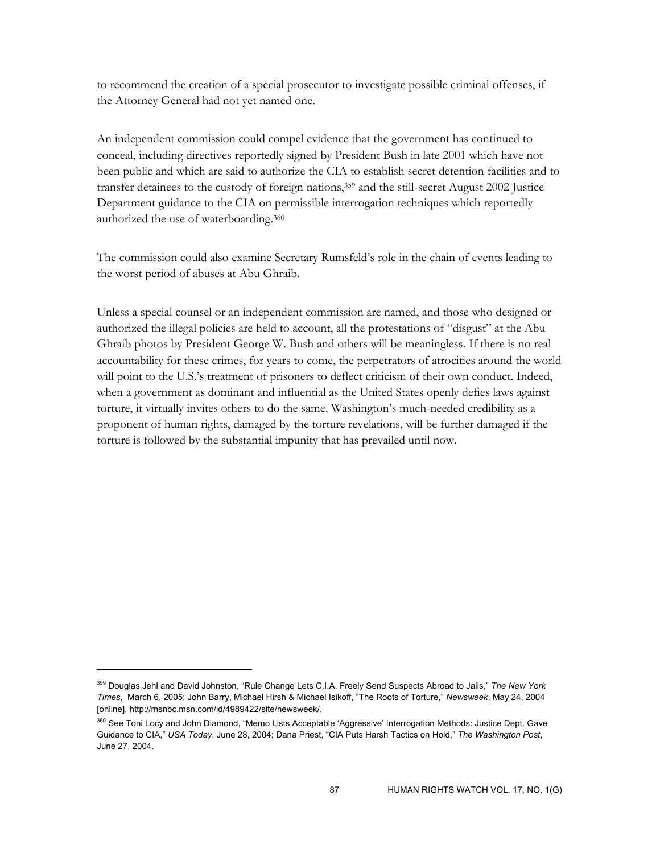to recommend the creation of a special prosecutor to investigate possible criminal offenses, if the Attorney General had not yet named one.

An independent commission could compel evidence that the government has continued to conceal, including directives reportedly signed by President Bush in late 2001 which have not been public and which are said to authorize the CIA to establish secret detention facilities and to transfer detainees to the custody of foreign nations,359 and the still-secret August 2002 Justice Department guidance to the CIA on permissible interrogation techniques which reportedly authorized the use of waterboarding.360

The commission could also examine Secretary Rumsfeld's role in the chain of events leading to the worst period of abuses at Abu Ghraib.

Unless a special counsel or an independent commission are named, and those who designed or authorized the illegal policies are held to account, all the protestations of "disgust" at the Abu Ghraib photos by President George W. Bush and others will be meaningless. If there is no real accountability for these crimes, for years to come, the perpetrators of atrocities around the world will point to the U.S.'s treatment of prisoners to deflect criticism of their own conduct. Indeed, when a government as dominant and influential as the United States openly defies laws against torture, it virtually invites others to do the same. Washington's much-needed credibility as a proponent of human rights, damaged by the torture revelations, will be further damaged if the torture is followed by the substantial impunity that has prevailed until now.

-

<sup>359</sup> Douglas Jehl and David Johnston, "Rule Change Lets C.I.A. Freely Send Suspects Abroad to Jails," *The New York Times*, March 6, 2005; John Barry, Michael Hirsh & Michael Isikoff, "The Roots of Torture," *Newsweek*, May 24, 2004 [online], http://msnbc.msn.com/id/4989422/site/newsweek/.

<sup>360</sup> See Toni Locy and John Diamond, "Memo Lists Acceptable 'Aggressive' Interrogation Methods: Justice Dept. Gave Guidance to CIA," *USA Today*, June 28, 2004; Dana Priest, "CIA Puts Harsh Tactics on Hold," *The Washington Post*, June 27, 2004.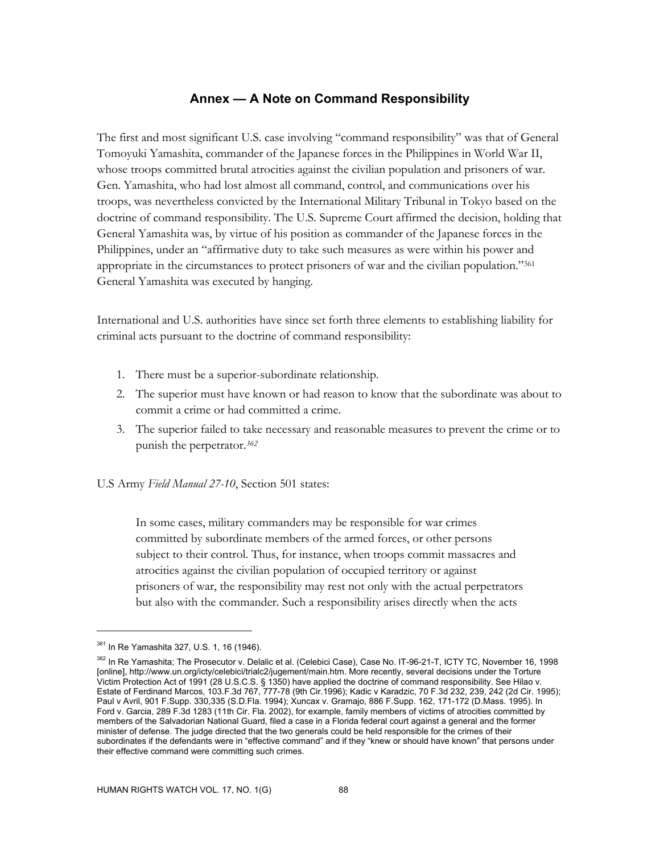## **Annex — A Note on Command Responsibility**

The first and most significant U.S. case involving "command responsibility" was that of General Tomoyuki Yamashita, commander of the Japanese forces in the Philippines in World War II, whose troops committed brutal atrocities against the civilian population and prisoners of war. Gen. Yamashita, who had lost almost all command, control, and communications over his troops, was nevertheless convicted by the International Military Tribunal in Tokyo based on the doctrine of command responsibility. The U.S. Supreme Court affirmed the decision, holding that General Yamashita was, by virtue of his position as commander of the Japanese forces in the Philippines, under an "affirmative duty to take such measures as were within his power and appropriate in the circumstances to protect prisoners of war and the civilian population."361 General Yamashita was executed by hanging.

International and U.S. authorities have since set forth three elements to establishing liability for criminal acts pursuant to the doctrine of command responsibility:

- 1. There must be a superior-subordinate relationship.
- 2. The superior must have known or had reason to know that the subordinate was about to commit a crime or had committed a crime.
- 3. The superior failed to take necessary and reasonable measures to prevent the crime or to punish the perpetrator.*<sup>362</sup>*

U.S Army *Field Manual 27-10*, Section 501 states:

In some cases, military commanders may be responsible for war crimes committed by subordinate members of the armed forces, or other persons subject to their control. Thus, for instance, when troops commit massacres and atrocities against the civilian population of occupied territory or against prisoners of war, the responsibility may rest not only with the actual perpetrators but also with the commander. Such a responsibility arises directly when the acts

<sup>361</sup> In Re Yamashita 327, U.S. 1, 16 (1946).

<sup>&</sup>lt;sup>362</sup> In Re Yamashita; The Prosecutor v. Delalic et al. (Celebici Case), Case No. IT-96-21-T, ICTY TC, November 16, 1998 [online], http://www.un.org/icty/celebici/trialc2/jugement/main.htm. More recently, several decisions under the Torture Victim Protection Act of 1991 (28 U.S.C.S. § 1350) have applied the doctrine of command responsibility. See Hilao v. Estate of Ferdinand Marcos, 103.F.3d 767, 777-78 (9th Cir.1996); Kadic v Karadzic, 70 F.3d 232, 239, 242 (2d Cir. 1995); Paul v Avril, 901 F.Supp. 330,335 (S.D.Fla. 1994); Xuncax v. Gramajo, 886 F.Supp. 162, 171-172 (D.Mass. 1995). In Ford v. Garcia, 289 F.3d 1283 (11th Cir. Fla. 2002), for example, family members of victims of atrocities committed by members of the Salvadorian National Guard, filed a case in a Florida federal court against a general and the former minister of defense. The judge directed that the two generals could be held responsible for the crimes of their subordinates if the defendants were in "effective command" and if they "knew or should have known" that persons under their effective command were committing such crimes.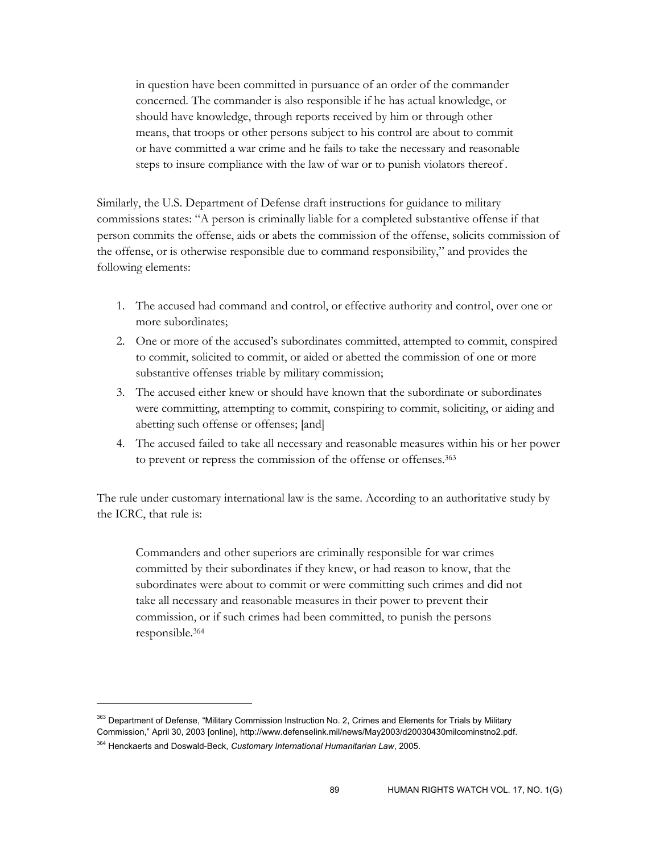in question have been committed in pursuance of an order of the commander concerned. The commander is also responsible if he has actual knowledge, or should have knowledge, through reports received by him or through other means, that troops or other persons subject to his control are about to commit or have committed a war crime and he fails to take the necessary and reasonable steps to insure compliance with the law of war or to punish violators thereof.

Similarly, the U.S. Department of Defense draft instructions for guidance to military commissions states: "A person is criminally liable for a completed substantive offense if that person commits the offense, aids or abets the commission of the offense, solicits commission of the offense, or is otherwise responsible due to command responsibility," and provides the following elements:

- 1. The accused had command and control, or effective authority and control, over one or more subordinates;
- 2. One or more of the accused's subordinates committed, attempted to commit, conspired to commit, solicited to commit, or aided or abetted the commission of one or more substantive offenses triable by military commission;
- 3. The accused either knew or should have known that the subordinate or subordinates were committing, attempting to commit, conspiring to commit, soliciting, or aiding and abetting such offense or offenses; [and]
- 4. The accused failed to take all necessary and reasonable measures within his or her power to prevent or repress the commission of the offense or offenses.363

The rule under customary international law is the same. According to an authoritative study by the ICRC, that rule is:

Commanders and other superiors are criminally responsible for war crimes committed by their subordinates if they knew, or had reason to know, that the subordinates were about to commit or were committing such crimes and did not take all necessary and reasonable measures in their power to prevent their commission, or if such crimes had been committed, to punish the persons responsible.364

<sup>&</sup>lt;sup>363</sup> Department of Defense, "Military Commission Instruction No. 2, Crimes and Elements for Trials by Military Commission," April 30, 2003 [online], http://www.defenselink.mil/news/May2003/d20030430milcominstno2.pdf.

<sup>364</sup> Henckaerts and Doswald-Beck, *Customary International Humanitarian Law*, 2005.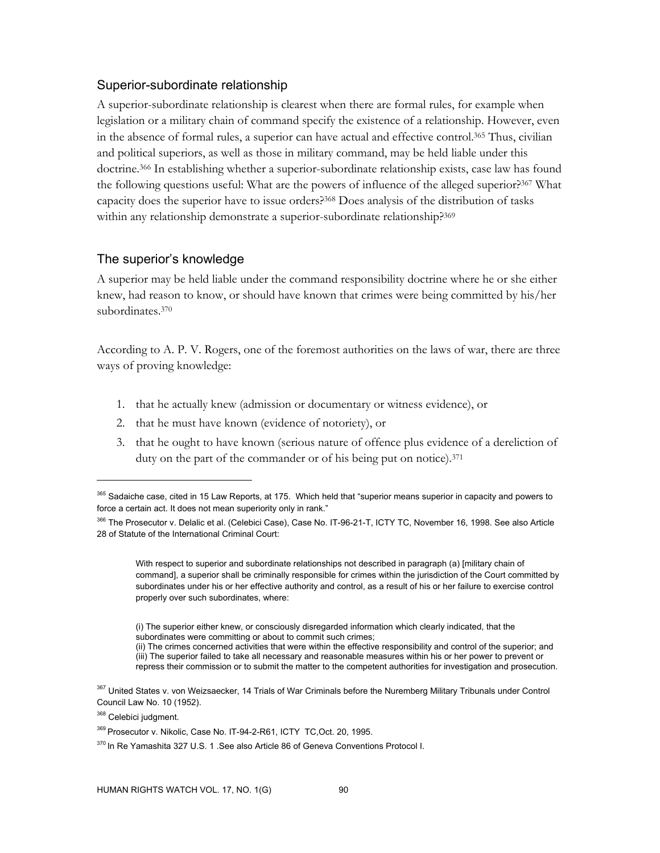#### Superior-subordinate relationship

A superior-subordinate relationship is clearest when there are formal rules, for example when legislation or a military chain of command specify the existence of a relationship. However, even in the absence of formal rules, a superior can have actual and effective control.365 Thus, civilian and political superiors, as well as those in military command, may be held liable under this doctrine.366 In establishing whether a superior-subordinate relationship exists, case law has found the following questions useful: What are the powers of influence of the alleged superior?367 What capacity does the superior have to issue orders?368 Does analysis of the distribution of tasks within any relationship demonstrate a superior-subordinate relationship?<sup>369</sup>

### The superior's knowledge

A superior may be held liable under the command responsibility doctrine where he or she either knew, had reason to know, or should have known that crimes were being committed by his/her subordinates.370

According to A. P. V. Rogers, one of the foremost authorities on the laws of war, there are three ways of proving knowledge:

- 1. that he actually knew (admission or documentary or witness evidence), or
- 2. that he must have known (evidence of notoriety), or
- 3. that he ought to have known (serious nature of offence plus evidence of a dereliction of duty on the part of the commander or of his being put on notice).<sup>371</sup>

With respect to superior and subordinate relationships not described in paragraph (a) [military chain of command], a superior shall be criminally responsible for crimes within the jurisdiction of the Court committed by subordinates under his or her effective authority and control, as a result of his or her failure to exercise control properly over such subordinates, where:

- (i) The superior either knew, or consciously disregarded information which clearly indicated, that the subordinates were committing or about to commit such crimes;
- (ii) The crimes concerned activities that were within the effective responsibility and control of the superior; and (iii) The superior failed to take all necessary and reasonable measures within his or her power to prevent or repress their commission or to submit the matter to the competent authorities for investigation and prosecution.

368 Celebici judgment.

<sup>365</sup> Sadaiche case, cited in 15 Law Reports, at 175. Which held that "superior means superior in capacity and powers to force a certain act. It does not mean superiority only in rank."

<sup>366</sup> The Prosecutor v. Delalic et al. (Celebici Case), Case No. IT-96-21-T, ICTY TC, November 16, 1998. See also Article 28 of Statute of the International Criminal Court:

<sup>367</sup> United States v. von Weizsaecker, 14 Trials of War Criminals before the Nuremberg Military Tribunals under Control Council Law No. 10 (1952).

<sup>369</sup> Prosecutor v. Nikolic, Case No. IT-94-2-R61, ICTY TC, Oct. 20, 1995.

<sup>&</sup>lt;sup>370</sup> In Re Yamashita 327 U.S. 1 .See also Article 86 of Geneva Conventions Protocol I.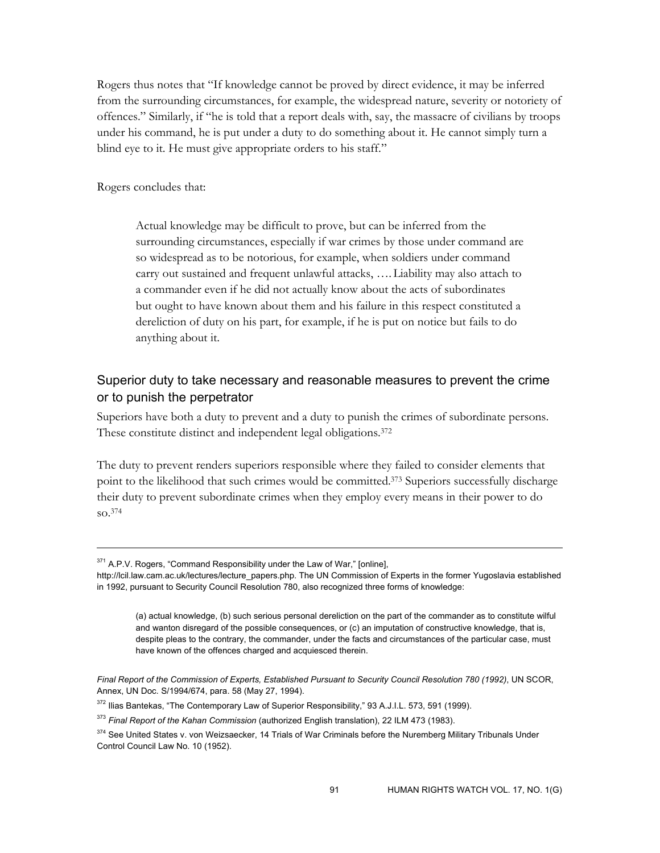Rogers thus notes that "If knowledge cannot be proved by direct evidence, it may be inferred from the surrounding circumstances, for example, the widespread nature, severity or notoriety of offences." Similarly, if "he is told that a report deals with, say, the massacre of civilians by troops under his command, he is put under a duty to do something about it. He cannot simply turn a blind eye to it. He must give appropriate orders to his staff."

Rogers concludes that:

 $\overline{a}$ 

Actual knowledge may be difficult to prove, but can be inferred from the surrounding circumstances, especially if war crimes by those under command are so widespread as to be notorious, for example, when soldiers under command carry out sustained and frequent unlawful attacks, …. Liability may also attach to a commander even if he did not actually know about the acts of subordinates but ought to have known about them and his failure in this respect constituted a dereliction of duty on his part, for example, if he is put on notice but fails to do anything about it.

## Superior duty to take necessary and reasonable measures to prevent the crime or to punish the perpetrator

Superiors have both a duty to prevent and a duty to punish the crimes of subordinate persons. These constitute distinct and independent legal obligations.<sup>372</sup>

The duty to prevent renders superiors responsible where they failed to consider elements that point to the likelihood that such crimes would be committed.373 Superiors successfully discharge their duty to prevent subordinate crimes when they employ every means in their power to do so.374

<sup>371</sup> A.P.V. Rogers, "Command Responsibility under the Law of War," [online],

http://lcil.law.cam.ac.uk/lectures/lecture\_papers.php. The UN Commission of Experts in the former Yugoslavia established in 1992, pursuant to Security Council Resolution 780, also recognized three forms of knowledge:

<sup>(</sup>a) actual knowledge, (b) such serious personal dereliction on the part of the commander as to constitute wilful and wanton disregard of the possible consequences, or (c) an imputation of constructive knowledge, that is, despite pleas to the contrary, the commander, under the facts and circumstances of the particular case, must have known of the offences charged and acquiesced therein.

*Final Report of the Commission of Experts, Established Pursuant to Security Council Resolution 780 (1992)*, UN SCOR, Annex, UN Doc. S/1994/674, para. 58 (May 27, 1994).

<sup>372</sup> Ilias Bantekas, "The Contemporary Law of Superior Responsibility," 93 A.J.I.L. 573, 591 (1999).

<sup>373</sup> *Final Report of the Kahan Commission* (authorized English translation), 22 ILM 473 (1983).

<sup>374</sup> See United States v. von Weizsaecker, 14 Trials of War Criminals before the Nuremberg Military Tribunals Under Control Council Law No. 10 (1952).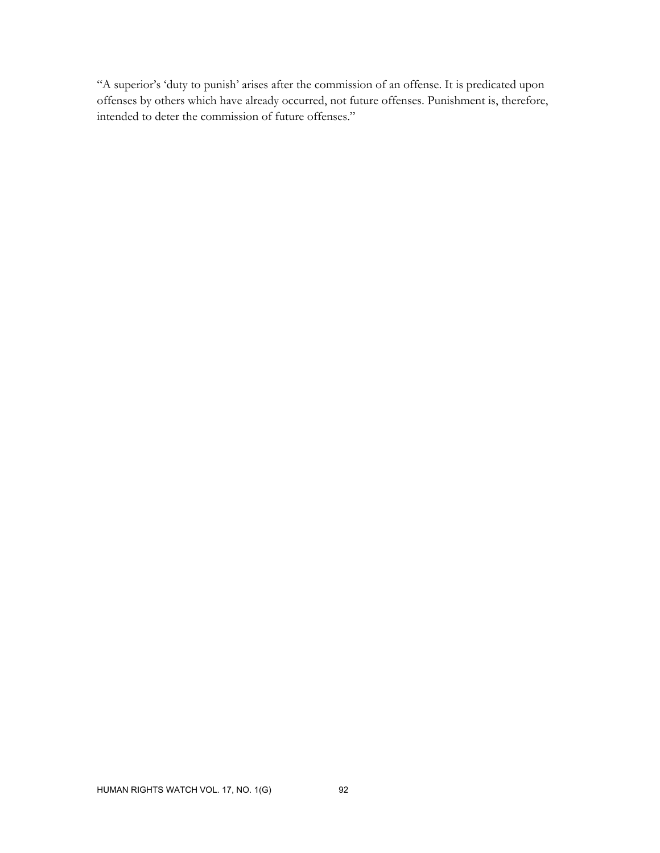"A superior's 'duty to punish' arises after the commission of an offense. It is predicated upon offenses by others which have already occurred, not future offenses. Punishment is, therefore, intended to deter the commission of future offenses."